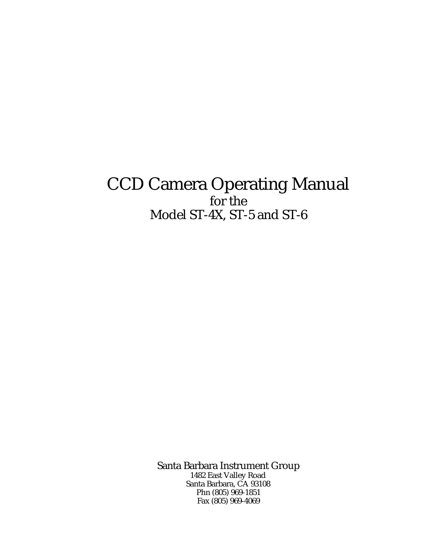# CCD Camera Operating Manual for the Model ST-4X, ST-5 and ST-6

Santa Barbara Instrument Group 1482 East Valley Road Santa Barbara, CA 93108 Phn (805) 969-1851 Fax (805) 969-4069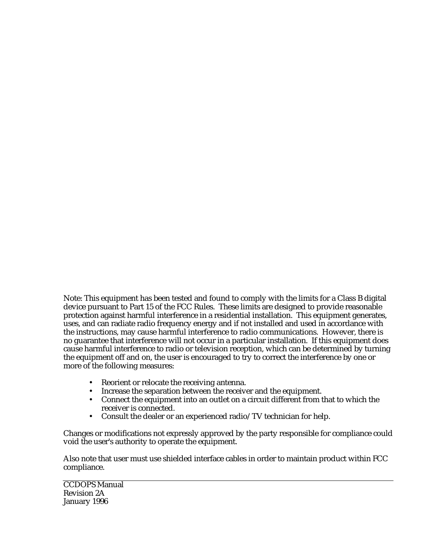Note: This equipment has been tested and found to comply with the limits for a Class B digital device pursuant to Part 15 of the FCC Rules. These limits are designed to provide reasonable protection against harmful interference in a residential installation. This equipment generates, uses, and can radiate radio frequency energy and if not installed and used in accordance with the instructions, may cause harmful interference to radio communications. However, there is no guarantee that interference will not occur in a particular installation. If this equipment does cause harmful interference to radio or television reception, which can be determined by turning the equipment off and on, the user is encouraged to try to correct the interference by one or more of the following measures:

- Reorient or relocate the receiving antenna.
- Increase the separation between the receiver and the equipment.
- Connect the equipment into an outlet on a circuit different from that to which the receiver is connected.
- Consult the dealer or an experienced radio/TV technician for help.

Changes or modifications not expressly approved by the party responsible for compliance could void the user's authority to operate the equipment.

Also note that user must use shielded interface cables in order to maintain product within FCC compliance.

CCDOPS Manual Revision 2A January 1996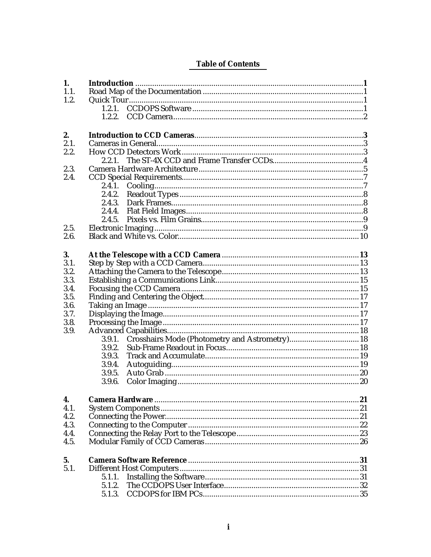# **Table of Contents**

| 1.   |        |  |  |  |  |  |
|------|--------|--|--|--|--|--|
| 1.1. |        |  |  |  |  |  |
| 1.2. |        |  |  |  |  |  |
|      | 1.2.1. |  |  |  |  |  |
|      | 1.2.2  |  |  |  |  |  |
|      |        |  |  |  |  |  |
| 2.   |        |  |  |  |  |  |
| 2.1. |        |  |  |  |  |  |
| 2.2. |        |  |  |  |  |  |
|      | 2.2.1  |  |  |  |  |  |
| 2.3. |        |  |  |  |  |  |
| 2.4. |        |  |  |  |  |  |
|      | 2.4.1. |  |  |  |  |  |
|      | 2.4.2. |  |  |  |  |  |
|      | 2.4.3. |  |  |  |  |  |
|      | 2.4.4. |  |  |  |  |  |
|      | 2.4.5. |  |  |  |  |  |
| 2.5. |        |  |  |  |  |  |
| 2.6. |        |  |  |  |  |  |
|      |        |  |  |  |  |  |
| 3.   |        |  |  |  |  |  |
| 3.1. |        |  |  |  |  |  |
| 3.2. |        |  |  |  |  |  |
| 3.3. |        |  |  |  |  |  |
| 3.4. |        |  |  |  |  |  |
| 3.5. |        |  |  |  |  |  |
| 3.6. |        |  |  |  |  |  |
| 3.7. |        |  |  |  |  |  |
| 3.8. |        |  |  |  |  |  |
| 3.9. |        |  |  |  |  |  |
|      | 3.9.1. |  |  |  |  |  |
|      | 3.9.2. |  |  |  |  |  |
|      | 3.9.3. |  |  |  |  |  |
|      | 3.9.4. |  |  |  |  |  |
|      | 3.9.5. |  |  |  |  |  |
|      | 3.9.6. |  |  |  |  |  |
|      |        |  |  |  |  |  |
| 4.   |        |  |  |  |  |  |
| 4.1. |        |  |  |  |  |  |
| 4.2. |        |  |  |  |  |  |
| 4.3. |        |  |  |  |  |  |
| 4.4. |        |  |  |  |  |  |
| 4.5. |        |  |  |  |  |  |
|      |        |  |  |  |  |  |
| 5.   |        |  |  |  |  |  |
| 5.1. |        |  |  |  |  |  |
|      | 5.1.1. |  |  |  |  |  |
|      | 5.1.2. |  |  |  |  |  |
|      | 5.1.3. |  |  |  |  |  |
|      |        |  |  |  |  |  |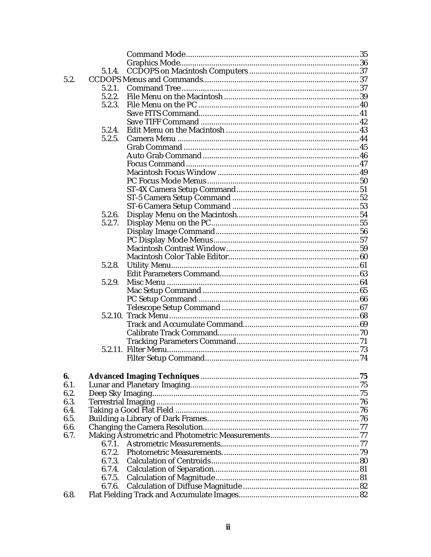|      | 5.1.4. |  |
|------|--------|--|
| 5.2. |        |  |
|      | 5.2.1. |  |
|      | 5.2.2. |  |
|      | 5.2.3. |  |
|      |        |  |
|      |        |  |
|      | 5.2.4. |  |
|      | 5.2.5. |  |
|      |        |  |
|      |        |  |
|      |        |  |
|      |        |  |
|      |        |  |
|      |        |  |
|      |        |  |
|      |        |  |
|      |        |  |
|      | 5.2.6. |  |
|      | 5.2.7. |  |
|      |        |  |
|      |        |  |
|      |        |  |
|      |        |  |
|      | 5.2.8. |  |
|      |        |  |
|      | 5.2.9. |  |
|      |        |  |
|      |        |  |
|      |        |  |
|      |        |  |
|      |        |  |
|      |        |  |
|      |        |  |
|      |        |  |
|      |        |  |
|      |        |  |
| 6.   |        |  |
| 6.1. |        |  |
| 6.2. |        |  |
| 6.3. |        |  |
| 6.4. |        |  |
|      |        |  |
| 6.5. |        |  |
| 6.6. |        |  |
| 6.7. |        |  |
|      | 6.7.1. |  |
|      | 6.7.2. |  |
|      | 6.7.3. |  |
|      | 6.7.4. |  |
|      | 6.7.5. |  |
|      | 6.7.6. |  |
| 6.8. |        |  |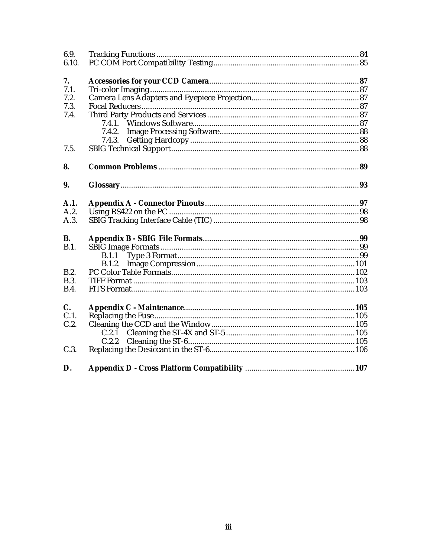| 6.9.        |        |  |
|-------------|--------|--|
| 6.10.       |        |  |
| 7.          |        |  |
| 7.1.        |        |  |
| 7.2.        |        |  |
| 7.3.        |        |  |
| 7.4.        |        |  |
|             | 7.4.1. |  |
|             | 7.4.2. |  |
|             | 7.4.3. |  |
| 7.5.        |        |  |
| 8.          |        |  |
| 9.          |        |  |
| A.1.        |        |  |
| A.2.        |        |  |
| A.3.        |        |  |
| <b>B.</b>   |        |  |
| B.1.        |        |  |
|             | B.1.1  |  |
|             | B.1.2. |  |
| B.2.        |        |  |
| B.3.        |        |  |
| <b>B.4.</b> |        |  |
| $C_{\cdot}$ |        |  |
| C.1.        |        |  |
| C.2.        |        |  |
|             |        |  |
|             | C.2.2  |  |
| C.3.        |        |  |
| D.          |        |  |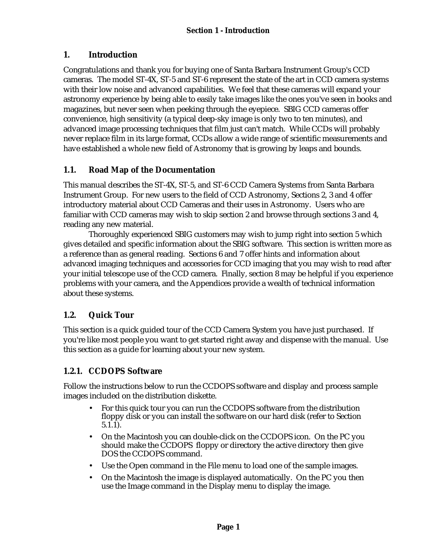# **1. Introduction**

Congratulations and thank you for buying one of Santa Barbara Instrument Group's CCD cameras. The model ST-4X, ST-5 and ST-6 represent the state of the art in CCD camera systems with their low noise and advanced capabilities. We feel that these cameras will expand your astronomy experience by being able to easily take images like the ones you've seen in books and magazines, but never seen when peeking through the eyepiece. SBIG CCD cameras offer convenience, high sensitivity (a typical deep-sky image is only two to ten minutes), and advanced image processing techniques that film just can't match. While CCDs will probably never replace film in its large format, CCDs allow a wide range of scientific measurements and have established a whole new field of Astronomy that is growing by leaps and bounds.

# **1.1. Road Map of the Documentation**

This manual describes the ST-4X, ST-5, and ST-6 CCD Camera Systems from Santa Barbara Instrument Group. For new users to the field of CCD Astronomy, Sections 2, 3 and 4 offer introductory material about CCD Cameras and their uses in Astronomy. Users who are familiar with CCD cameras may wish to skip section 2 and browse through sections 3 and 4, reading any new material.

Thoroughly experienced SBIG customers may wish to jump right into section 5 which gives detailed and specific information about the SBIG software. This section is written more as a reference than as general reading. Sections 6 and 7 offer hints and information about advanced imaging techniques and accessories for CCD imaging that you may wish to read after your initial telescope use of the CCD camera. Finally, section 8 may be helpful if you experience problems with your camera, and the Appendices provide a wealth of technical information about these systems.

# **1.2. Quick Tour**

This section is a quick guided tour of the CCD Camera System you have just purchased. If you're like most people you want to get started right away and dispense with the manual. Use this section as a guide for learning about your new system.

## **1.2.1. CCDOPS Software**

Follow the instructions below to run the CCDOPS software and display and process sample images included on the distribution diskette.

- For this quick tour you can run the CCDOPS software from the distribution floppy disk or you can install the software on our hard disk (refer to Section 5.1.1).
- On the Macintosh you can double-click on the CCDOPS icon. On the PC you should make the CCDOPS floppy or directory the active directory then give DOS the CCDOPS command.
- Use the Open command in the File menu to load one of the sample images.
- On the Macintosh the image is displayed automatically. On the PC you then use the Image command in the Display menu to display the image.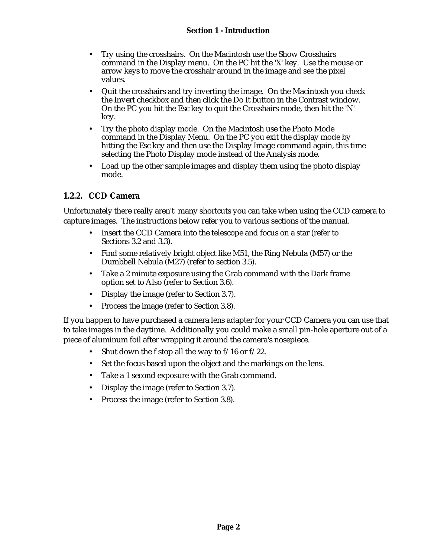- Try using the crosshairs. On the Macintosh use the Show Crosshairs command in the Display menu. On the PC hit the 'X' key. Use the mouse or arrow keys to move the crosshair around in the image and see the pixel values.
- Quit the crosshairs and try inverting the image. On the Macintosh you check the Invert checkbox and then click the Do It button in the Contrast window. On the PC you hit the Esc key to quit the Crosshairs mode, then hit the 'N' key.
- Try the photo display mode. On the Macintosh use the Photo Mode command in the Display Menu. On the PC you exit the display mode by hitting the Esc key and then use the Display Image command again, this time selecting the Photo Display mode instead of the Analysis mode.
- Load up the other sample images and display them using the photo display mode.

#### **1.2.2. CCD Camera**

Unfortunately there really aren't many shortcuts you can take when using the CCD camera to capture images. The instructions below refer you to various sections of the manual.

- Insert the CCD Camera into the telescope and focus on a star (refer to Sections 3.2 and 3.3).
- Find some relatively bright object like M51, the Ring Nebula (M57) or the Dumbbell Nebula (M27) (refer to section 3.5).
- Take a 2 minute exposure using the Grab command with the Dark frame option set to Also (refer to Section 3.6).
- Display the image (refer to Section 3.7).
- Process the image (refer to Section 3.8).

If you happen to have purchased a camera lens adapter for your CCD Camera you can use that to take images in the daytime. Additionally you could make a small pin-hole aperture out of a piece of aluminum foil after wrapping it around the camera's nosepiece.

- Shut down the f stop all the way to  $f/16$  or  $f/22$ .
- Set the focus based upon the object and the markings on the lens.
- Take a 1 second exposure with the Grab command.
- Display the image (refer to Section 3.7).
- Process the image (refer to Section 3.8).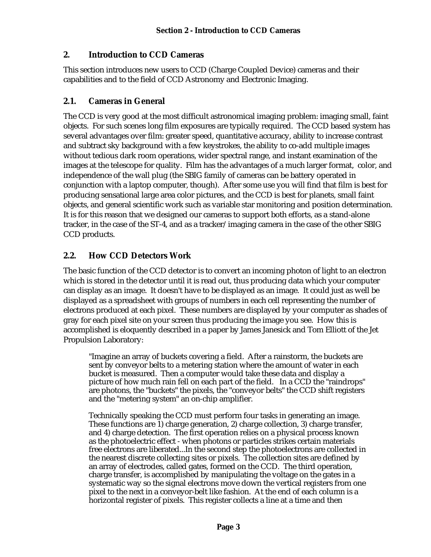#### **2. Introduction to CCD Cameras**

This section introduces new users to CCD (Charge Coupled Device) cameras and their capabilities and to the field of CCD Astronomy and Electronic Imaging.

#### **2.1. Cameras in General**

The CCD is very good at the most difficult astronomical imaging problem: imaging small, faint objects. For such scenes long film exposures are typically required. The CCD based system has several advantages over film: greater speed, quantitative accuracy, ability to increase contrast and subtract sky background with a few keystrokes, the ability to co-add multiple images without tedious dark room operations, wider spectral range, and instant examination of the images at the telescope for quality. Film has the advantages of a much larger format, color, and independence of the wall plug (the SBIG family of cameras can be battery operated in conjunction with a laptop computer, though). After some use you will find that film is best for producing sensational large area color pictures, and the CCD is best for planets, small faint objects, and general scientific work such as variable star monitoring and position determination. It is for this reason that we designed our cameras to support both efforts, as a stand-alone tracker, in the case of the ST-4, and as a tracker/imaging camera in the case of the other SBIG CCD products.

## **2.2. How CCD Detectors Work**

The basic function of the CCD detector is to convert an incoming photon of light to an electron which is stored in the detector until it is read out, thus producing data which your computer can display as an image. It doesn't have to be displayed as an image. It could just as well be displayed as a spreadsheet with groups of numbers in each cell representing the number of electrons produced at each pixel. These numbers are displayed by your computer as shades of gray for each pixel site on your screen thus producing the image you see. How this is accomplished is eloquently described in a paper by James Janesick and Tom Elliott of the Jet Propulsion Laboratory:

"Imagine an array of buckets covering a field. After a rainstorm, the buckets are sent by conveyor belts to a metering station where the amount of water in each bucket is measured. Then a computer would take these data and display a picture of how much rain fell on each part of the field. In a CCD the "raindrops" are photons, the "buckets" the pixels, the "conveyor belts" the CCD shift registers and the "metering system" an on-chip amplifier.

Technically speaking the CCD must perform four tasks in generating an image. These functions are 1) charge generation, 2) charge collection, 3) charge transfer, and 4) charge detection. The first operation relies on a physical process known as the photoelectric effect - when photons or particles strikes certain materials free electrons are liberated...In the second step the photoelectrons are collected in the nearest discrete collecting sites or pixels. The collection sites are defined by an array of electrodes, called gates, formed on the CCD. The third operation, charge transfer, is accomplished by manipulating the voltage on the gates in a systematic way so the signal electrons move down the vertical registers from one pixel to the next in a conveyor-belt like fashion. At the end of each column is a horizontal register of pixels. This register collects a line at a time and then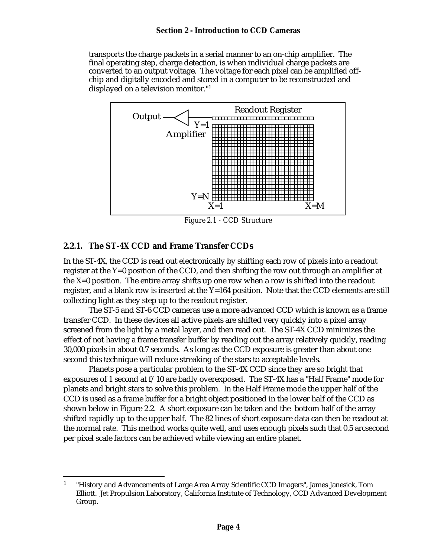transports the charge packets in a serial manner to an on-chip amplifier. The final operating step, charge detection, is when individual charge packets are converted to an output voltage. The voltage for each pixel can be amplified offchip and digitally encoded and stored in a computer to be reconstructed and displayed on a television monitor."<sup>1</sup>



*Figure 2.1 - CCD Structure*

#### **2.2.1. The ST-4X CCD and Frame Transfer CCDs**

In the ST-4X, the CCD is read out electronically by shifting each row of pixels into a readout register at the Y=0 position of the CCD, and then shifting the row out through an amplifier at the X=0 position. The entire array shifts up one row when a row is shifted into the readout register, and a blank row is inserted at the Y=164 position. Note that the CCD elements are still collecting light as they step up to the readout register.

The ST-5 and ST-6 CCD cameras use a more advanced CCD which is known as a frame transfer CCD. In these devices all active pixels are shifted very quickly into a pixel array screened from the light by a metal layer, and then read out. The ST-4X CCD minimizes the effect of not having a frame transfer buffer by reading out the array relatively quickly, reading 30,000 pixels in about 0.7 seconds. As long as the CCD exposure is greater than about one second this technique will reduce streaking of the stars to acceptable levels.

Planets pose a particular problem to the ST-4X CCD since they are so bright that exposures of 1 second at f/10 are badly overexposed. The ST-4X has a "Half Frame" mode for planets and bright stars to solve this problem. In the Half Frame mode the upper half of the CCD is used as a frame buffer for a bright object positioned in the lower half of the CCD as shown below in Figure 2.2. A short exposure can be taken and the bottom half of the array shifted rapidly up to the upper half. The 82 lines of short exposure data can then be readout at the normal rate. This method works quite well, and uses enough pixels such that 0.5 arcsecond per pixel scale factors can be achieved while viewing an entire planet.

<sup>1</sup> <sup>1</sup> "History and Advancements of Large Area Array Scientific CCD Imagers", James Janesick, Tom Elliott. Jet Propulsion Laboratory, California Institute of Technology, CCD Advanced Development Group.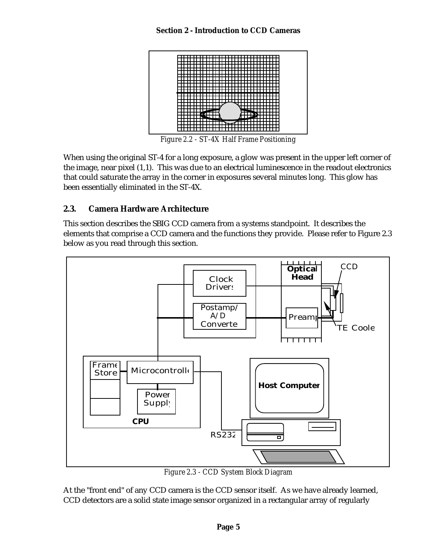

*Figure 2.2 - ST-4X Half Frame Positioning*

When using the original ST-4 for a long exposure, a glow was present in the upper left corner of the image, near pixel (1,1). This was due to an electrical luminescence in the readout electronics that could saturate the array in the corner in exposures several minutes long. This glow has been essentially eliminated in the ST-4X.

#### **2.3. Camera Hardware Architecture**

This section describes the SBIG CCD camera from a systems standpoint. It describes the elements that comprise a CCD camera and the functions they provide. Please refer to Figure 2.3 below as you read through this section.



*Figure 2.3 - CCD System Block Diagram*

At the "front end" of any CCD camera is the CCD sensor itself. As we have already learned, CCD detectors are a solid state image sensor organized in a rectangular array of regularly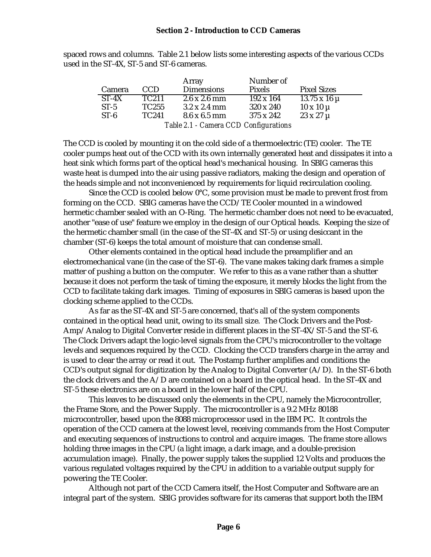spaced rows and columns. Table 2.1 below lists some interesting aspects of the various CCDs used in the ST-4X, ST-5 and ST-6 cameras.

|                                       |                   | Array                       | Number of        |                       |  |  |
|---------------------------------------|-------------------|-----------------------------|------------------|-----------------------|--|--|
| Camera                                | CCD.              | <b>Dimensions</b>           | Pixels           | <b>Pixel Sizes</b>    |  |  |
| $ST-4X$                               | TC <sub>211</sub> | $2.6 \times 2.6$ mm         | $192 \times 164$ | $13.75 \times 16 \mu$ |  |  |
| $ST-5$                                | TC255             | $3.2 \times 2.4 \text{ mm}$ | 320 x 240        | $10 \times 10 \mu$    |  |  |
| $ST-6$                                | TC <sub>241</sub> | $8.6 \times 6.5 \text{ mm}$ | 375 x 242        | $23 \times 27 \mu$    |  |  |
| Table 2.1 - Camera CCD Configurations |                   |                             |                  |                       |  |  |

The CCD is cooled by mounting it on the cold side of a thermoelectric (TE) cooler. The TE cooler pumps heat out of the CCD with its own internally generated heat and dissipates it into a heat sink which forms part of the optical head's mechanical housing. In SBIG cameras this waste heat is dumped into the air using passive radiators, making the design and operation of the heads simple and not inconvenienced by requirements for liquid recirculation cooling.

Since the CCD is cooled below 0°C, some provision must be made to prevent frost from forming on the CCD. SBIG cameras have the CCD/TE Cooler mounted in a windowed hermetic chamber sealed with an O-Ring. The hermetic chamber does not need to be evacuated, another "ease of use" feature we employ in the design of our Optical heads. Keeping the size of the hermetic chamber small (in the case of the ST-4X and ST-5) or using desiccant in the chamber (ST-6) keeps the total amount of moisture that can condense small.

Other elements contained in the optical head include the preamplifier and an electromechanical vane (in the case of the ST-6). The vane makes taking dark frames a simple matter of pushing a button on the computer. We refer to this as a vane rather than a shutter because it does not perform the task of timing the exposure, it merely blocks the light from the CCD to facilitate taking dark images. Timing of exposures in SBIG cameras is based upon the clocking scheme applied to the CCDs.

As far as the ST-4X and ST-5 are concerned, that's all of the system components contained in the optical head unit, owing to its small size. The Clock Drivers and the Post-Amp/Analog to Digital Converter reside in different places in the ST-4X/ST-5 and the ST-6. The Clock Drivers adapt the logic-level signals from the CPU's microcontroller to the voltage levels and sequences required by the CCD. Clocking the CCD transfers charge in the array and is used to clear the array or read it out. The Postamp further amplifies and conditions the CCD's output signal for digitization by the Analog to Digital Converter  $(A/D)$ . In the ST-6 both the clock drivers and the  $A/D$  are contained on a board in the optical head. In the ST-4X and ST-5 these electronics are on a board in the lower half of the CPU.

This leaves to be discussed only the elements in the CPU, namely the Microcontroller, the Frame Store, and the Power Supply. The microcontroller is a 9.2 MHz 80188 microcontroller, based upon the 8088 microprocessor used in the IBM PC. It controls the operation of the CCD camera at the lowest level, receiving commands from the Host Computer and executing sequences of instructions to control and acquire images. The frame store allows holding three images in the CPU (a light image, a dark image, and a double-precision accumulation image). Finally, the power supply takes the supplied 12 Volts and produces the various regulated voltages required by the CPU in addition to a variable output supply for powering the TE Cooler.

Although not part of the CCD Camera itself, the Host Computer and Software are an integral part of the system. SBIG provides software for its cameras that support both the IBM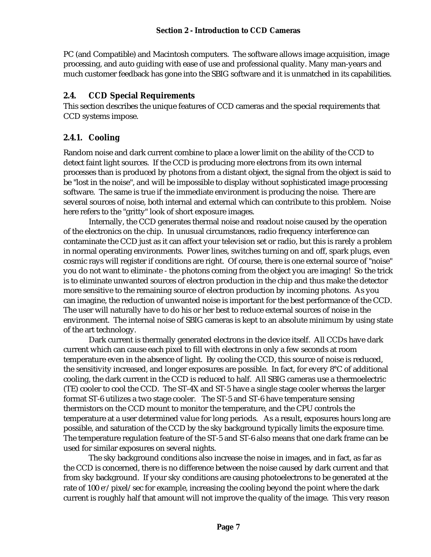PC (and Compatible) and Macintosh computers. The software allows image acquisition, image processing, and auto guiding with ease of use and professional quality. Many man-years and much customer feedback has gone into the SBIG software and it is unmatched in its capabilities.

# **2.4. CCD Special Requirements**

This section describes the unique features of CCD cameras and the special requirements that CCD systems impose.

# **2.4.1. Cooling**

Random noise and dark current combine to place a lower limit on the ability of the CCD to detect faint light sources. If the CCD is producing more electrons from its own internal processes than is produced by photons from a distant object, the signal from the object is said to be "lost in the noise", and will be impossible to display without sophisticated image processing software. The same is true if the immediate environment is producing the noise. There are several sources of noise, both internal and external which can contribute to this problem. Noise here refers to the "gritty" look of short exposure images.

Internally, the CCD generates thermal noise and readout noise caused by the operation of the electronics on the chip. In unusual circumstances, radio frequency interference can contaminate the CCD just as it can affect your television set or radio, but this is rarely a problem in normal operating environments. Power lines, switches turning on and off, spark plugs, even cosmic rays will register if conditions are right. Of course, there is one external source of "noise" you do not want to eliminate - the photons coming from the object you are imaging! So the trick is to eliminate unwanted sources of electron production in the chip and thus make the detector more sensitive to the remaining source of electron production by incoming photons. As you can imagine, the reduction of unwanted noise is important for the best performance of the CCD. The user will naturally have to do his or her best to reduce external sources of noise in the environment. The internal noise of SBIG cameras is kept to an absolute minimum by using state of the art technology.

Dark current is thermally generated electrons in the device itself. All CCDs have dark current which can cause each pixel to fill with electrons in only a few seconds at room temperature even in the absence of light. By cooling the CCD, this source of noise is reduced, the sensitivity increased, and longer exposures are possible. In fact, for every 8°C of additional cooling, the dark current in the CCD is reduced to half. All SBIG cameras use a thermoelectric (TE) cooler to cool the CCD. The ST-4X and ST-5 have a single stage cooler whereas the larger format ST-6 utilizes a two stage cooler. The ST-5 and ST-6 have temperature sensing thermistors on the CCD mount to monitor the temperature, and the CPU controls the temperature at a user determined value for long periods. As a result, exposures hours long are possible, and saturation of the CCD by the sky background typically limits the exposure time. The temperature regulation feature of the ST-5 and ST-6 also means that one dark frame can be used for similar exposures on several nights.

The sky background conditions also increase the noise in images, and in fact, as far as the CCD is concerned, there is no difference between the noise caused by dark current and that from sky background. If your sky conditions are causing photoelectrons to be generated at the rate of 100 e<sup>-</sup>/pixel/sec for example, increasing the cooling beyond the point where the dark current is roughly half that amount will not improve the quality of the image. This very reason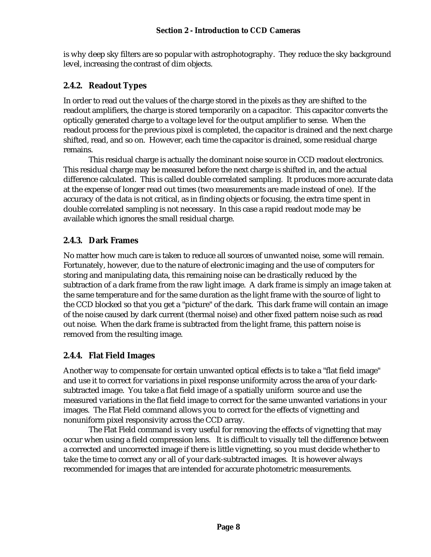is why deep sky filters are so popular with astrophotography. They reduce the sky background level, increasing the contrast of dim objects.

## **2.4.2. Readout Types**

In order to read out the values of the charge stored in the pixels as they are shifted to the readout amplifiers, the charge is stored temporarily on a capacitor. This capacitor converts the optically generated charge to a voltage level for the output amplifier to sense. When the readout process for the previous pixel is completed, the capacitor is drained and the next charge shifted, read, and so on. However, each time the capacitor is drained, some residual charge remains.

This residual charge is actually the dominant noise source in CCD readout electronics. This residual charge may be measured before the next charge is shifted in, and the actual difference calculated. This is called double correlated sampling. It produces more accurate data at the expense of longer read out times (two measurements are made instead of one). If the accuracy of the data is not critical, as in finding objects or focusing, the extra time spent in double correlated sampling is not necessary. In this case a rapid readout mode may be available which ignores the small residual charge.

## **2.4.3. Dark Frames**

No matter how much care is taken to reduce all sources of unwanted noise, some will remain. Fortunately, however, due to the nature of electronic imaging and the use of computers for storing and manipulating data, this remaining noise can be drastically reduced by the subtraction of a dark frame from the raw light image. A dark frame is simply an image taken at the same temperature and for the same duration as the light frame with the source of light to the CCD blocked so that you get a "picture" of the dark. This dark frame will contain an image of the noise caused by dark current (thermal noise) and other fixed pattern noise such as read out noise. When the dark frame is subtracted from the light frame, this pattern noise is removed from the resulting image.

## **2.4.4. Flat Field Images**

Another way to compensate for certain unwanted optical effects is to take a "flat field image" and use it to correct for variations in pixel response uniformity across the area of your darksubtracted image. You take a flat field image of a spatially uniform source and use the measured variations in the flat field image to correct for the same unwanted variations in your images. The Flat Field command allows you to correct for the effects of vignetting and nonuniform pixel responsivity across the CCD array.

The Flat Field command is very useful for removing the effects of vignetting that may occur when using a field compression lens. It is difficult to visually tell the difference between a corrected and uncorrected image if there is little vignetting, so you must decide whether to take the time to correct any or all of your dark-subtracted images. It is however always recommended for images that are intended for accurate photometric measurements.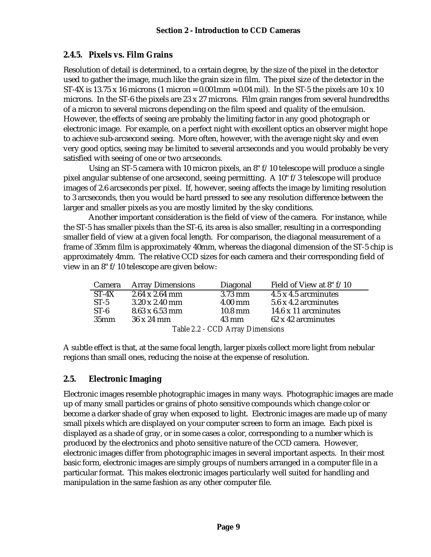# **2.4.5. Pixels vs. Film Grains**

Resolution of detail is determined, to a certain degree, by the size of the pixel in the detector used to gather the image, much like the grain size in film. The pixel size of the detector in the ST-4X is 13.75 x 16 microns (1 micron = 0.001mm  $\approx$  0.04 mil). In the ST-5 the pixels are 10 x 10 microns. In the ST-6 the pixels are 23 x 27 microns. Film grain ranges from several hundredths of a micron to several microns depending on the film speed and quality of the emulsion. However, the effects of seeing are probably the limiting factor in any good photograph or electronic image. For example, on a perfect night with excellent optics an observer might hope to achieve sub-arcsecond seeing. More often, however, with the average night sky and even very good optics, seeing may be limited to several arcseconds and you would probably be very satisfied with seeing of one or two arcseconds.

Using an ST-5 camera with 10 micron pixels, an  $8" f/10$  telescope will produce a single pixel angular subtense of one arcsecond, seeing permitting. A 10" f/3 telescope will produce images of 2.6 arcseconds per pixel. If, however, seeing affects the image by limiting resolution to 3 arcseconds, then you would be hard pressed to see any resolution difference between the larger and smaller pixels as you are mostly limited by the sky conditions.

Another important consideration is the field of view of the camera. For instance, while the ST-5 has smaller pixels than the ST-6, its area is also smaller, resulting in a corresponding smaller field of view at a given focal length. For comparison, the diagonal measurement of a frame of 35mm film is approximately 40mm, whereas the diagonal dimension of the ST-5 chip is approximately 4mm. The relative CCD sizes for each camera and their corresponding field of view in an 8" f/10 telescope are given below:

| <b>Camera</b>                    | <b>Array Dimensions</b>       | Diagonal        | Field of View at 8" f/10 |  |  |
|----------------------------------|-------------------------------|-----------------|--------------------------|--|--|
| $ST-4X$                          | $2.64 \times 2.64$ mm         | $3.73$ mm       | 4.5 x 4.5 arcminutes     |  |  |
| $ST-5$                           | $3.20 \times 2.40$ mm         | $4.00$ mm       | 5.6 x 4.2 arcminutes     |  |  |
| $ST-6$                           | $8.63 \times 6.53 \text{ mm}$ | 10.8 mm         | 14.6 x 11 arcminutes     |  |  |
| 35 <sub>mm</sub>                 | 36 x 24 mm                    | $43 \text{ mm}$ | 62 x 42 arcminutes       |  |  |
| Table 2.2 - CCD Array Dimensions |                               |                 |                          |  |  |

A subtle effect is that, at the same focal length, larger pixels collect more light from nebular regions than small ones, reducing the noise at the expense of resolution.

# **2.5. Electronic Imaging**

Electronic images resemble photographic images in many ways. Photographic images are made up of many small particles or grains of photo sensitive compounds which change color or become a darker shade of gray when exposed to light. Electronic images are made up of many small pixels which are displayed on your computer screen to form an image. Each pixel is displayed as a shade of gray, or in some cases a color, corresponding to a number which is produced by the electronics and photo sensitive nature of the CCD camera. However, electronic images differ from photographic images in several important aspects. In their most basic form, electronic images are simply groups of numbers arranged in a computer file in a particular format. This makes electronic images particularly well suited for handling and manipulation in the same fashion as any other computer file.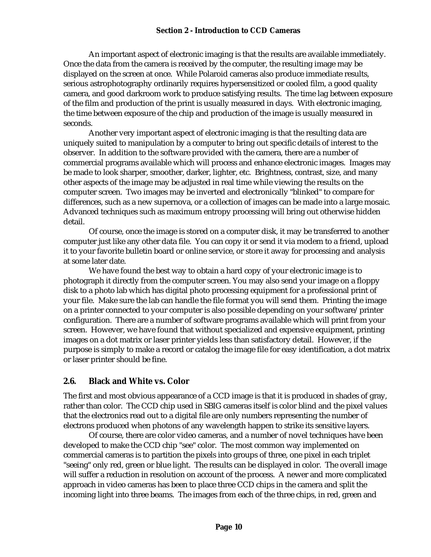#### **Section 2 - Introduction to CCD Cameras**

An important aspect of electronic imaging is that the results are available immediately. Once the data from the camera is received by the computer, the resulting image may be displayed on the screen at once. While Polaroid cameras also produce immediate results, serious astrophotography ordinarily requires hypersensitized or cooled film, a good quality camera, and good darkroom work to produce satisfying results. The time lag between exposure of the film and production of the print is usually measured in days. With electronic imaging, the time between exposure of the chip and production of the image is usually measured in seconds.

Another very important aspect of electronic imaging is that the resulting data are uniquely suited to manipulation by a computer to bring out specific details of interest to the observer. In addition to the software provided with the camera, there are a number of commercial programs available which will process and enhance electronic images. Images may be made to look sharper, smoother, darker, lighter, etc. Brightness, contrast, size, and many other aspects of the image may be adjusted in real time while viewing the results on the computer screen. Two images may be inverted and electronically "blinked" to compare for differences, such as a new supernova, or a collection of images can be made into a large mosaic. Advanced techniques such as maximum entropy processing will bring out otherwise hidden detail.

Of course, once the image is stored on a computer disk, it may be transferred to another computer just like any other data file. You can copy it or send it via modem to a friend, upload it to your favorite bulletin board or online service, or store it away for processing and analysis at some later date.

We have found the best way to obtain a hard copy of your electronic image is to photograph it directly from the computer screen. You may also send your image on a floppy disk to a photo lab which has digital photo processing equipment for a professional print of your file. Make sure the lab can handle the file format you will send them. Printing the image on a printer connected to your computer is also possible depending on your software/printer configuration. There are a number of software programs available which will print from your screen. However, we have found that without specialized and expensive equipment, printing images on a dot matrix or laser printer yields less than satisfactory detail. However, if the purpose is simply to make a record or catalog the image file for easy identification, a dot matrix or laser printer should be fine.

## **2.6. Black and White vs. Color**

The first and most obvious appearance of a CCD image is that it is produced in shades of gray, rather than color. The CCD chip used in SBIG cameras itself is color blind and the pixel values that the electronics read out to a digital file are only numbers representing the number of electrons produced when photons of any wavelength happen to strike its sensitive layers.

Of course, there are color video cameras, and a number of novel techniques have been developed to make the CCD chip "see" color. The most common way implemented on commercial cameras is to partition the pixels into groups of three, one pixel in each triplet "seeing" only red, green or blue light. The results can be displayed in color. The overall image will suffer a reduction in resolution on account of the process. A newer and more complicated approach in video cameras has been to place three CCD chips in the camera and split the incoming light into three beams. The images from each of the three chips, in red, green and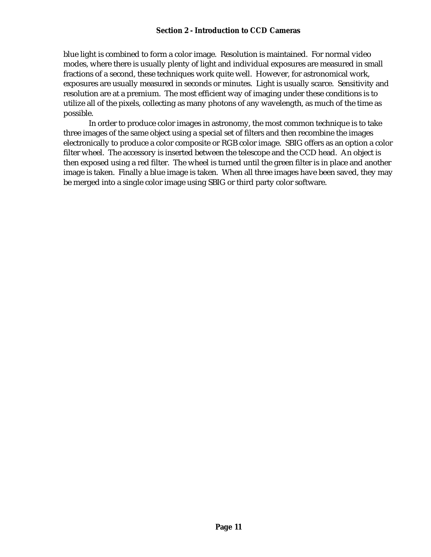#### **Section 2 - Introduction to CCD Cameras**

blue light is combined to form a color image. Resolution is maintained. For normal video modes, where there is usually plenty of light and individual exposures are measured in small fractions of a second, these techniques work quite well. However, for astronomical work, exposures are usually measured in seconds or minutes. Light is usually scarce. Sensitivity and resolution are at a premium. The most efficient way of imaging under these conditions is to utilize all of the pixels, collecting as many photons of any wavelength, as much of the time as possible.

In order to produce color images in astronomy, the most common technique is to take three images of the same object using a special set of filters and then recombine the images electronically to produce a color composite or RGB color image. SBIG offers as an option a color filter wheel. The accessory is inserted between the telescope and the CCD head. An object is then exposed using a red filter. The wheel is turned until the green filter is in place and another image is taken. Finally a blue image is taken. When all three images have been saved, they may be merged into a single color image using SBIG or third party color software.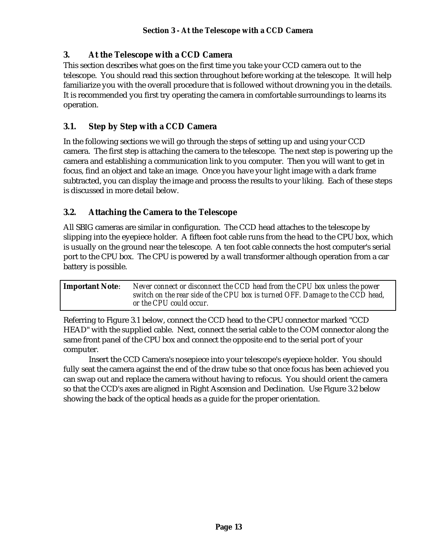## **3. At the Telescope with a CCD Camera**

This section describes what goes on the first time you take your CCD camera out to the telescope. You should read this section throughout before working at the telescope. It will help familiarize you with the overall procedure that is followed without drowning you in the details. It is recommended you first try operating the camera in comfortable surroundings to learns its operation.

# **3.1. Step by Step with a CCD Camera**

In the following sections we will go through the steps of setting up and using your CCD camera. The first step is attaching the camera to the telescope. The next step is powering up the camera and establishing a communication link to you computer. Then you will want to get in focus, find an object and take an image. Once you have your light image with a dark frame subtracted, you can display the image and process the results to your liking. Each of these steps is discussed in more detail below.

# **3.2. Attaching the Camera to the Telescope**

All SBIG cameras are similar in configuration. The CCD head attaches to the telescope by slipping into the eyepiece holder. A fifteen foot cable runs from the head to the CPU box, which is usually on the ground near the telescope. A ten foot cable connects the host computer's serial port to the CPU box. The CPU is powered by a wall transformer although operation from a car battery is possible.

| <b>Important Note:</b> | Never connect or disconnect the CCD head from the CPU box unless the power<br>switch on the rear side of the CPU box is turned OFF. Damage to the CCD head,<br>or the CPU could occur. |
|------------------------|----------------------------------------------------------------------------------------------------------------------------------------------------------------------------------------|
|                        |                                                                                                                                                                                        |

Referring to Figure 3.1 below, connect the CCD head to the CPU connector marked "CCD HEAD" with the supplied cable. Next, connect the serial cable to the COM connector along the same front panel of the CPU box and connect the opposite end to the serial port of your computer.

Insert the CCD Camera's nosepiece into your telescope's eyepiece holder. You should fully seat the camera against the end of the draw tube so that once focus has been achieved you can swap out and replace the camera without having to refocus. You should orient the camera so that the CCD's axes are aligned in Right Ascension and Declination. Use Figure 3.2 below showing the back of the optical heads as a guide for the proper orientation.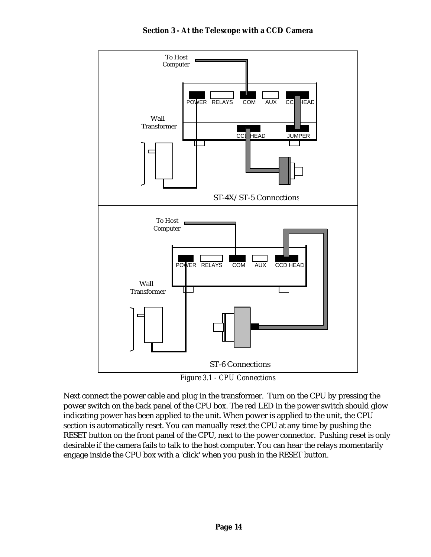

*Figure 3.1 - CPU Connections*

Next connect the power cable and plug in the transformer. Turn on the CPU by pressing the power switch on the back panel of the CPU box. The red LED in the power switch should glow indicating power has been applied to the unit. When power is applied to the unit, the CPU section is automatically reset. You can manually reset the CPU at any time by pushing the RESET button on the front panel of the CPU, next to the power connector. Pushing reset is only desirable if the camera fails to talk to the host computer. You can hear the relays momentarily engage inside the CPU box with a 'click' when you push in the RESET button.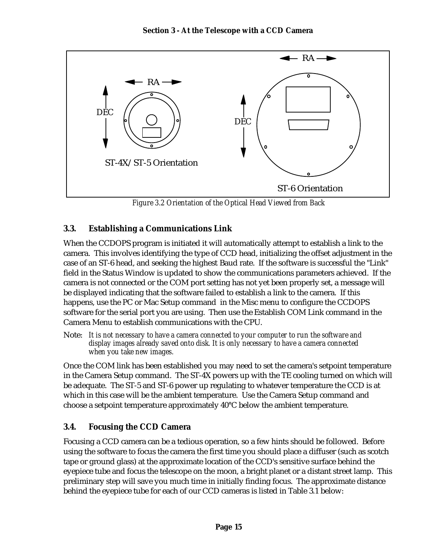

*Figure 3.2 Orientation of the Optical Head Viewed from Back*

# **3.3. Establishing a Communications Link**

When the CCDOPS program is initiated it will automatically attempt to establish a link to the camera. This involves identifying the type of CCD head, initializing the offset adjustment in the case of an ST-6 head, and seeking the highest Baud rate. If the software is successful the "Link" field in the Status Window is updated to show the communications parameters achieved. If the camera is not connected or the COM port setting has not yet been properly set, a message will be displayed indicating that the software failed to establish a link to the camera. If this happens, use the PC or Mac Setup command in the Misc menu to configure the CCDOPS software for the serial port you are using. Then use the Establish COM Link command in the Camera Menu to establish communications with the CPU.

Note: *It is not necessary to have a camera connected to your computer to run the software and display images already saved onto disk. It is only necessary to have a camera connected when you take new images.*

Once the COM link has been established you may need to set the camera's setpoint temperature in the Camera Setup command. The ST-4X powers up with the TE cooling turned on which will be adequate. The ST-5 and ST-6 power up regulating to whatever temperature the CCD is at which in this case will be the ambient temperature. Use the Camera Setup command and choose a setpoint temperature approximately 40°C below the ambient temperature.

## **3.4. Focusing the CCD Camera**

Focusing a CCD camera can be a tedious operation, so a few hints should be followed. Before using the software to focus the camera the first time you should place a diffuser (such as scotch tape or ground glass) at the approximate location of the CCD's sensitive surface behind the eyepiece tube and focus the telescope on the moon, a bright planet or a distant street lamp. This preliminary step will save you much time in initially finding focus. The approximate distance behind the eyepiece tube for each of our CCD cameras is listed in Table 3.1 below: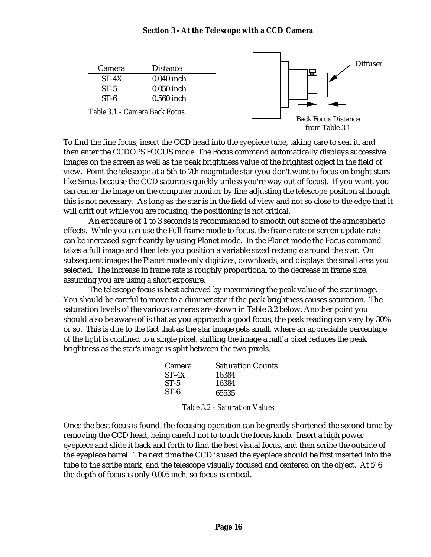#### **Section 3 - At the Telescope with a CCD Camera**



To find the fine focus, insert the CCD head into the eyepiece tube, taking care to seat it, and then enter the CCDOPS FOCUS mode. The Focus command automatically displays successive images on the screen as well as the peak brightness value of the brightest object in the field of view. Point the telescope at a 5th to 7th magnitude star (you don't want to focus on bright stars like Sirius because the CCD saturates quickly unless you're way out of focus). If you want, you can center the image on the computer monitor by fine adjusting the telescope position although this is not necessary. As long as the star is in the field of view and not so close to the edge that it will drift out while you are focusing, the positioning is not critical.

An exposure of 1 to 3 seconds is recommended to smooth out some of the atmospheric effects. While you can use the Full frame mode to focus, the frame rate or screen update rate can be increased significantly by using Planet mode. In the Planet mode the Focus command takes a full image and then lets you position a variable sized rectangle around the star. On subsequent images the Planet mode only digitizes, downloads, and displays the small area you selected. The increase in frame rate is roughly proportional to the decrease in frame size, assuming you are using a short exposure.

The telescope focus is best achieved by maximizing the peak value of the star image. You should be careful to move to a dimmer star if the peak brightness causes saturation. The saturation levels of the various cameras are shown in Table 3.2 below. Another point you should also be aware of is that as you approach a good focus, the peak reading can vary by 30% or so. This is due to the fact that as the star image gets small, where an appreciable percentage of the light is confined to a single pixel, shifting the image a half a pixel reduces the peak brightness as the star's image is split between the two pixels.

| Camera  | <b>Saturation Counts</b> |
|---------|--------------------------|
| $ST-4X$ | 16384                    |
| $ST-5$  | 16384                    |
| $ST-6$  | 65535                    |

|  | <b>Table 3.2 - Saturation Values</b> |  |
|--|--------------------------------------|--|
|--|--------------------------------------|--|

Once the best focus is found, the focusing operation can be greatly shortened the second time by removing the CCD head, being careful not to touch the focus knob. Insert a high power eyepiece and slide it back and forth to find the best visual focus, and then scribe the outside of the eyepiece barrel. The next time the CCD is used the eyepiece should be first inserted into the tube to the scribe mark, and the telescope visually focused and centered on the object. At  $f/6$ the depth of focus is only 0.005 inch, so focus is critical.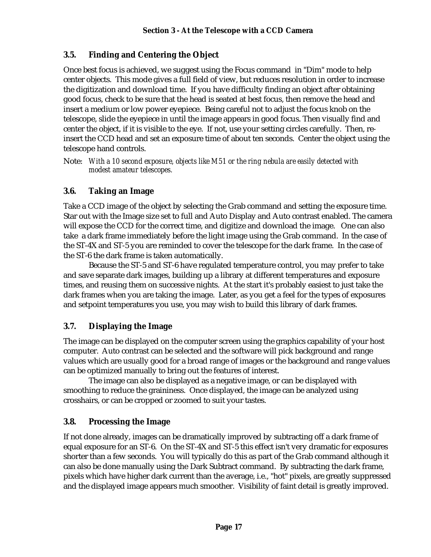## **3.5. Finding and Centering the Object**

Once best focus is achieved, we suggest using the Focus command in "Dim" mode to help center objects. This mode gives a full field of view, but reduces resolution in order to increase the digitization and download time. If you have difficulty finding an object after obtaining good focus, check to be sure that the head is seated at best focus, then remove the head and insert a medium or low power eyepiece. Being careful not to adjust the focus knob on the telescope, slide the eyepiece in until the image appears in good focus. Then visually find and center the object, if it is visible to the eye. If not, use your setting circles carefully. Then, reinsert the CCD head and set an exposure time of about ten seconds. Center the object using the telescope hand controls.

Note: *With a 10 second exposure, objects like M51 or the ring nebula are easily detected with modest amateur telescopes.*

## **3.6. Taking an Image**

Take a CCD image of the object by selecting the Grab command and setting the exposure time. Star out with the Image size set to full and Auto Display and Auto contrast enabled. The camera will expose the CCD for the correct time, and digitize and download the image. One can also take a dark frame immediately before the light image using the Grab command. In the case of the ST-4X and ST-5 you are reminded to cover the telescope for the dark frame. In the case of the ST-6 the dark frame is taken automatically.

Because the ST-5 and ST-6 have regulated temperature control, you may prefer to take and save separate dark images, building up a library at different temperatures and exposure times, and reusing them on successive nights. At the start it's probably easiest to just take the dark frames when you are taking the image. Later, as you get a feel for the types of exposures and setpoint temperatures you use, you may wish to build this library of dark frames.

## **3.7. Displaying the Image**

The image can be displayed on the computer screen using the graphics capability of your host computer. Auto contrast can be selected and the software will pick background and range values which are usually good for a broad range of images or the background and range values can be optimized manually to bring out the features of interest.

The image can also be displayed as a negative image, or can be displayed with smoothing to reduce the graininess. Once displayed, the image can be analyzed using crosshairs, or can be cropped or zoomed to suit your tastes.

#### **3.8. Processing the Image**

If not done already, images can be dramatically improved by subtracting off a dark frame of equal exposure for an ST-6. On the ST-4X and ST-5 this effect isn't very dramatic for exposures shorter than a few seconds. You will typically do this as part of the Grab command although it can also be done manually using the Dark Subtract command. By subtracting the dark frame, pixels which have higher dark current than the average, i.e., "hot" pixels, are greatly suppressed and the displayed image appears much smoother. Visibility of faint detail is greatly improved.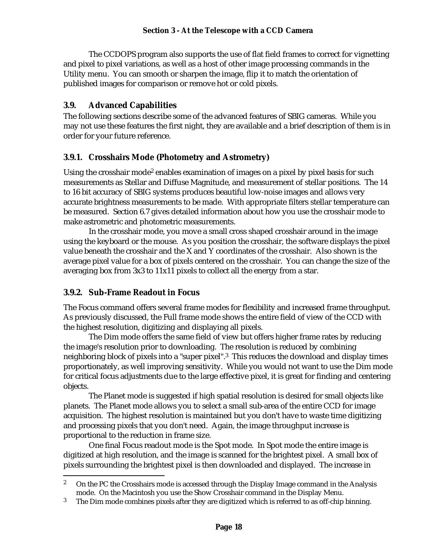The CCDOPS program also supports the use of flat field frames to correct for vignetting and pixel to pixel variations, as well as a host of other image processing commands in the Utility menu. You can smooth or sharpen the image, flip it to match the orientation of published images for comparison or remove hot or cold pixels.

#### **3.9. Advanced Capabilities**

The following sections describe some of the advanced features of SBIG cameras. While you may not use these features the first night, they are available and a brief description of them is in order for your future reference.

#### **3.9.1. Crosshairs Mode (Photometry and Astrometry)**

Using the crosshair mode<sup>2</sup> enables examination of images on a pixel by pixel basis for such measurements as Stellar and Diffuse Magnitude, and measurement of stellar positions. The 14 to 16 bit accuracy of SBIG systems produces beautiful low-noise images and allows very accurate brightness measurements to be made. With appropriate filters stellar temperature can be measured. Section 6.7 gives detailed information about how you use the crosshair mode to make astrometric and photometric measurements.

In the crosshair mode, you move a small cross shaped crosshair around in the image using the keyboard or the mouse. As you position the crosshair, the software displays the pixel value beneath the crosshair and the X and Y coordinates of the crosshair. Also shown is the average pixel value for a box of pixels centered on the crosshair. You can change the size of the averaging box from 3x3 to 11x11 pixels to collect all the energy from a star.

## **3.9.2. Sub-Frame Readout in Focus**

The Focus command offers several frame modes for flexibility and increased frame throughput. As previously discussed, the Full frame mode shows the entire field of view of the CCD with the highest resolution, digitizing and displaying all pixels.

The Dim mode offers the same field of view but offers higher frame rates by reducing the image's resolution prior to downloading. The resolution is reduced by combining neighboring block of pixels into a "super pixel".3 This reduces the download and display times proportionately, as well improving sensitivity. While you would not want to use the Dim mode for critical focus adjustments due to the large effective pixel, it is great for finding and centering objects.

The Planet mode is suggested if high spatial resolution is desired for small objects like planets. The Planet mode allows you to select a small sub-area of the entire CCD for image acquisition. The highest resolution is maintained but you don't have to waste time digitizing and processing pixels that you don't need. Again, the image throughput increase is proportional to the reduction in frame size.

One final Focus readout mode is the Spot mode. In Spot mode the entire image is digitized at high resolution, and the image is scanned for the brightest pixel. A small box of pixels surrounding the brightest pixel is then downloaded and displayed. The increase in

<sup>1</sup> <sup>2</sup> On the PC the Crosshairs mode is accessed through the Display Image command in the Analysis mode. On the Macintosh you use the Show Crosshair command in the Display Menu.

<sup>&</sup>lt;sup>3</sup> The Dim mode combines pixels after they are digitized which is referred to as off-chip binning.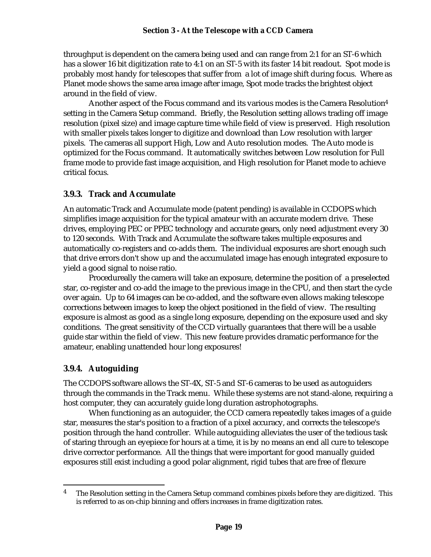#### **Section 3 - At the Telescope with a CCD Camera**

throughput is dependent on the camera being used and can range from 2:1 for an ST-6 which has a slower 16 bit digitization rate to 4:1 on an ST-5 with its faster 14 bit readout. Spot mode is probably most handy for telescopes that suffer from a lot of image shift during focus. Where as Planet mode shows the same area image after image, Spot mode tracks the brightest object around in the field of view.

Another aspect of the Focus command and its various modes is the Camera Resolution<sup>4</sup> setting in the Camera Setup command. Briefly, the Resolution setting allows trading off image resolution (pixel size) and image capture time while field of view is preserved. High resolution with smaller pixels takes longer to digitize and download than Low resolution with larger pixels. The cameras all support High, Low and Auto resolution modes. The Auto mode is optimized for the Focus command. It automatically switches between Low resolution for Full frame mode to provide fast image acquisition, and High resolution for Planet mode to achieve critical focus.

#### **3.9.3. Track and Accumulate**

An automatic Track and Accumulate mode (patent pending) is available in CCDOPS which simplifies image acquisition for the typical amateur with an accurate modern drive. These drives, employing PEC or PPEC technology and accurate gears, only need adjustment every 30 to 120 seconds. With Track and Accumulate the software takes multiple exposures and automatically co-registers and co-adds them. The individual exposures are short enough such that drive errors don't show up and the accumulated image has enough integrated exposure to yield a good signal to noise ratio.

Procedureally the camera will take an exposure, determine the position of a preselected star, co-register and co-add the image to the previous image in the CPU, and then start the cycle over again. Up to 64 images can be co-added, and the software even allows making telescope corrections between images to keep the object positioned in the field of view. The resulting exposure is almost as good as a single long exposure, depending on the exposure used and sky conditions. The great sensitivity of the CCD virtually guarantees that there will be a usable guide star within the field of view. This new feature provides dramatic performance for the amateur, enabling unattended hour long exposures!

## **3.9.4. Autoguiding**

The CCDOPS software allows the ST-4X, ST-5 and ST-6 cameras to be used as autoguiders through the commands in the Track menu. While these systems are not stand-alone, requiring a host computer, they can accurately guide long duration astrophotographs.

When functioning as an autoguider, the CCD camera repeatedly takes images of a guide star, measures the star's position to a fraction of a pixel accuracy, and corrects the telescope's position through the hand controller. While autoguiding alleviates the user of the tedious task of staring through an eyepiece for hours at a time, it is by no means an end all cure to telescope drive corrector performance. All the things that were important for good manually guided exposures still exist including a good polar alignment, rigid tubes that are free of flexure

<sup>1</sup> <sup>4</sup> The Resolution setting in the Camera Setup command combines pixels before they are digitized. This is referred to as on-chip binning and offers increases in frame digitization rates.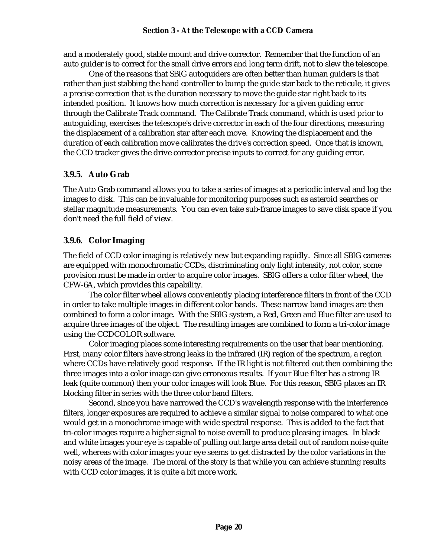#### **Section 3 - At the Telescope with a CCD Camera**

and a moderately good, stable mount and drive corrector. Remember that the function of an auto guider is to correct for the small drive errors and long term drift, not to slew the telescope.

One of the reasons that SBIG autoguiders are often better than human guiders is that rather than just stabbing the hand controller to bump the guide star back to the reticule, it gives a precise correction that is the duration necessary to move the guide star right back to its intended position. It knows how much correction is necessary for a given guiding error through the Calibrate Track command. The Calibrate Track command, which is used prior to autoguiding, exercises the telescope's drive corrector in each of the four directions, measuring the displacement of a calibration star after each move. Knowing the displacement and the duration of each calibration move calibrates the drive's correction speed. Once that is known, the CCD tracker gives the drive corrector precise inputs to correct for any guiding error.

#### **3.9.5. Auto Grab**

The Auto Grab command allows you to take a series of images at a periodic interval and log the images to disk. This can be invaluable for monitoring purposes such as asteroid searches or stellar magnitude measurements. You can even take sub-frame images to save disk space if you don't need the full field of view.

#### **3.9.6. Color Imaging**

The field of CCD color imaging is relatively new but expanding rapidly. Since all SBIG cameras are equipped with monochromatic CCDs, discriminating only light intensity, not color, some provision must be made in order to acquire color images. SBIG offers a color filter wheel, the CFW-6A, which provides this capability.

The color filter wheel allows conveniently placing interference filters in front of the CCD in order to take multiple images in different color bands. These narrow band images are then combined to form a color image. With the SBIG system, a Red, Green and Blue filter are used to acquire three images of the object. The resulting images are combined to form a tri-color image using the CCDCOLOR software.

Color imaging places some interesting requirements on the user that bear mentioning. First, many color filters have strong leaks in the infrared (IR) region of the spectrum, a region where CCDs have relatively good response. If the IR light is not filtered out then combining the three images into a color image can give erroneous results. If your Blue filter has a strong IR leak (quite common) then your color images will look Blue. For this reason, SBIG places an IR blocking filter in series with the three color band filters.

Second, since you have narrowed the CCD's wavelength response with the interference filters, longer exposures are required to achieve a similar signal to noise compared to what one would get in a monochrome image with wide spectral response. This is added to the fact that tri-color images require a higher signal to noise overall to produce pleasing images. In black and white images your eye is capable of pulling out large area detail out of random noise quite well, whereas with color images your eye seems to get distracted by the color variations in the noisy areas of the image. The moral of the story is that while you can achieve stunning results with CCD color images, it is quite a bit more work.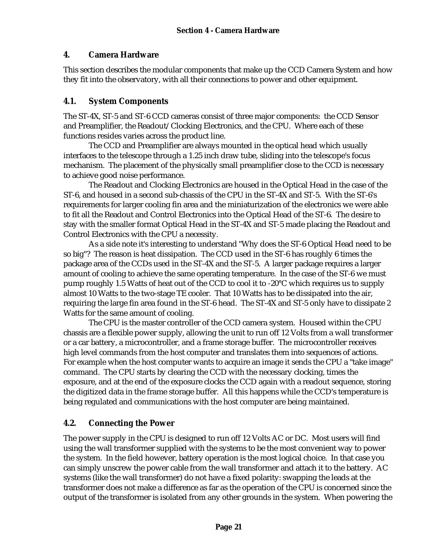#### **4. Camera Hardware**

This section describes the modular components that make up the CCD Camera System and how they fit into the observatory, with all their connections to power and other equipment.

#### **4.1. System Components**

The ST-4X, ST-5 and ST-6 CCD cameras consist of three major components: the CCD Sensor and Preamplifier, the Readout/Clocking Electronics, and the CPU. Where each of these functions resides varies across the product line.

The CCD and Preamplifier are always mounted in the optical head which usually interfaces to the telescope through a 1.25 inch draw tube, sliding into the telescope's focus mechanism. The placement of the physically small preamplifier close to the CCD is necessary to achieve good noise performance.

The Readout and Clocking Electronics are housed in the Optical Head in the case of the ST-6, and housed in a second sub-chassis of the CPU in the ST-4X and ST-5. With the ST-6's requirements for larger cooling fin area and the miniaturization of the electronics we were able to fit all the Readout and Control Electronics into the Optical Head of the ST-6. The desire to stay with the smaller format Optical Head in the ST-4X and ST-5 made placing the Readout and Control Electronics with the CPU a necessity.

As a side note it's interesting to understand "Why does the ST-6 Optical Head need to be so big"? The reason is heat dissipation. The CCD used in the ST-6 has roughly 6 times the package area of the CCDs used in the ST-4X and the ST-5. A larger package requires a larger amount of cooling to achieve the same operating temperature. In the case of the ST-6 we must pump roughly 1.5 Watts of heat out of the CCD to cool it to -20°C which requires us to supply almost 10 Watts to the two-stage TE cooler. That 10 Watts has to be dissipated into the air, requiring the large fin area found in the ST-6 head. The ST-4X and ST-5 only have to dissipate 2 Watts for the same amount of cooling.

The CPU is the master controller of the CCD camera system. Housed within the CPU chassis are a flexible power supply, allowing the unit to run off 12 Volts from a wall transformer or a car battery, a microcontroller, and a frame storage buffer. The microcontroller receives high level commands from the host computer and translates them into sequences of actions. For example when the host computer wants to acquire an image it sends the CPU a "take image" command. The CPU starts by clearing the CCD with the necessary clocking, times the exposure, and at the end of the exposure clocks the CCD again with a readout sequence, storing the digitized data in the frame storage buffer. All this happens while the CCD's temperature is being regulated and communications with the host computer are being maintained.

## **4.2. Connecting the Power**

The power supply in the CPU is designed to run off 12 Volts AC or DC. Most users will find using the wall transformer supplied with the systems to be the most convenient way to power the system. In the field however, battery operation is the most logical choice. In that case you can simply unscrew the power cable from the wall transformer and attach it to the battery. AC systems (like the wall transformer) do not have a fixed polarity: swapping the leads at the transformer does not make a difference as far as the operation of the CPU is concerned since the output of the transformer is isolated from any other grounds in the system. When powering the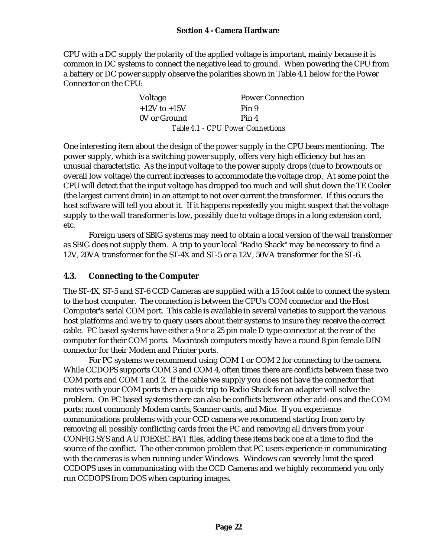CPU with a DC supply the polarity of the applied voltage is important, mainly because it is common in DC systems to connect the negative lead to ground. When powering the CPU from a battery or DC power supply observe the polarities shown in Table 4.1 below for the Power Connector on the CPU:

| Voltage                                  | <b>Power Connection</b> |  |  |  |
|------------------------------------------|-------------------------|--|--|--|
| $+12V$ to $+15V$                         | Pin 9                   |  |  |  |
| 0V or Ground                             | Pin 4                   |  |  |  |
| <b>Table 4.1 - CPU Power Connections</b> |                         |  |  |  |

One interesting item about the design of the power supply in the CPU bears mentioning. The power supply, which is a switching power supply, offers very high efficiency but has an unusual characteristic. As the input voltage to the power supply drops (due to brownouts or overall low voltage) the current increases to accommodate the voltage drop. At some point the CPU will detect that the input voltage has dropped too much and will shut down the TE Cooler (the largest current drain) in an attempt to not over current the transformer. If this occurs the host software will tell you about it. If it happens repeatedly you might suspect that the voltage supply to the wall transformer is low, possibly due to voltage drops in a long extension cord, etc.

Foreign users of SBIG systems may need to obtain a local version of the wall transformer as SBIG does not supply them. A trip to your local "Radio Shack" may be necessary to find a 12V, 20VA transformer for the ST-4X and ST-5 or a 12V, 50VA transformer for the ST-6.

#### **4.3. Connecting to the Computer**

The ST-4X, ST-5 and ST-6 CCD Cameras are supplied with a 15 foot cable to connect the system to the host computer. The connection is between the CPU's COM connector and the Host Computer's serial COM port. This cable is available in several varieties to support the various host platforms and we try to query users about their systems to insure they receive the correct cable. PC based systems have either a 9 or a 25 pin male D type connector at the rear of the computer for their COM ports. Macintosh computers mostly have a round 8 pin female DIN connector for their Modem and Printer ports.

For PC systems we recommend using COM 1 or COM 2 for connecting to the camera. While CCDOPS supports COM 3 and COM 4, often times there are conflicts between these two COM ports and COM 1 and 2. If the cable we supply you does not have the connector that mates with your COM ports then a quick trip to Radio Shack for an adapter will solve the problem. On PC based systems there can also be conflicts between other add-ons and the COM ports: most commonly Modem cards, Scanner cards, and Mice. If you experience communications problems with your CCD camera we recommend starting from zero by removing all possibly conflicting cards from the PC and removing all drivers from your CONFIG.SYS and AUTOEXEC.BAT files, adding these items back one at a time to find the source of the conflict. The other common problem that PC users experience in communicating with the cameras is when running under Windows. Windows can severely limit the speed CCDOPS uses in communicating with the CCD Cameras and we highly recommend you only run CCDOPS from DOS when capturing images.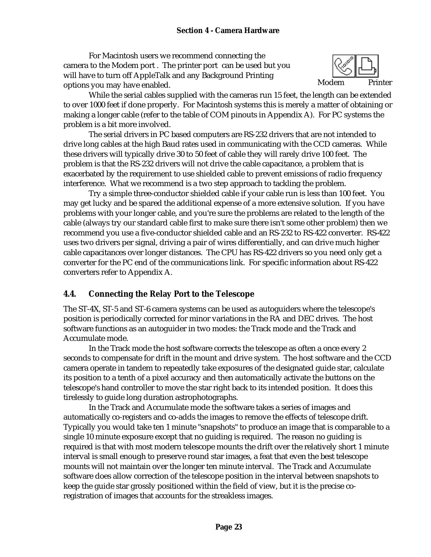#### **Section 4 - Camera Hardware**

For Macintosh users we recommend connecting the camera to the Modem port . The printer port can be used but you will have to turn off AppleTalk and any Background Printing options you may have enabled. The state of the Modem Printer



While the serial cables supplied with the cameras run 15 feet, the length can be extended to over 1000 feet if done properly. For Macintosh systems this is merely a matter of obtaining or making a longer cable (refer to the table of COM pinouts in Appendix A). For PC systems the problem is a bit more involved.

The serial drivers in PC based computers are RS-232 drivers that are not intended to drive long cables at the high Baud rates used in communicating with the CCD cameras. While these drivers will typically drive 30 to 50 feet of cable they will rarely drive 100 feet. The problem is that the RS-232 drivers will not drive the cable capacitance, a problem that is exacerbated by the requirement to use shielded cable to prevent emissions of radio frequency interference. What we recommend is a two step approach to tackling the problem.

Try a simple three-conductor shielded cable if your cable run is less than 100 feet. You may get lucky and be spared the additional expense of a more extensive solution. If you have problems with your longer cable, and you're sure the problems are related to the length of the cable (always try our standard cable first to make sure there isn't some other problem) then we recommend you use a five-conductor shielded cable and an RS-232 to RS-422 converter. RS-422 uses two drivers per signal, driving a pair of wires differentially, and can drive much higher cable capacitances over longer distances. The CPU has RS-422 drivers so you need only get a converter for the PC end of the communications link. For specific information about RS-422 converters refer to Appendix A.

#### **4.4. Connecting the Relay Port to the Telescope**

The ST-4X, ST-5 and ST-6 camera systems can be used as autoguiders where the telescope's position is periodically corrected for minor variations in the RA and DEC drives. The host software functions as an autoguider in two modes: the Track mode and the Track and Accumulate mode.

In the Track mode the host software corrects the telescope as often a once every 2 seconds to compensate for drift in the mount and drive system. The host software and the CCD camera operate in tandem to repeatedly take exposures of the designated guide star, calculate its position to a tenth of a pixel accuracy and then automatically activate the buttons on the telescope's hand controller to move the star right back to its intended position. It does this tirelessly to guide long duration astrophotographs.

In the Track and Accumulate mode the software takes a series of images and automatically co-registers and co-adds the images to remove the effects of telescope drift. Typically you would take ten 1 minute "snapshots" to produce an image that is comparable to a single 10 minute exposure except that no guiding is required. The reason no guiding is required is that with most modern telescope mounts the drift over the relatively short 1 minute interval is small enough to preserve round star images, a feat that even the best telescope mounts will not maintain over the longer ten minute interval. The Track and Accumulate software does allow correction of the telescope position in the interval between snapshots to keep the guide star grossly positioned within the field of view, but it is the precise coregistration of images that accounts for the streakless images.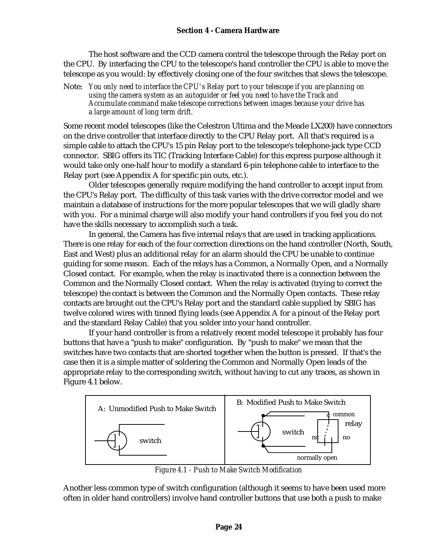#### **Section 4 - Camera Hardware**

The host software and the CCD camera control the telescope through the Relay port on the CPU. By interfacing the CPU to the telescope's hand controller the CPU is able to move the telescope as you would: by effectively closing one of the four switches that slews the telescope.

Note: *You only need to interface the CPU's Relay port to your telescope if you are planning on using the camera system as an autoguider or feel you need to have the Track and Accumulate command make telescope corrections between images because your drive has a large amount of long term drift.*

Some recent model telescopes (like the Celestron Ultima and the Meade LX200) have connectors on the drive controller that interface directly to the CPU Relay port. All that's required is a simple cable to attach the CPU's 15 pin Relay port to the telescope's telephone-jack type CCD connector. SBIG offers its TIC (Tracking Interface Cable) for this express purpose although it would take only one-half hour to modify a standard 6-pin telephone cable to interface to the Relay port (see Appendix A for specific pin outs, etc.).

Older telescopes generally require modifying the hand controller to accept input from the CPU's Relay port. The difficulty of this task varies with the drive corrector model and we maintain a database of instructions for the more popular telescopes that we will gladly share with you. For a minimal charge will also modify your hand controllers if you feel you do not have the skills necessary to accomplish such a task.

In general, the Camera has five internal relays that are used in tracking applications. There is one relay for each of the four correction directions on the hand controller (North, South, East and West) plus an additional relay for an alarm should the CPU be unable to continue guiding for some reason. Each of the relays has a Common, a Normally Open, and a Normally Closed contact. For example, when the relay is inactivated there is a connection between the Common and the Normally Closed contact. When the relay is activated (trying to correct the telescope) the contact is between the Common and the Normally Open contacts. These relay contacts are brought out the CPU's Relay port and the standard cable supplied by SBIG has twelve colored wires with tinned flying leads (see Appendix A for a pinout of the Relay port and the standard Relay Cable) that you solder into your hand controller.

If your hand controller is from a relatively recent model telescope it probably has four buttons that have a "push to make" configuration. By "push to make" we mean that the switches have two contacts that are shorted together when the button is pressed. If that's the case then it is a simple matter of soldering the Common and Normally Open leads of the appropriate relay to the corresponding switch, without having to cut any traces, as shown in Figure 4.1 below.



*Figure 4.1 - Push to Make Switch Modification*

Another less common type of switch configuration (although it seems to have been used more often in older hand controllers) involve hand controller buttons that use both a push to make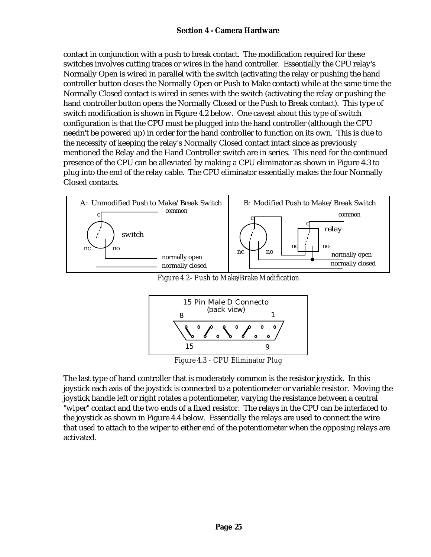contact in conjunction with a push to break contact. The modification required for these switches involves cutting traces or wires in the hand controller. Essentially the CPU relay's Normally Open is wired in parallel with the switch (activating the relay or pushing the hand controller button closes the Normally Open or Push to Make contact) while at the same time the Normally Closed contact is wired in series with the switch (activating the relay or pushing the hand controller button opens the Normally Closed or the Push to Break contact). This type of switch modification is shown in Figure 4.2 below. One caveat about this type of switch configuration is that the CPU must be plugged into the hand controller (although the CPU needn't be powered up) in order for the hand controller to function on its own. This is due to the necessity of keeping the relay's Normally Closed contact intact since as previously mentioned the Relay and the Hand Controller switch are in series. This need for the continued presence of the CPU can be alleviated by making a CPU eliminator as shown in Figure 4.3 to plug into the end of the relay cable. The CPU eliminator essentially makes the four Normally Closed contacts.



*Figure 4.2- Push to Make/Brake Modification*



*Figure 4.3 - CPU Eliminator Plug*

The last type of hand controller that is moderately common is the resistor joystick. In this joystick each axis of the joystick is connected to a potentiometer or variable resistor. Moving the joystick handle left or right rotates a potentiometer, varying the resistance between a central "wiper" contact and the two ends of a fixed resistor. The relays in the CPU can be interfaced to the joystick as shown in Figure 4.4 below. Essentially the relays are used to connect the wire that used to attach to the wiper to either end of the potentiometer when the opposing relays are activated.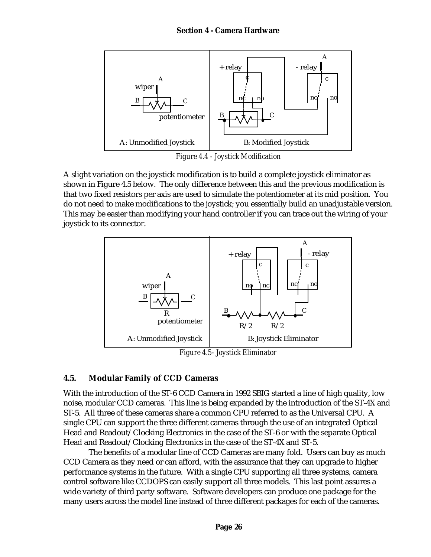#### **Section 4 - Camera Hardware**



*Figure 4.4 - Joystick Modification*

A slight variation on the joystick modification is to build a complete joystick eliminator as shown in Figure 4.5 below. The only difference between this and the previous modification is that two fixed resistors per axis are used to simulate the potentiometer at its mid position. You do not need to make modifications to the joystick; you essentially build an unadjustable version. This may be easier than modifying your hand controller if you can trace out the wiring of your joystick to its connector.



*Figure 4.5- Joystick Eliminator*

## **4.5. Modular Family of CCD Cameras**

With the introduction of the ST-6 CCD Camera in 1992 SBIG started a line of high quality, low noise, modular CCD cameras. This line is being expanded by the introduction of the ST-4X and ST-5. All three of these cameras share a common CPU referred to as the Universal CPU. A single CPU can support the three different cameras through the use of an integrated Optical Head and Readout/Clocking Electronics in the case of the ST-6 or with the separate Optical Head and Readout/Clocking Electronics in the case of the ST-4X and ST-5.

The benefits of a modular line of CCD Cameras are many fold. Users can buy as much CCD Camera as they need or can afford, with the assurance that they can upgrade to higher performance systems in the future. With a single CPU supporting all three systems, camera control software like CCDOPS can easily support all three models. This last point assures a wide variety of third party software. Software developers can produce one package for the many users across the model line instead of three different packages for each of the cameras.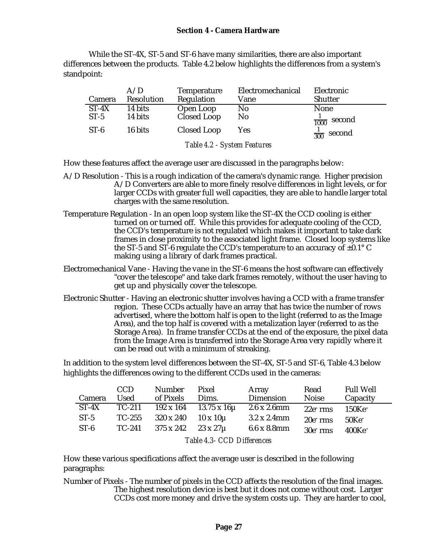While the ST-4X, ST-5 and ST-6 have many similarities, there are also important differences between the products. Table 4.2 below highlights the differences from a system's standpoint:

| Camera                     | A/D<br>Resolution | Temperature<br>Regulation | Electromechanical<br>Vane | Electronic<br><b>Shutter</b> |  |  |
|----------------------------|-------------------|---------------------------|---------------------------|------------------------------|--|--|
| $ST-4X$                    | 14 bits           | Open Loop                 | N <sub>0</sub>            | None                         |  |  |
| $ST-5$                     | 14 bits           | Closed Loop               | N <sub>0</sub>            | $\frac{1}{1000}$ second      |  |  |
| $ST-6$                     | 16 bits           | Closed Loop               | <b>Yes</b>                | $\frac{1}{300}$ second       |  |  |
| $T$ ii 10 $C$ , $\Gamma$ , |                   |                           |                           |                              |  |  |

*Table 4.2 - System Features*

How these features affect the average user are discussed in the paragraphs below:

- A/D Resolution This is a rough indication of the camera's dynamic range. Higher precision A/D Converters are able to more finely resolve differences in light levels, or for larger CCDs with greater full well capacities, they are able to handle larger total charges with the same resolution.
- Temperature Regulation In an open loop system like the ST-4X the CCD cooling is either turned on or turned off. While this provides for adequate cooling of the CCD, the CCD's temperature is not regulated which makes it important to take dark frames in close proximity to the associated light frame. Closed loop systems like the ST-5 and ST-6 regulate the CCD's temperature to an accuracy of  $\pm 0.1^{\circ}$  C making using a library of dark frames practical.
- Electromechanical Vane Having the vane in the ST-6 means the host software can effectively "cover the telescope" and take dark frames remotely, without the user having to get up and physically cover the telescope.
- Electronic Shutter Having an electronic shutter involves having a CCD with a frame transfer region. These CCDs actually have an array that has twice the number of rows advertised, where the bottom half is open to the light (referred to as the Image Area), and the top half is covered with a metalization layer (referred to as the Storage Area). In frame transfer CCDs at the end of the exposure, the pixel data from the Image Area is transferred into the Storage Area very rapidly where it can be read out with a minimum of streaking.

In addition to the system level differences between the ST-4X, ST-5 and ST-6, Table 4.3 below highlights the differences owing to the different CCDs used in the cameras:

|                            | <b>CCD</b> | <b>Number</b> | Pixel                             | Array               | Read         | <b>Full Well</b>      |  |
|----------------------------|------------|---------------|-----------------------------------|---------------------|--------------|-----------------------|--|
| Camera                     | Used       | of Pixels     | Dims.                             | Dimension           | <b>Noise</b> | Capacity              |  |
| ST-4X                      | $TC-211$   |               | $192 \times 164$ 13.75 x 16 $\mu$ | $2.6 \times 2.6$ mm | $22e$ rms    | $150\mathrm{Ke}^-$    |  |
| $ST-5$                     | $TC-255$   | 320 x 240     | $10 \times 10 \mu$                | $3.2 \times 2.4$ mm | $20e$ rms    | 50 <sub>Ke</sub>      |  |
| $ST-6$                     | TC-241     | 375 x 242     | $23 \times 27\mu$                 | 6.6x8.8mm           | $30e$ rms    | $400$ Ke <sup>-</sup> |  |
| Table 4.3- CCD Differences |            |               |                                   |                     |              |                       |  |

How these various specifications affect the average user is described in the following paragraphs:

Number of Pixels - The number of pixels in the CCD affects the resolution of the final images. The highest resolution device is best but it does not come without cost. Larger CCDs cost more money and drive the system costs up. They are harder to cool,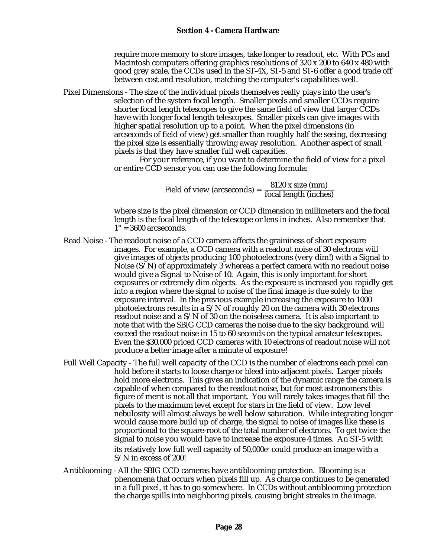require more memory to store images, take longer to readout, etc. With PCs and Macintosh computers offering graphics resolutions of 320 x 200 to 640 x 480 with good grey scale, the CCDs used in the ST-4X, ST-5 and ST-6 offer a good trade off between cost and resolution, matching the computer's capabilities well.

Pixel Dimensions - The size of the individual pixels themselves really plays into the user's selection of the system focal length. Smaller pixels and smaller CCDs require shorter focal length telescopes to give the same field of view that larger CCDs have with longer focal length telescopes. Smaller pixels can give images with higher spatial resolution up to a point. When the pixel dimensions (in arcseconds of field of view) get smaller than roughly half the seeing, decreasing the pixel size is essentially throwing away resolution. Another aspect of small pixels is that they have smaller full well capacities.

For your reference, if you want to determine the field of view for a pixel or entire CCD sensor you can use the following formula:

Field of view (arcseconds) =  $\frac{8120 \text{ x size (mm)}}{\text{focal length (inches)}}$ 

where size is the pixel dimension or CCD dimension in millimeters and the focal length is the focal length of the telescope or lens in inches. Also remember that  $1^\circ$  = 3600 arcseconds.

- Read Noise The readout noise of a CCD camera affects the graininess of short exposure images. For example, a CCD camera with a readout noise of 30 electrons will give images of objects producing 100 photoelectrons (very dim!) with a Signal to Noise (S/N) of approximately 3 whereas a perfect camera with no readout noise would give a Signal to Noise of 10. Again, this is only important for short exposures or extremely dim objects. As the exposure is increased you rapidly get into a region where the signal to noise of the final image is due solely to the exposure interval. In the previous example increasing the exposure to 1000 photoelectrons results in a S/N of roughly 20 on the camera with 30 electrons readout noise and a S/N of 30 on the noiseless camera. It is also important to note that with the SBIG CCD cameras the noise due to the sky background will exceed the readout noise in 15 to 60 seconds on the typical amateur telescopes. Even the \$30,000 priced CCD cameras with 10 electrons of readout noise will not produce a better image after a minute of exposure!
- Full Well Capacity The full well capacity of the CCD is the number of electrons each pixel can hold before it starts to loose charge or bleed into adjacent pixels. Larger pixels hold more electrons. This gives an indication of the dynamic range the camera is capable of when compared to the readout noise, but for most astronomers this figure of merit is not all that important. You will rarely takes images that fill the pixels to the maximum level except for stars in the field of view. Low level nebulosity will almost always be well below saturation. While integrating longer would cause more build up of charge, the signal to noise of images like these is proportional to the square-root of the total number of electrons. To get twice the signal to noise you would have to increase the exposure 4 times. An ST-5 with its relatively low full well capacity of 50,000e<sup>-</sup> could produce an image with a S/N in excess of 200!
- Antiblooming All the SBIG CCD cameras have antiblooming protection. Blooming is a phenomena that occurs when pixels fill up. As charge continues to be generated in a full pixel, it has to go somewhere. In CCDs without antiblooming protection the charge spills into neighboring pixels, causing bright streaks in the image.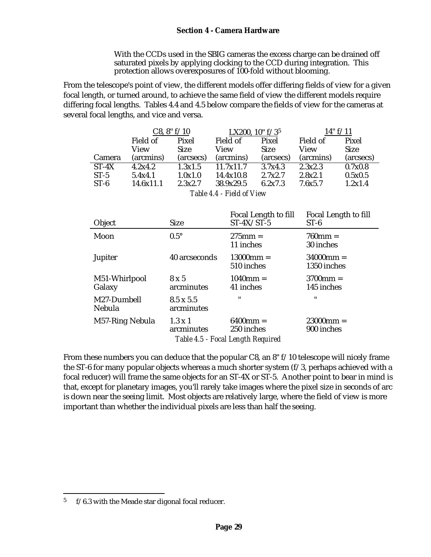#### **Section 4 - Camera Hardware**

With the CCDs used in the SBIG cameras the excess charge can be drained off saturated pixels by applying clocking to the CCD during integration. This protection allows overexposures of 100-fold without blooming.

From the telescope's point of view, the different models offer differing fields of view for a given focal length, or turned around, to achieve the same field of view the different models require differing focal lengths. Tables 4.4 and 4.5 below compare the fields of view for the cameras at several focal lengths, and vice and versa.

|                                                        | C8, 8" f/10 |             | LX200, $10" f/35$ |             | 14" f/11  |             |
|--------------------------------------------------------|-------------|-------------|-------------------|-------------|-----------|-------------|
|                                                        | Field of    | Pixel       | Field of          | Pixel       | Field of  | Pixel       |
|                                                        | View        | <b>Size</b> | View              | <b>Size</b> | View      | <b>Size</b> |
| Camera                                                 | (arcmins)   | (arcsecs)   | (arcmins)         | (arcsecs)   | (arcmins) | (arcsecs)   |
| $ST-4X$                                                | 4.2x4.2     | 1.3x1.5     | 11.7x11.7         | 3.7x4.3     | 2.3x2.3   | 0.7x0.8     |
| $ST-5$                                                 | 5.4x4.1     | 1.0x1.0     | 14.4x10.8         | 2.7x2.7     | 2.8x2.1   | 0.5x0.5     |
| $ST-6$                                                 | 14.6x11.1   | 2.3x2.7     | 38.9x29.5         | 6.2x7.3     | 7.6x5.7   | 1.2x1.4     |
| $T_0 h l_0 A A$ $\Gamma_{\rm in} d A$ of $V_{\rm out}$ |             |             |                   |             |           |             |

*Table 4.4 - Field of View*

| Object                       | <b>Size</b>                    | Focal Length to fill<br>$ST-4X/ST-5$                             | Focal Length to fill<br>$ST-6$ |
|------------------------------|--------------------------------|------------------------------------------------------------------|--------------------------------|
| Moon                         | $0.5^{\circ}$                  | $275$ mm =<br>11 inches                                          | $760$ mm $=$<br>30 inches      |
| <b>Jupiter</b>               | 40 arcseconds                  | $13000$ mm =<br>510 inches                                       | $34000$ mm =<br>1350 inches    |
| M51-Whirlpool<br>Galaxy      | $8 \times 5$<br>arcminutes     | $1040$ mm $=$<br>41 inches                                       | $3700$ mm =<br>145 inches      |
| M27-Dumbell<br><b>Nebula</b> | $8.5 \times 5.5$<br>arcminutes | $^{\prime\prime}$                                                | $^{\prime\prime}$              |
| M57-Ring Nebula              | $1.3 \times 1$<br>arcminutes   | $6400$ mm $=$<br>250 inches<br>Table 4.5 - Focal Length Required | $23000$ mm =<br>900 inches     |

From these numbers you can deduce that the popular C8, an 8" f/10 telescope will nicely frame the ST-6 for many popular objects whereas a much shorter system (f/3, perhaps achieved with a focal reducer) will frame the same objects for an ST-4X or ST-5. Another point to bear in mind is that, except for planetary images, you'll rarely take images where the pixel size in seconds of arc is down near the seeing limit. Most objects are relatively large, where the field of view is more important than whether the individual pixels are less than half the seeing.

1

 $5$  f/6.3 with the Meade star digonal focal reducer.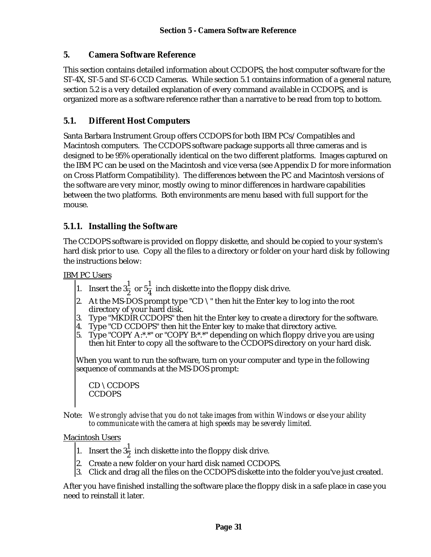#### **5. Camera Software Reference**

This section contains detailed information about CCDOPS, the host computer software for the ST-4X, ST-5 and ST-6 CCD Cameras. While section 5.1 contains information of a general nature, section 5.2 is a very detailed explanation of every command available in CCDOPS, and is organized more as a software reference rather than a narrative to be read from top to bottom.

#### **5.1. Different Host Computers**

Santa Barbara Instrument Group offers CCDOPS for both IBM PCs/Compatibles and Macintosh computers. The CCDOPS software package supports all three cameras and is designed to be 95% operationally identical on the two different platforms. Images captured on the IBM PC can be used on the Macintosh and vice versa (see Appendix D for more information on Cross Platform Compatibility). The differences between the PC and Macintosh versions of the software are very minor, mostly owing to minor differences in hardware capabilities between the two platforms. Both environments are menu based with full support for the mouse.

#### **5.1.1. Installing the Software**

The CCDOPS software is provided on floppy diskette, and should be copied to your system's hard disk prior to use. Copy all the files to a directory or folder on your hard disk by following the instructions below:

IBM PC Users

- 1. Insert the  $3\frac{1}{2}$  or  $5\frac{1}{4}$  inch diskette into the floppy disk drive.
- 2. At the MS-DOS prompt type "CD  $\setminus$ " then hit the Enter key to log into the root directory of your hard disk.
- 3. Type "MKDIR CCDOPS" then hit the Enter key to create a directory for the software.
- 4. Type "CD CCDOPS" then hit the Enter key to make that directory active.
- 5. Type "COPY A:\*.\*" or "COPY B:\*.\*" depending on which floppy drive you are using then hit Enter to copy all the software to the CCDOPS directory on your hard disk.

When you want to run the software, turn on your computer and type in the following sequence of commands at the MS-DOS prompt:

CD \CCDOPS **CCDOPS** 

Note: *We strongly advise that you do not take images from within Windows or else your ability to communicate with the camera at high speeds may be severely limited.*

Macintosh Users

- 1. Insert the  $3\frac{1}{2}$  inch diskette into the floppy disk drive.
- 2. Create a new folder on your hard disk named CCDOPS.
- 3. Click and drag all the files on the CCDOPS diskette into the folder you've just created.

After you have finished installing the software place the floppy disk in a safe place in case you need to reinstall it later.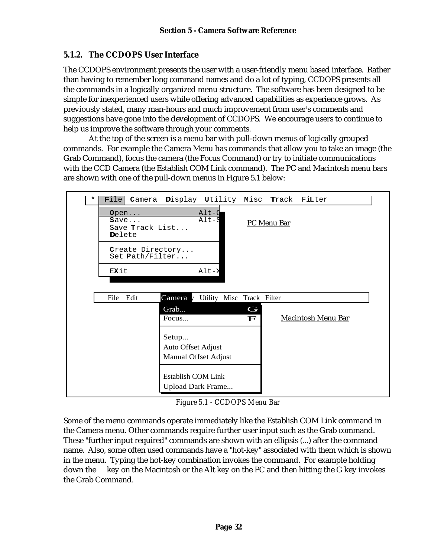#### **5.1.2. The CCDOPS User Interface**

The CCDOPS environment presents the user with a user-friendly menu based interface. Rather than having to remember long command names and do a lot of typing, CCDOPS presents all the commands in a logically organized menu structure. The software has been designed to be simple for inexperienced users while offering advanced capabilities as experience grows. As previously stated, many man-hours and much improvement from user's comments and suggestions have gone into the development of CCDOPS. We encourage users to continue to help us improve the software through your comments.

At the top of the screen is a menu bar with pull-down menus of logically grouped commands. For example the Camera Menu has commands that allow you to take an image (the Grab Command), focus the camera (the Focus Command) or try to initiate communications with the CCD Camera (the Establish COM Link command). The PC and Macintosh menu bars are shown with one of the pull-down menus in Figure 5.1 below:

| * | $\text{File}$                             | Camera Display Utility Misc Track FiLter |                          |                    |                           |
|---|-------------------------------------------|------------------------------------------|--------------------------|--------------------|---------------------------|
|   | Open<br>Save<br>Save Track List<br>Delete | $Alt-C$<br>$\texttt{Alt-S}$              |                          | <b>PC</b> Menu Bar |                           |
|   | Create Directory<br>Set Path/Filter       |                                          |                          |                    |                           |
|   | EXit                                      | $\text{Alt}-\text{X}$                    |                          |                    |                           |
|   |                                           |                                          |                          |                    |                           |
|   | Edit<br>File                              | Camera y Utility Misc Track Filter       |                          |                    |                           |
|   |                                           | Grab<br>Focus                            | $\subset$<br>$\mathbf F$ |                    | <b>Macintosh Menu Bar</b> |
|   |                                           | Setup<br>Auto Offset Adjust              |                          |                    |                           |
|   |                                           | <b>Manual Offset Adjust</b>              |                          |                    |                           |
|   |                                           | Establish COM Link                       |                          |                    |                           |
|   |                                           | Upload Dark Frame                        |                          |                    |                           |

*Figure 5.1 - CCDOPS Menu Bar*

Some of the menu commands operate immediately like the Establish COM Link command in the Camera menu. Other commands require further user input such as the Grab command. These "further input required" commands are shown with an ellipsis (...) after the command name. Also, some often used commands have a "hot-key" associated with them which is shown in the menu. Typing the hot-key combination invokes the command. For example holding down the key on the Macintosh or the Alt key on the PC and then hitting the G key invokes the Grab Command.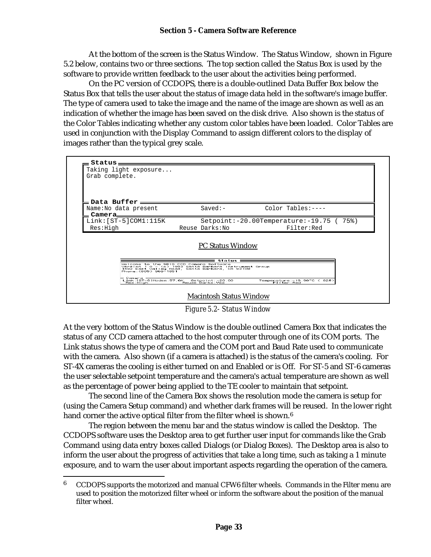#### **Section 5 - Camera Software Reference**

At the bottom of the screen is the Status Window. The Status Window, shown in Figure 5.2 below, contains two or three sections. The top section called the Status Box is used by the software to provide written feedback to the user about the activities being performed.

On the PC version of CCDOPS, there is a double-outlined Data Buffer Box below the Status Box that tells the user about the status of image data held in the software's image buffer. The type of camera used to take the image and the name of the image are shown as well as an indication of whether the image has been saved on the disk drive. Also shown is the status of the Color Tables indicating whether any custom color tables have been loaded. Color Tables are used in conjunction with the Display Command to assign different colors to the display of images rather than the typical grey scale.



*Figure 5.2- Status Window*

At the very bottom of the Status Window is the double outlined Camera Box that indicates the status of any CCD camera attached to the host computer through one of its COM ports. The Link status shows the type of camera and the COM port and Baud Rate used to communicate with the camera. Also shown (if a camera is attached) is the status of the camera's cooling. For ST-4X cameras the cooling is either turned on and Enabled or is Off. For ST-5 and ST-6 cameras the user selectable setpoint temperature and the camera's actual temperature are shown as well as the percentage of power being applied to the TE cooler to maintain that setpoint.

The second line of the Camera Box shows the resolution mode the camera is setup for (using the Camera Setup command) and whether dark frames will be reused. In the lower right hand corner the active optical filter from the filter wheel is shown.<sup>6</sup>

The region between the menu bar and the status window is called the Desktop. The CCDOPS software uses the Desktop area to get further user input for commands like the Grab Command using data entry boxes called Dialogs (or Dialog Boxes). The Desktop area is also to inform the user about the progress of activities that take a long time, such as taking a 1 minute exposure, and to warn the user about important aspects regarding the operation of the camera.

1

 $6$  CCDOPS supports the motorized and manual CFW6 filter wheels. Commands in the Filter menu are used to position the motorized filter wheel or inform the software about the position of the manual filter wheel.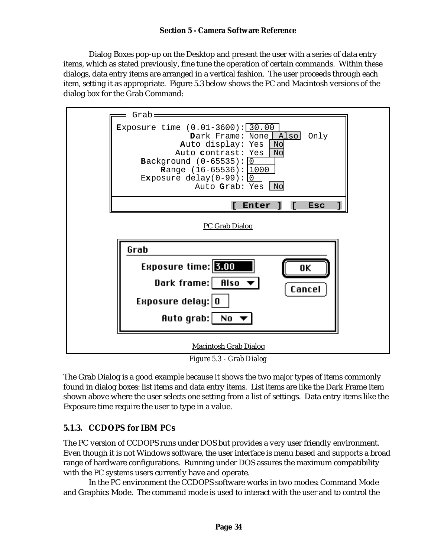Dialog Boxes pop-up on the Desktop and present the user with a series of data entry items, which as stated previously, fine tune the operation of certain commands. Within these dialogs, data entry items are arranged in a vertical fashion. The user proceeds through each item, setting it as appropriate. Figure 5.3 below shows the PC and Macintosh versions of the dialog box for the Grab Command:



*Figure 5.3 - Grab Dialog*

The Grab Dialog is a good example because it shows the two major types of items commonly found in dialog boxes: list items and data entry items. List items are like the Dark Frame item shown above where the user selects one setting from a list of settings. Data entry items like the Exposure time require the user to type in a value.

# **5.1.3. CCDOPS for IBM PCs**

The PC version of CCDOPS runs under DOS but provides a very user friendly environment. Even though it is not Windows software, the user interface is menu based and supports a broad range of hardware configurations. Running under DOS assures the maximum compatibility with the PC systems users currently have and operate.

In the PC environment the CCDOPS software works in two modes: Command Mode and Graphics Mode. The command mode is used to interact with the user and to control the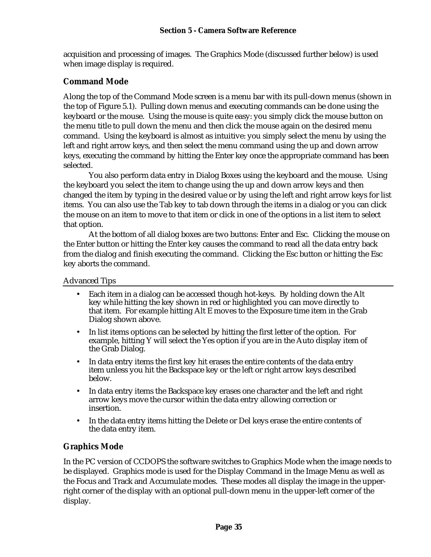acquisition and processing of images. The Graphics Mode (discussed further below) is used when image display is required.

# **Command Mode**

Along the top of the Command Mode screen is a menu bar with its pull-down menus (shown in the top of Figure 5.1). Pulling down menus and executing commands can be done using the keyboard or the mouse. Using the mouse is quite easy: you simply click the mouse button on the menu title to pull down the menu and then click the mouse again on the desired menu command. Using the keyboard is almost as intuitive: you simply select the menu by using the left and right arrow keys, and then select the menu command using the up and down arrow keys, executing the command by hitting the Enter key once the appropriate command has been selected.

You also perform data entry in Dialog Boxes using the keyboard and the mouse. Using the keyboard you select the item to change using the up and down arrow keys and then changed the item by typing in the desired value or by using the left and right arrow keys for list items. You can also use the Tab key to tab down through the items in a dialog or you can click the mouse on an item to move to that item or click in one of the options in a list item to select that option.

At the bottom of all dialog boxes are two buttons: Enter and Esc. Clicking the mouse on the Enter button or hitting the Enter key causes the command to read all the data entry back from the dialog and finish executing the command. Clicking the Esc button or hitting the Esc key aborts the command.

Advanced Tips

- Each item in a dialog can be accessed though hot-keys. By holding down the Alt key while hitting the key shown in red or highlighted you can move directly to that item. For example hitting Alt E moves to the Exposure time item in the Grab Dialog shown above.
- In list items options can be selected by hitting the first letter of the option. For example, hitting Y will select the Yes option if you are in the Auto display item of the Grab Dialog.
- In data entry items the first key hit erases the entire contents of the data entry item unless you hit the Backspace key or the left or right arrow keys described below.
- In data entry items the Backspace key erases one character and the left and right arrow keys move the cursor within the data entry allowing correction or insertion.
- In the data entry items hitting the Delete or Del keys erase the entire contents of the data entry item.

# **Graphics Mode**

In the PC version of CCDOPS the software switches to Graphics Mode when the image needs to be displayed. Graphics mode is used for the Display Command in the Image Menu as well as the Focus and Track and Accumulate modes. These modes all display the image in the upperright corner of the display with an optional pull-down menu in the upper-left corner of the display.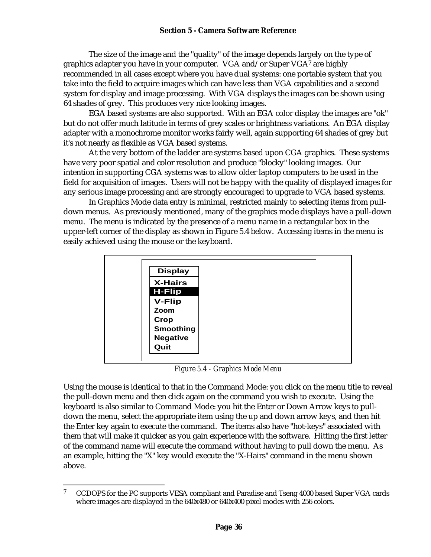The size of the image and the "quality" of the image depends largely on the type of graphics adapter you have in your computer. VGA and/or Super VGA7 are highly recommended in all cases except where you have dual systems: one portable system that you take into the field to acquire images which can have less than VGA capabilities and a second system for display and image processing. With VGA displays the images can be shown using 64 shades of grey. This produces very nice looking images.

EGA based systems are also supported. With an EGA color display the images are "ok" but do not offer much latitude in terms of grey scales or brightness variations. An EGA display adapter with a monochrome monitor works fairly well, again supporting 64 shades of grey but it's not nearly as flexible as VGA based systems.

At the very bottom of the ladder are systems based upon CGA graphics. These systems have very poor spatial and color resolution and produce "blocky" looking images. Our intention in supporting CGA systems was to allow older laptop computers to be used in the field for acquisition of images. Users will not be happy with the quality of displayed images for any serious image processing and are strongly encouraged to upgrade to VGA based systems.

In Graphics Mode data entry is minimal, restricted mainly to selecting items from pulldown menus. As previously mentioned, many of the graphics mode displays have a pull-down menu. The menu is indicated by the presence of a menu name in a rectangular box in the upper-left corner of the display as shown in Figure 5.4 below. Accessing items in the menu is easily achieved using the mouse or the keyboard.

|                | <b>Display</b>   |  |
|----------------|------------------|--|
| <b>X-Hairs</b> |                  |  |
| <b>H-Flip</b>  |                  |  |
| <b>V-Flip</b>  |                  |  |
| Zoom           |                  |  |
| Crop           |                  |  |
|                | <b>Smoothing</b> |  |
|                | <b>Negative</b>  |  |
| Quit           |                  |  |

*Figure 5.4 - Graphics Mode Menu*

Using the mouse is identical to that in the Command Mode: you click on the menu title to reveal the pull-down menu and then click again on the command you wish to execute. Using the keyboard is also similar to Command Mode: you hit the Enter or Down Arrow keys to pulldown the menu, select the appropriate item using the up and down arrow keys, and then hit the Enter key again to execute the command. The items also have "hot-keys" associated with them that will make it quicker as you gain experience with the software. Hitting the first letter of the command name will execute the command without having to pull down the menu. As an example, hitting the "X" key would execute the "X-Hairs" command in the menu shown above.

 $\overline{7}$ <sup>7</sup> CCDOPS for the PC supports VESA compliant and Paradise and Tseng 4000 based Super VGA cards where images are displayed in the 640x480 or 640x400 pixel modes with 256 colors.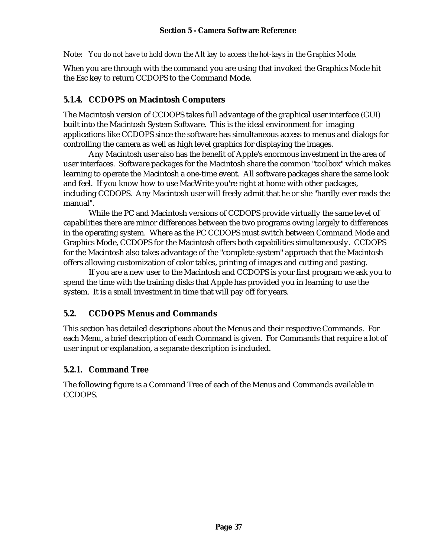Note: *You do not have to hold down the Alt key to access the hot-keys in the Graphics Mode.*

When you are through with the command you are using that invoked the Graphics Mode hit the Esc key to return CCDOPS to the Command Mode.

# **5.1.4. CCDOPS on Macintosh Computers**

The Macintosh version of CCDOPS takes full advantage of the graphical user interface (GUI) built into the Macintosh System Software. This is the ideal environment for imaging applications like CCDOPS since the software has simultaneous access to menus and dialogs for controlling the camera as well as high level graphics for displaying the images.

Any Macintosh user also has the benefit of Apple's enormous investment in the area of user interfaces. Software packages for the Macintosh share the common "toolbox" which makes learning to operate the Macintosh a one-time event. All software packages share the same look and feel. If you know how to use MacWrite you're right at home with other packages, including CCDOPS. Any Macintosh user will freely admit that he or she "hardly ever reads the manual".

While the PC and Macintosh versions of CCDOPS provide virtually the same level of capabilities there are minor differences between the two programs owing largely to differences in the operating system. Where as the PC CCDOPS must switch between Command Mode and Graphics Mode, CCDOPS for the Macintosh offers both capabilities simultaneously. CCDOPS for the Macintosh also takes advantage of the "complete system" approach that the Macintosh offers allowing customization of color tables, printing of images and cutting and pasting.

If you are a new user to the Macintosh and CCDOPS is your first program we ask you to spend the time with the training disks that Apple has provided you in learning to use the system. It is a small investment in time that will pay off for years.

# **5.2. CCDOPS Menus and Commands**

This section has detailed descriptions about the Menus and their respective Commands. For each Menu, a brief description of each Command is given. For Commands that require a lot of user input or explanation, a separate description is included.

# **5.2.1. Command Tree**

The following figure is a Command Tree of each of the Menus and Commands available in CCDOPS.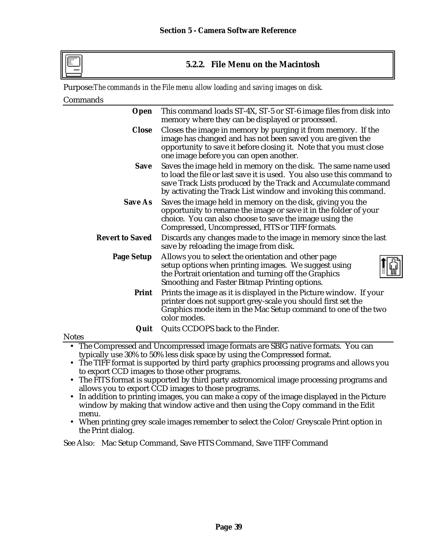# **5.2.2. File Menu on the Macintosh**

Purpose:*The commands in the File menu allow loading and saving images on disk.*

## Commands

| Open                   | This command loads ST-4X, ST-5 or ST-6 image files from disk into<br>memory where they can be displayed or processed.                                                                                                                                                       |
|------------------------|-----------------------------------------------------------------------------------------------------------------------------------------------------------------------------------------------------------------------------------------------------------------------------|
| <b>Close</b>           | Closes the image in memory by purging it from memory. If the<br>image has changed and has not been saved you are given the<br>opportunity to save it before closing it. Note that you must close<br>one image before you can open another.                                  |
| <b>Save</b>            | Saves the image held in memory on the disk. The same name used<br>to load the file or last save it is used. You also use this command to<br>save Track Lists produced by the Track and Accumulate command<br>by activating the Track List window and invoking this command. |
| <b>Save As</b>         | Saves the image held in memory on the disk, giving you the<br>opportunity to rename the image or save it in the folder of your<br>choice. You can also choose to save the image using the<br>Compressed, Uncompressed, FITS or TIFF formats.                                |
| <b>Revert to Saved</b> | Discards any changes made to the image in memory since the last<br>save by reloading the image from disk.                                                                                                                                                                   |
| <b>Page Setup</b>      | Allows you to select the orientation and other page<br>setup options when printing images. We suggest using<br>the Portrait orientation and turning off the Graphics<br>Smoothing and Faster Bitmap Printing options.                                                       |
| Print                  | Prints the image as it is displayed in the Picture window. If your<br>printer does not support grey-scale you should first set the<br>Graphics mode item in the Mac Setup command to one of the two<br>color modes.                                                         |
| Quit                   | Quits CCDOPS back to the Finder.                                                                                                                                                                                                                                            |

### **Notes**

- The Compressed and Uncompressed image formats are SBIG native formats. You can typically use 30% to 50% less disk space by using the Compressed format.
- The TIFF format is supported by third party graphics processing programs and allows you to export CCD images to those other programs.
- The FITS format is supported by third party astronomical image processing programs and allows you to export CCD images to those programs.
- In addition to printing images, you can make a copy of the image displayed in the Picture window by making that window active and then using the Copy command in the Edit menu.
- When printing grey scale images remember to select the Color/Greyscale Print option in the Print dialog.

See Also: Mac Setup Command, Save FITS Command, Save TIFF Command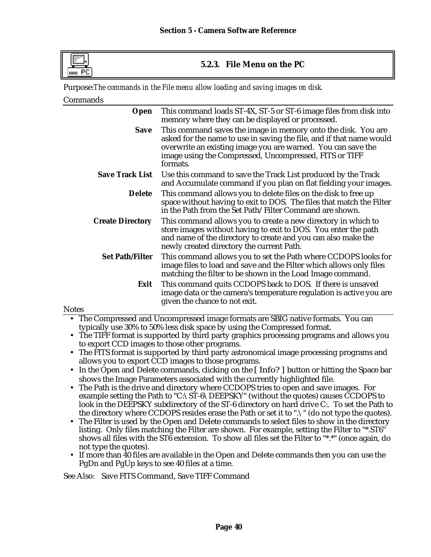

# **5.2.3. File Menu on the PC**

Purpose:*The commands in the File menu allow loading and saving images on disk.*

## Commands

| Open                    | This command loads ST-4X, ST-5 or ST-6 image files from disk into<br>memory where they can be displayed or processed.                                                                                                                                                       |
|-------------------------|-----------------------------------------------------------------------------------------------------------------------------------------------------------------------------------------------------------------------------------------------------------------------------|
| Save                    | This command saves the image in memory onto the disk. You are<br>asked for the name to use in saving the file, and if that name would<br>overwrite an existing image you are warned. You can save the<br>image using the Compressed, Uncompressed, FITS or TIFF<br>formats. |
| <b>Save Track List</b>  | Use this command to save the Track List produced by the Track<br>and Accumulate command if you plan on flat fielding your images.                                                                                                                                           |
| <b>Delete</b>           | This command allows you to delete files on the disk to free up<br>space without having to exit to DOS. The files that match the Filter<br>in the Path from the Set Path/Filter Command are shown.                                                                           |
| <b>Create Directory</b> | This command allows you to create a new directory in which to<br>store images without having to exit to DOS. You enter the path<br>and name of the directory to create and you can also make the<br>newly created directory the current Path.                               |
| <b>Set Path/Filter</b>  | This command allows you to set the Path where CCDOPS looks for<br>image files to load and save and the Filter which allows only files<br>matching the filter to be shown in the Load Image command.                                                                         |
| Exit                    | This command quits CCDOPS back to DOS. If there is unsaved<br>image data or the camera's temperature regulation is active you are<br>given the chance to not exit.                                                                                                          |

### **Notes**

- The Compressed and Uncompressed image formats are SBIG native formats. You can typically use 30% to 50% less disk space by using the Compressed format.
- The TIFF format is supported by third party graphics processing programs and allows you to export CCD images to those other programs.
- The FITS format is supported by third party astronomical image processing programs and allows you to export CCD images to those programs.
- In the Open and Delete commands, clicking on the [Info?] button or hitting the Space bar shows the Image Parameters associated with the currently highlighted file.
- The Path is the drive and directory where CCDOPS tries to open and save images. For example setting the Path to "C:\ST-6\DEEPSKY" (without the quotes) causes CCDOPS to look in the DEEPSKY subdirectory of the ST-6 directory on hard drive C:. To set the Path to the directory where CCDOPS resides erase the Path or set it to ".\" (do not type the quotes).
- The Filter is used by the Open and Delete commands to select files to show in the directory listing. Only files matching the Filter are shown. For example, setting the Filter to "\*.ST6" shows all files with the ST6 extension. To show all files set the Filter to "\*.\*" (once again, do not type the quotes).
- If more than 40 files are available in the Open and Delete commands then you can use the PgDn and PgUp keys to see 40 files at a time.

See Also: Save FITS Command, Save TIFF Command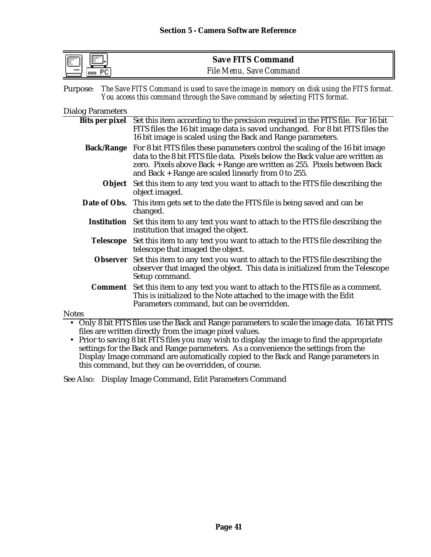| lli<br>F<br>. | <b>Save FITS Command</b>       |
|---------------|--------------------------------|
| шш            | <b>File Menu, Save Command</b> |

| Purpose: The Save FITS Command is used to save the image in memory on disk using the FITS format. |
|---------------------------------------------------------------------------------------------------|
| You access this command through the Save command by selecting FITS format.                        |

### Dialog Parameters

|                   | Bits per pixel Set this item according to the precision required in the FITS file. For 16 bit                                    |
|-------------------|----------------------------------------------------------------------------------------------------------------------------------|
|                   | FITS files the 16 bit image data is saved unchanged. For 8 bit FITS files the                                                    |
|                   | 16 bit image is scaled using the Back and Range parameters.                                                                      |
| <b>Back/Range</b> | For 8 bit FITS files these parameters control the scaling of the 16 bit image                                                    |
|                   | data to the 8 bit FITS file data. Pixels below the Back value are written as                                                     |
|                   | zero. Pixels above Back + Range are written as 255. Pixels between Back<br>and Back $+$ Range are scaled linearly from 0 to 255. |
|                   |                                                                                                                                  |
|                   | <b>Object</b> Set this item to any text you want to attach to the FITS file describing the<br>object imaged.                     |
|                   | <b>Date of Obs.</b> This item gets set to the date the FITS file is being saved and can be<br>changed.                           |
|                   |                                                                                                                                  |
|                   | Institution Set this item to any text you want to attach to the FITS file describing the<br>institution that imaged the object.  |
| <b>Telescope</b>  | Set this item to any text you want to attach to the FITS file describing the                                                     |
|                   | telescope that imaged the object.                                                                                                |
|                   | <b>Observer</b> Set this item to any text you want to attach to the FITS file describing the                                     |
|                   | observer that imaged the object. This data is initialized from the Telescope                                                     |
|                   | Setup command.                                                                                                                   |
|                   | <b>Comment</b> Set this item to any text you want to attach to the FITS file as a comment.                                       |
|                   | This is initialized to the Note attached to the image with the Edit                                                              |
|                   | Parameters command, but can be overridden.                                                                                       |
| <b>Notes</b>      |                                                                                                                                  |
|                   | Only 8 bit FITS files use the Back and Range parameters to scale the image data. 16 bit FITS                                     |
|                   | files are written directly from the image pixel values.                                                                          |
|                   |                                                                                                                                  |

• Prior to saving 8 bit FITS files you may wish to display the image to find the appropriate settings for the Back and Range parameters. As a convenience the settings from the Display Image command are automatically copied to the Back and Range parameters in this command, but they can be overridden, of course.

See Also: Display Image Command, Edit Parameters Command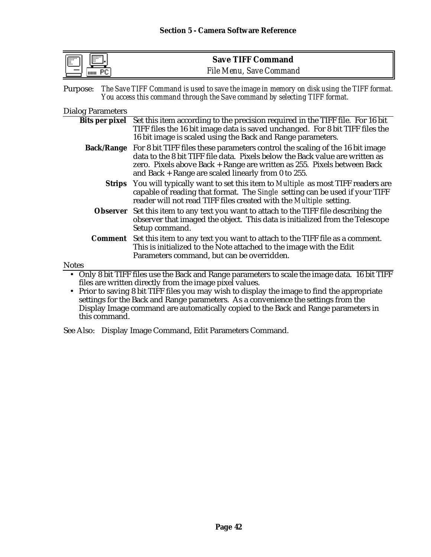| $\overline{}$<br><b>Filling</b><br>чш. | <b>Save TIFF Command</b>       |
|----------------------------------------|--------------------------------|
| HIIII                                  | <b>File Menu, Save Command</b> |

| Purpose: The Save TIFF Command is used to save the image in memory on disk using the TIFF format. |
|---------------------------------------------------------------------------------------------------|
| You access this command through the Save command by selecting TIFF format.                        |

|  | <b>Dialog Parameters</b> |
|--|--------------------------|
|--|--------------------------|

|              | Bits per pixel Set this item according to the precision required in the TIFF file. For 16 bit<br>TIFF files the 16 bit image data is saved unchanged. For 8 bit TIFF files the                                                                                                                                      |
|--------------|---------------------------------------------------------------------------------------------------------------------------------------------------------------------------------------------------------------------------------------------------------------------------------------------------------------------|
|              | 16 bit image is scaled using the Back and Range parameters.                                                                                                                                                                                                                                                         |
|              | <b>Back/Range</b> For 8 bit TIFF files these parameters control the scaling of the 16 bit image<br>data to the 8 bit TIFF file data. Pixels below the Back value are written as<br>zero. Pixels above Back + Range are written as 255. Pixels between Back<br>and Back $+$ Range are scaled linearly from 0 to 255. |
|              | <b>Strips</b> You will typically want to set this item to <i>Multiple</i> as most TIFF readers are<br>capable of reading that format. The Single setting can be used if your TIFF<br>reader will not read TIFF files created with the Multiple setting.                                                             |
|              | Observer Set this item to any text you want to attach to the TIFF file describing the<br>observer that imaged the object. This data is initialized from the Telescope<br>Setup command.                                                                                                                             |
|              | <b>Comment</b> Set this item to any text you want to attach to the TIFF file as a comment.<br>This is initialized to the Note attached to the image with the Edit<br>Parameters command, but can be overridden.                                                                                                     |
| <b>Notes</b> |                                                                                                                                                                                                                                                                                                                     |
|              | • Only 8 bit TIFF files use the Back and Range parameters to scale the image data. 16 bit TIFF<br>files are written directly from the image pixel values.                                                                                                                                                           |

• Prior to saving 8 bit TIFF files you may wish to display the image to find the appropriate settings for the Back and Range parameters. As a convenience the settings from the Display Image command are automatically copied to the Back and Range parameters in this command.

See Also: Display Image Command, Edit Parameters Command.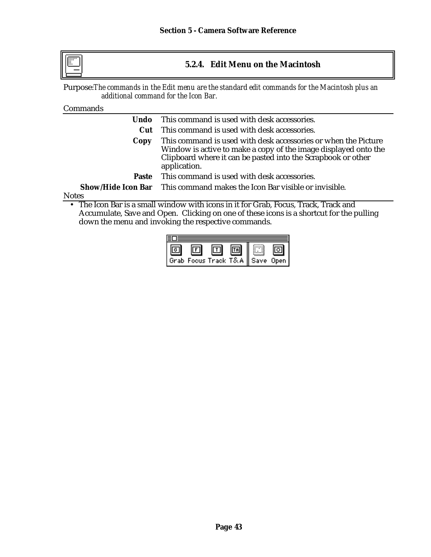

# **5.2.4. Edit Menu on the Macintosh**

Purpose:*The commands in the Edit menu are the standard edit commands for the Macintosh plus an additional command for the Icon Bar.*

## **Commands**

| Undo -                                                                                                                                                                                                                    | This command is used with desk accessories.                                     |  |
|---------------------------------------------------------------------------------------------------------------------------------------------------------------------------------------------------------------------------|---------------------------------------------------------------------------------|--|
| Cut                                                                                                                                                                                                                       | This command is used with desk accessories.                                     |  |
| This command is used with desk accessories or when the Picture<br>Copy<br>Window is active to make a copy of the image displayed onto the<br>Clipboard where it can be pasted into the Scrapbook or other<br>application. |                                                                                 |  |
| <b>Paste</b>                                                                                                                                                                                                              | This command is used with desk accessories.                                     |  |
|                                                                                                                                                                                                                           | <b>Show/Hide Icon Bar</b> This command makes the Icon Bar visible or invisible. |  |
| <b>Notes</b>                                                                                                                                                                                                              |                                                                                 |  |

• The Icon Bar is a small window with icons in it for Grab, Focus, Track, Track and Accumulate, Save and Open. Clicking on one of these icons is a shortcut for the pulling down the menu and invoking the respective commands.

|                                | 画 |  |
|--------------------------------|---|--|
| Grab Focus Track T&A Save Open |   |  |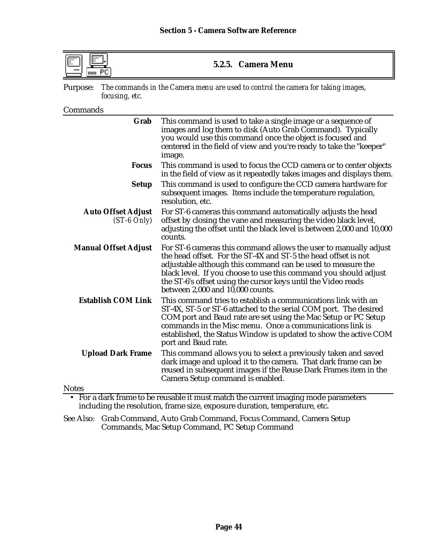| $\cdots$<br>F<br>THILL | 5.2.5. Camera Menu                                                                        |
|------------------------|-------------------------------------------------------------------------------------------|
|                        | Purpose: The commands in the Camera menu are used to control the camera for taking images |

Purpose: *The commands in the Camera menu are used to control the camera for taking images, focusing, etc.*

Commands

| Grab                                       | This command is used to take a single image or a sequence of<br>images and log them to disk (Auto Grab Command). Typically<br>you would use this command once the object is focused and<br>centered in the field of view and you're ready to take the "keeper"<br>image.                                                                                                   |
|--------------------------------------------|----------------------------------------------------------------------------------------------------------------------------------------------------------------------------------------------------------------------------------------------------------------------------------------------------------------------------------------------------------------------------|
| <b>Focus</b>                               | This command is used to focus the CCD camera or to center objects<br>in the field of view as it repeatedly takes images and displays them.                                                                                                                                                                                                                                 |
| <b>Setup</b>                               | This command is used to configure the CCD camera hardware for<br>subsequent images. Items include the temperature regulation,<br>resolution, etc.                                                                                                                                                                                                                          |
| <b>Auto Offset Adjust</b><br>$(ST-6 Only)$ | For ST-6 cameras this command automatically adjusts the head<br>offset by closing the vane and measuring the video black level,<br>adjusting the offset until the black level is between 2,000 and 10,000<br>counts.                                                                                                                                                       |
| <b>Manual Offset Adjust</b>                | For ST-6 cameras this command allows the user to manually adjust<br>the head offset. For the ST-4X and ST-5 the head offset is not<br>adjustable although this command can be used to measure the<br>black level. If you choose to use this command you should adjust<br>the ST-6's offset using the cursor keys until the Video reads<br>between 2,000 and 10,000 counts. |
| <b>Establish COM Link</b>                  | This command tries to establish a communications link with an<br>ST-4X, ST-5 or ST-6 attached to the serial COM port. The desired<br>COM port and Baud rate are set using the Mac Setup or PC Setup<br>commands in the Misc menu. Once a communications link is<br>established, the Status Window is updated to show the active COM<br>port and Baud rate.                 |
| <b>Upload Dark Frame</b>                   | This command allows you to select a previously taken and saved<br>dark image and upload it to the camera. That dark frame can be<br>reused in subsequent images if the Reuse Dark Frames item in the<br>Camera Setup command is enabled.                                                                                                                                   |
| <b>Notes</b>                               |                                                                                                                                                                                                                                                                                                                                                                            |
|                                            | • For a dark frame to be reusable it must match the current imaging mode parameters                                                                                                                                                                                                                                                                                        |

including the resolution, frame size, exposure duration, temperature, etc.

See Also: Grab Command, Auto Grab Command, Focus Command, Camera Setup Commands, Mac Setup Command, PC Setup Command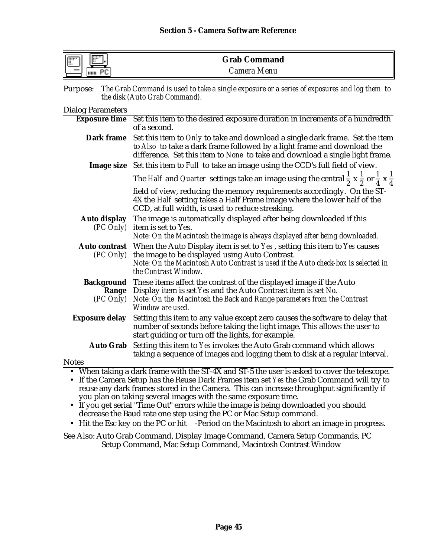| m<br>$\overline{1}$<br><br> | <b>Grab Command</b> |  |
|-----------------------------|---------------------|--|
| вr<br>HIIII                 | Camera Menu         |  |

| Purpose: The Grab Command is used to take a single exposure or a series of exposures and log them to |
|------------------------------------------------------------------------------------------------------|
| the disk (Auto Grab Command).                                                                        |

## Dialog Parameters

| $P_{\text{muoy}}$ , arameters                                                                                                                          |                                                                                                                                                                                                                                                               |  |  |
|--------------------------------------------------------------------------------------------------------------------------------------------------------|---------------------------------------------------------------------------------------------------------------------------------------------------------------------------------------------------------------------------------------------------------------|--|--|
|                                                                                                                                                        | Exposure time Set this item to the desired exposure duration in increments of a hundredth<br>of a second.                                                                                                                                                     |  |  |
| Dark frame                                                                                                                                             | Set this item to Only to take and download a single dark frame. Set the item<br>to Also to take a dark frame followed by a light frame and download the<br>difference. Set this item to None to take and download a single light frame.                       |  |  |
|                                                                                                                                                        | Image size Set this item to Full to take an image using the CCD's full field of view.                                                                                                                                                                         |  |  |
|                                                                                                                                                        | The <i>Half</i> and <i>Quarter</i> settings take an image using the central $\frac{1}{2} \times \frac{1}{2}$ or $\frac{1}{4} \times \frac{1}{4}$                                                                                                              |  |  |
|                                                                                                                                                        | field of view, reducing the memory requirements accordingly. On the ST-<br>4X the <i>Half</i> setting takes a Half Frame image where the lower half of the<br>CCD, at full width, is used to reduce streaking.                                                |  |  |
| <b>Auto display</b><br>$(PC \, Only)$                                                                                                                  | The image is automatically displayed after being downloaded if this<br>item is set to Yes.<br>Note: On the Macintosh the image is always displayed after being downloaded.                                                                                    |  |  |
|                                                                                                                                                        |                                                                                                                                                                                                                                                               |  |  |
| $(PC \, Only)$                                                                                                                                         | <b>Auto contrast</b> When the Auto Display item is set to Yes, setting this item to Yes causes<br>the image to be displayed using Auto Contrast.<br>Note: On the Macintosh Auto Contrast is used if the Auto check-box is selected in<br>the Contrast Window. |  |  |
|                                                                                                                                                        | <b>Background</b> These items affect the contrast of the displayed image if the Auto                                                                                                                                                                          |  |  |
| Range                                                                                                                                                  | Display item is set Yes and the Auto Contrast item is set No.                                                                                                                                                                                                 |  |  |
| $(PC \, Only)$                                                                                                                                         | Note: On the Macintosh the Back and Range parameters from the Contrast<br>Window are used.                                                                                                                                                                    |  |  |
| <b>Exposure delay</b>                                                                                                                                  | Setting this item to any value except zero causes the software to delay that<br>number of seconds before taking the light image. This allows the user to<br>start guiding or turn off the lights, for example.                                                |  |  |
|                                                                                                                                                        | Auto Grab Setting this item to Yes invokes the Auto Grab command which allows<br>taking a sequence of images and logging them to disk at a regular interval.                                                                                                  |  |  |
| <b>Notes</b>                                                                                                                                           |                                                                                                                                                                                                                                                               |  |  |
|                                                                                                                                                        | • When taking a dark frame with the ST-4X and ST-5 the user is asked to cover the telescope.                                                                                                                                                                  |  |  |
|                                                                                                                                                        | • If the Camera Setup has the Reuse Dark Frames item set Yes the Grab Command will try to                                                                                                                                                                     |  |  |
|                                                                                                                                                        | reuse any dark frames stored in the Camera. This can increase throughput significantly if                                                                                                                                                                     |  |  |
| you plan on taking several images with the same exposure time.<br>• If you get serial "Time Out" errors while the image is being downloaded you should |                                                                                                                                                                                                                                                               |  |  |
|                                                                                                                                                        |                                                                                                                                                                                                                                                               |  |  |

- decrease the Baud rate one step using the PC or Mac Setup command.
- Hit the Esc key on the PC or hit -Period on the Macintosh to abort an image in progress.

See Also: Auto Grab Command, Display Image Command, Camera Setup Commands, PC Setup Command, Mac Setup Command, Macintosh Contrast Window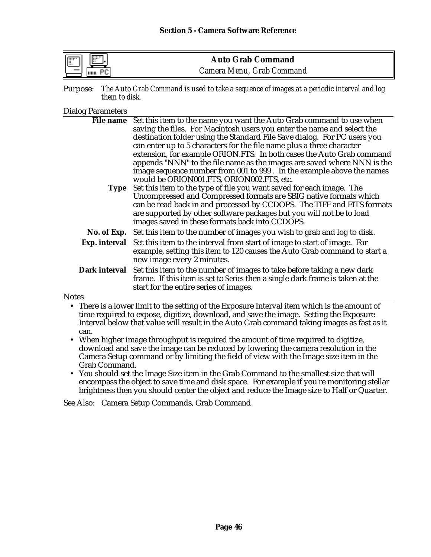| $\frac{1}{2}$<br>$\mathbb{F}$ | <b>Auto Grab Command</b>  |
|-------------------------------|---------------------------|
| шш                            | Camera Menu, Grab Command |

Purpose: *The Auto Grab Command is used to take a sequence of images at a periodic interval and log them to disk.*

### Dialog Parameters

|              | File name Set this item to the name you want the Auto Grab command to use when                |
|--------------|-----------------------------------------------------------------------------------------------|
|              | saving the files. For Macintosh users you enter the name and select the                       |
|              | destination folder using the Standard File Save dialog. For PC users you                      |
|              | can enter up to 5 characters for the file name plus a three character                         |
|              | extension, for example ORION.FTS. In both cases the Auto Grab command                         |
|              | appends "NNN" to the file name as the images are saved where NNN is the                       |
|              | image sequence number from 001 to 999. In the example above the names                         |
|              | would be ORION001.FTS, ORION002.FTS, etc.                                                     |
|              | Type Set this item to the type of file you want saved for each image. The                     |
|              | Uncompressed and Compressed formats are SBIG native formats which                             |
|              | can be read back in and processed by CCDOPS. The TIFF and FITS formats                        |
|              | are supported by other software packages but you will not be to load                          |
|              | images saved in these formats back into CCDOPS.                                               |
|              | No. of Exp. Set this item to the number of images you wish to grab and log to disk.           |
|              | <b>Exp. interval</b> Set this item to the interval from start of image to start of image. For |
|              | example, setting this item to 120 causes the Auto Grab command to start a                     |
|              | new image every 2 minutes.                                                                    |
|              | <b>Dark interval</b> Set this item to the number of images to take before taking a new dark   |
|              | frame. If this item is set to Series then a single dark frame is taken at the                 |
|              | start for the entire series of images.                                                        |
| <b>Notes</b> |                                                                                               |

• There is a lower limit to the setting of the Exposure Interval item which is the amount of time required to expose, digitize, download, and save the image. Setting the Exposure Interval below that value will result in the Auto Grab command taking images as fast as it can.

- When higher image throughput is required the amount of time required to digitize, download and save the image can be reduced by lowering the camera resolution in the Camera Setup command or by limiting the field of view with the Image size item in the Grab Command.
- You should set the Image Size item in the Grab Command to the smallest size that will encompass the object to save time and disk space. For example if you're monitoring stellar brightness then you should center the object and reduce the Image size to Half or Quarter.

See Also: Camera Setup Commands, Grab Command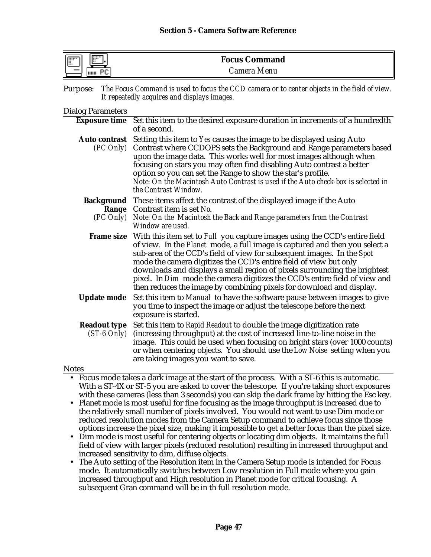| . <b>EEE</b><br><b>I Back</b><br><br>ч. | <b>Focus Command</b> |  |
|-----------------------------------------|----------------------|--|
| 111111                                  | Camera Menu          |  |

Purpose: *The Focus Command is used to focus the CCD camera or to center objects in the field of view. It repeatedly acquires and displays images.*

### Dialog Parameters

|                                        | Exposure time Set this item to the desired exposure duration in increments of a hundredth<br>of a second.                                                                                                                                                                                                                                                                                                                                                                                                                                                     |
|----------------------------------------|---------------------------------------------------------------------------------------------------------------------------------------------------------------------------------------------------------------------------------------------------------------------------------------------------------------------------------------------------------------------------------------------------------------------------------------------------------------------------------------------------------------------------------------------------------------|
| <b>Auto contrast</b><br>$(PC \, Only)$ | Setting this item to Yes causes the image to be displayed using Auto<br>Contrast where CCDOPS sets the Background and Range parameters based<br>upon the image data. This works well for most images although when<br>focusing on stars you may often find disabling Auto contrast a better<br>option so you can set the Range to show the star's profile.<br>Note: On the Macintosh Auto Contrast is used if the Auto check-box is selected in<br>the Contrast Window.                                                                                       |
|                                        | <b>Background</b> These items affect the contrast of the displayed image if the Auto                                                                                                                                                                                                                                                                                                                                                                                                                                                                          |
|                                        | Range Contrast item is set No.                                                                                                                                                                                                                                                                                                                                                                                                                                                                                                                                |
| $(PC \text{ Only})$                    | Note: On the Macintosh the Back and Range parameters from the Contrast<br>Window are used.                                                                                                                                                                                                                                                                                                                                                                                                                                                                    |
|                                        | <b>Frame size</b> With this item set to Full you capture images using the CCD's entire field<br>of view. In the Planet mode, a full image is captured and then you select a<br>sub-area of the CCD's field of view for subsequent images. In the Spot<br>mode the camera digitizes the CCD's entire field of view but only<br>downloads and displays a small region of pixels surrounding the brightest<br>pixel. In Dim mode the camera digitizes the CCD's entire field of view and<br>then reduces the image by combining pixels for download and display. |
| <b>Update mode</b>                     | Set this item to Manual to have the software pause between images to give<br>you time to inspect the image or adjust the telescope before the next<br>exposure is started.                                                                                                                                                                                                                                                                                                                                                                                    |
| <b>Readout type</b><br>$(ST-6 Only)$   | Set this item to Rapid Readout to double the image digitization rate<br>(increasing throughput) at the cost of increased line-to-line noise in the<br>image. This could be used when focusing on bright stars (over 1000 counts)<br>or when centering objects. You should use the Low Noise setting when you<br>are taking images you want to save.                                                                                                                                                                                                           |
| <b>Notes</b>                           |                                                                                                                                                                                                                                                                                                                                                                                                                                                                                                                                                               |

- Focus mode takes a dark image at the start of the process. With a ST-6 this is automatic. With a ST-4X or ST-5 you are asked to cover the telescope. If you're taking short exposures with these cameras (less than 3 seconds) you can skip the dark frame by hitting the Esc key.
- Planet mode is most useful for fine focusing as the image throughput is increased due to the relatively small number of pixels involved. You would not want to use Dim mode or reduced resolution modes from the Camera Setup command to achieve focus since those options increase the pixel size, making it impossible to get a better focus than the pixel size.
- Dim mode is most useful for centering objects or locating dim objects. It maintains the full field of view with larger pixels (reduced resolution) resulting in increased throughput and increased sensitivity to dim, diffuse objects.
- The Auto setting of the Resolution item in the Camera Setup mode is intended for Focus mode. It automatically switches between Low resolution in Full mode where you gain increased throughput and High resolution in Planet mode for critical focusing. A subsequent Gran command will be in th full resolution mode.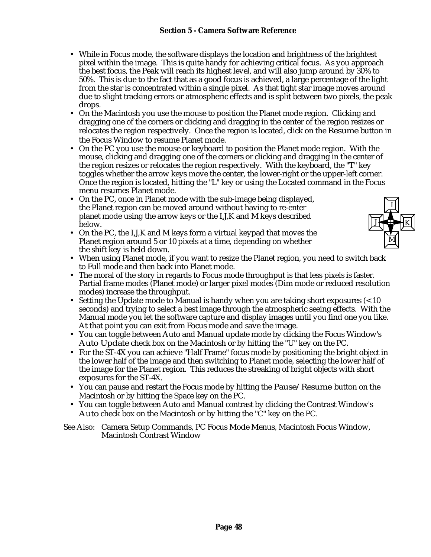- While in Focus mode, the software displays the location and brightness of the brightest pixel within the image. This is quite handy for achieving critical focus. As you approach the best focus, the Peak will reach its highest level, and will also jump around by 30% to 50%. This is due to the fact that as a good focus is achieved, a large percentage of the light from the star is concentrated within a single pixel. As that tight star image moves around due to slight tracking errors or atmospheric effects and is split between two pixels, the peak drops.
- On the Macintosh you use the mouse to position the Planet mode region. Clicking and dragging one of the corners or clicking and dragging in the center of the region resizes or relocates the region respectively. Once the region is located, click on the Resume button in the Focus Window to resume Planet mode.
- On the PC you use the mouse or keyboard to position the Planet mode region. With the mouse, clicking and dragging one of the corners or clicking and dragging in the center of the region resizes or relocates the region respectively. With the keyboard, the "T" key toggles whether the arrow keys move the center, the lower-right or the upper-left corner. Once the region is located, hitting the "L" key or using the Located command in the Focus menu resumes Planet mode.
- On the PC, once in Planet mode with the sub-image being displayed, the Planet region can be moved around without having to re-enter planet mode using the arrow keys or the I,J,K and M keys described below.
- On the PC, the I,J,K and M keys form a virtual keypad that moves the Planet region around 5 or 10 pixels at a time, depending on whether the shift key is held down.



- When using Planet mode, if you want to resize the Planet region, you need to switch back to Full mode and then back into Planet mode.
- The moral of the story in regards to Focus mode throughput is that less pixels is faster. Partial frame modes (Planet mode) or larger pixel modes (Dim mode or reduced resolution modes) increase the throughput.
- Setting the Update mode to Manual is handy when you are taking short exposures (< 10 seconds) and trying to select a best image through the atmospheric seeing effects. With the Manual mode you let the software capture and display images until you find one you like. At that point you can exit from Focus mode and save the image.
- You can toggle between Auto and Manual update mode by clicking the Focus Window's Auto Update check box on the Macintosh or by hitting the "U" key on the PC.
- For the ST-4X you can achieve "Half Frame" focus mode by positioning the bright object in the lower half of the image and then switching to Planet mode, selecting the lower half of the image for the Planet region. This reduces the streaking of bright objects with short exposures for the ST-4X.
- You can pause and restart the Focus mode by hitting the Pause/Resume button on the Macintosh or by hitting the Space key on the PC.
- You can toggle between Auto and Manual contrast by clicking the Contrast Window's Auto check box on the Macintosh or by hitting the "C" key on the PC.
- See Also: Camera Setup Commands, PC Focus Mode Menus, Macintosh Focus Window, Macintosh Contrast Window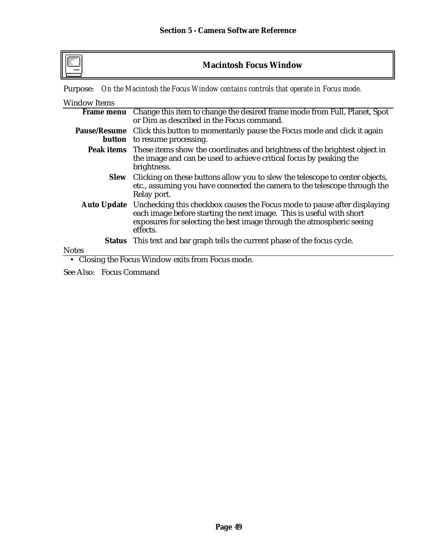# **Macintosh Focus Window**

Purpose: *On the Macintosh the Focus Window contains controls that operate in Focus mode.*

| <b>Window Items</b> |                                                                                                                                                                                                                                                          |
|---------------------|----------------------------------------------------------------------------------------------------------------------------------------------------------------------------------------------------------------------------------------------------------|
|                     | Frame menu Change this item to change the desired frame mode from Full, Planet, Spot<br>or Dim as described in the Focus command.                                                                                                                        |
|                     | Pause/Resume Click this button to momentarily pause the Focus mode and click it again<br><b>button</b> to resume processing.                                                                                                                             |
|                     | <b>Peak items</b> These items show the coordinates and brightness of the brightest object in<br>the image and can be used to achieve critical focus by peaking the<br>brightness.                                                                        |
|                     | Slew Clicking on these buttons allow you to slew the telescope to center objects,<br>etc., assuming you have connected the camera to the telescope through the<br>Relay port.                                                                            |
|                     | <b>Auto Update</b> Unchecking this checkbox causes the Focus mode to pause after displaying<br>each image before starting the next image. This is useful with short<br>exposures for selecting the best image through the atmospheric seeing<br>effects. |
|                     | <b>Status</b> This text and bar graph tells the current phase of the focus cycle.                                                                                                                                                                        |
| <b>Notes</b>        |                                                                                                                                                                                                                                                          |

• Closing the Focus Window exits from Focus mode.

See Also: Focus Command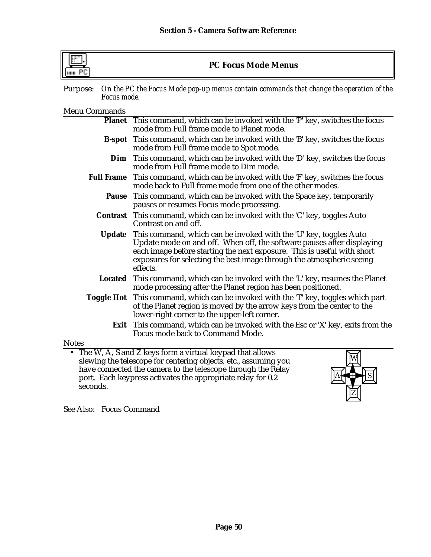| uuu PC                  | <b>PC Focus Mode Menus</b>                                                                                                                                                                                                                                                                                  |
|-------------------------|-------------------------------------------------------------------------------------------------------------------------------------------------------------------------------------------------------------------------------------------------------------------------------------------------------------|
| Purpose:<br>Focus mode. | On the PC the Focus Mode pop-up menus contain commands that change the operation of the                                                                                                                                                                                                                     |
| <b>Menu Commands</b>    |                                                                                                                                                                                                                                                                                                             |
| <b>Planet</b>           | This command, which can be invoked with the 'P' key, switches the focus<br>mode from Full frame mode to Planet mode.                                                                                                                                                                                        |
| <b>B-spot</b>           | This command, which can be invoked with the 'B' key, switches the focus<br>mode from Full frame mode to Spot mode.                                                                                                                                                                                          |
| Dim                     | This command, which can be invoked with the 'D' key, switches the focus<br>mode from Full frame mode to Dim mode.                                                                                                                                                                                           |
| <b>Full Frame</b>       | This command, which can be invoked with the 'F' key, switches the focus<br>mode back to Full frame mode from one of the other modes.                                                                                                                                                                        |
|                         | <b>Pause</b> This command, which can be invoked with the Space key, temporarily<br>pauses or resumes Focus mode processing.                                                                                                                                                                                 |
|                         | <b>Contrast</b> This command, which can be invoked with the 'C' key, toggles Auto<br>Contrast on and off.                                                                                                                                                                                                   |
| <b>Update</b>           | This command, which can be invoked with the 'U' key, toggles Auto<br>Update mode on and off. When off, the software pauses after displaying<br>each image before starting the next exposure. This is useful with short<br>exposures for selecting the best image through the atmospheric seeing<br>effects. |
|                         | <b>Located</b> This command, which can be invoked with the 'L' key, resumes the Planet<br>mode processing after the Planet region has been positioned.                                                                                                                                                      |
| <b>Toggle Hot</b>       | This command, which can be invoked with the 'T' key, toggles which part<br>of the Planet region is moved by the arrow keys from the center to the<br>lower-right corner to the upper-left corner.                                                                                                           |
|                         | Exit This command, which can be invoked with the Esc or 'X' key, exits from the<br>Focus mode back to Command Mode.                                                                                                                                                                                         |
| <b>Notes</b>            |                                                                                                                                                                                                                                                                                                             |
| seconds.                | The W, A, S and Z keys form a virtual keypad that allows<br>slewing the telescope for centering objects, etc., assuming you<br>have connected the camera to the telescope through the Relay<br>port. Each keypress activates the appropriate relay for 0.2                                                  |

See Also: Focus Command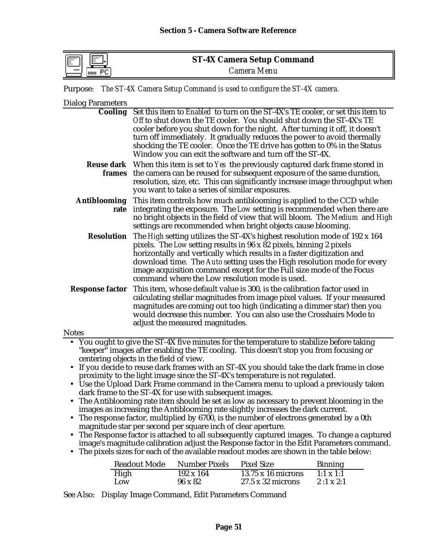| <b>Film</b><br>F<br>" | <b>ST-4X Camera Setup Command</b> |  |
|-----------------------|-----------------------------------|--|
|                       | <i>Camera Menu</i>                |  |

Purpose: *The ST-4X Camera Setup Command is used to configure the ST-4X camera.*

| <b>Dialog Parameters</b>                    |                                                                                                                                                                                                                                                                                                                                                                                                                                                                                                                                                                                                                                                                                                                                                                                                                                                                                                     |
|---------------------------------------------|-----------------------------------------------------------------------------------------------------------------------------------------------------------------------------------------------------------------------------------------------------------------------------------------------------------------------------------------------------------------------------------------------------------------------------------------------------------------------------------------------------------------------------------------------------------------------------------------------------------------------------------------------------------------------------------------------------------------------------------------------------------------------------------------------------------------------------------------------------------------------------------------------------|
| <b>Cooling</b>                              | Set this item to Enabled to turn on the ST-4X's TE cooler, or set this item to<br>Off to shut down the TE cooler. You should shut down the ST-4X's TE<br>cooler before you shut down for the night. After turning it off, it doesn't<br>turn off immediately. It gradually reduces the power to avoid thermally<br>shocking the TE cooler. Once the TE drive has gotten to 0% in the Status                                                                                                                                                                                                                                                                                                                                                                                                                                                                                                         |
|                                             | Window you can exit the software and turn off the ST-4X.                                                                                                                                                                                                                                                                                                                                                                                                                                                                                                                                                                                                                                                                                                                                                                                                                                            |
|                                             | <b>Reuse dark</b> When this item is set to Yes the previously captured dark frame stored in<br>frames the camera can be reused for subsequent exposure of the same duration,<br>resolution, size, etc. This can significantly increase image throughput when<br>you want to take a series of similar exposures.                                                                                                                                                                                                                                                                                                                                                                                                                                                                                                                                                                                     |
| <b>Antiblooming</b><br>rate                 | This item controls how much antiblooming is applied to the CCD while<br>integrating the exposure. The Low setting is recommended when there are<br>no bright objects in the field of view that will bloom. The Medium and High<br>settings are recommended when bright objects cause blooming.                                                                                                                                                                                                                                                                                                                                                                                                                                                                                                                                                                                                      |
| <b>Resolution</b><br><b>Response factor</b> | The High setting utilizes the ST-4X's highest resolution mode of 192 x 164<br>pixels. The Low setting results in 96 x 82 pixels, binning 2 pixels<br>horizontally and vertically which results in a faster digitization and<br>download time. The Auto setting uses the High resolution mode for every<br>image acquisition command except for the Full size mode of the Focus<br>command where the Low resolution mode is used.<br>This item, whose default value is 300, is the calibration factor used in<br>calculating stellar magnitudes from image pixel values. If your measured<br>magnitudes are coming out too high (indicating a dimmer star) then you                                                                                                                                                                                                                                  |
|                                             | would decrease this number. You can also use the Crosshairs Mode to<br>adjust the measured magnitudes.                                                                                                                                                                                                                                                                                                                                                                                                                                                                                                                                                                                                                                                                                                                                                                                              |
| <b>Notes</b>                                |                                                                                                                                                                                                                                                                                                                                                                                                                                                                                                                                                                                                                                                                                                                                                                                                                                                                                                     |
| $\bullet$<br>$\bullet$<br>$\bullet$         | • You ought to give the ST-4X five minutes for the temperature to stabilize before taking<br>"keeper" images after enabling the TE cooling. This doesn't stop you from focusing or<br>centering objects in the field of view.<br>If you decide to reuse dark frames with an ST-4X you should take the dark frame in close<br>proximity to the light image since the ST-4X's temperature is not regulated.<br>• Use the Upload Dark Frame command in the Camera menu to upload a previously taken<br>dark frame to the ST-4X for use with subsequent images.<br>The Antiblooming rate item should be set as low as necessary to prevent blooming in the<br>images as increasing the Antiblooming rate slightly increases the dark current.<br>The response factor, multiplied by 6700, is the number of electrons generated by a 0th<br>magnitude star per second per square inch of clear aperture. |

• The Response factor is attached to all subsequently captured images. To change a captured image's magnitude calibration adjust the Response factor in the Edit Parameters command.

• The pixels sizes for each of the available readout modes are shown in the table below:

| Readout Mode | Number Pixels    | <b>Pixel Size</b>         | <b>Binning</b>   |
|--------------|------------------|---------------------------|------------------|
| High         | $192 \times 164$ | $13.75 \times 16$ microns | $1:1 \times 1:1$ |
| Low          | $96 \times 82$   | $27.5 \times 32$ microns  | $2:1 \times 2:1$ |

See Also: Display Image Command, Edit Parameters Command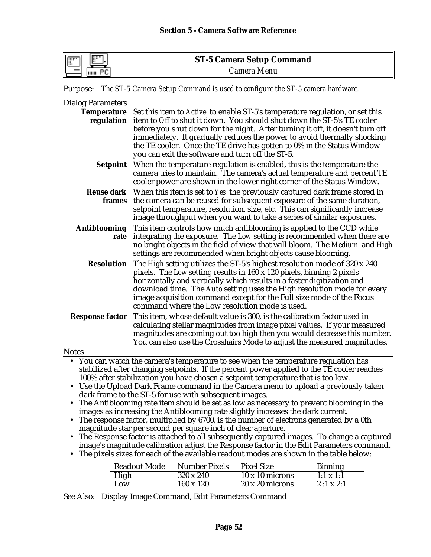| <b>EXERC</b><br>$\mathbb{F}$ | <b>ST-5 Camera Setup Command</b> |
|------------------------------|----------------------------------|
| шш                           | Camera Menu                      |

Purpose: *The ST-5 Camera Setup Command is used to configure the ST-5 camera hardware.*

| <b>Dialog Parameters</b>         |                                                                                                                                                                                                                                                                                                                                                                                                                                                                                                                                                                                                                                                                                                                                                                                                                                                                                                                                                              |
|----------------------------------|--------------------------------------------------------------------------------------------------------------------------------------------------------------------------------------------------------------------------------------------------------------------------------------------------------------------------------------------------------------------------------------------------------------------------------------------------------------------------------------------------------------------------------------------------------------------------------------------------------------------------------------------------------------------------------------------------------------------------------------------------------------------------------------------------------------------------------------------------------------------------------------------------------------------------------------------------------------|
| <b>Temperature</b><br>regulation | Set this item to Active to enable ST-5's temperature regulation, or set this<br>item to Off to shut it down. You should shut down the ST-5's TE cooler<br>before you shut down for the night. After turning it off, it doesn't turn off                                                                                                                                                                                                                                                                                                                                                                                                                                                                                                                                                                                                                                                                                                                      |
|                                  | immediately. It gradually reduces the power to avoid thermally shocking<br>the TE cooler. Once the TE drive has gotten to 0% in the Status Window<br>you can exit the software and turn off the ST-5.                                                                                                                                                                                                                                                                                                                                                                                                                                                                                                                                                                                                                                                                                                                                                        |
| Setpoint                         | When the temperature regulation is enabled, this is the temperature the<br>camera tries to maintain. The camera's actual temperature and percent TE<br>cooler power are shown in the lower right corner of the Status Window.                                                                                                                                                                                                                                                                                                                                                                                                                                                                                                                                                                                                                                                                                                                                |
|                                  | <b>Reuse dark</b> When this item is set to Yes the previously captured dark frame stored in<br>frames the camera can be reused for subsequent exposure of the same duration,<br>setpoint temperature, resolution, size, etc. This can significantly increase<br>image throughput when you want to take a series of similar exposures.                                                                                                                                                                                                                                                                                                                                                                                                                                                                                                                                                                                                                        |
| <b>Antiblooming</b><br>rate      | This item controls how much antiblooming is applied to the CCD while<br>integrating the exposure. The Low setting is recommended when there are<br>no bright objects in the field of view that will bloom. The Medium and High<br>settings are recommended when bright objects cause blooming.                                                                                                                                                                                                                                                                                                                                                                                                                                                                                                                                                                                                                                                               |
| <b>Resolution</b>                | The High setting utilizes the ST-5's highest resolution mode of 320 x 240<br>pixels. The Low setting results in 160 x 120 pixels, binning 2 pixels<br>horizontally and vertically which results in a faster digitization and<br>download time. The Auto setting uses the High resolution mode for every<br>image acquisition command except for the Full size mode of the Focus<br>command where the Low resolution mode is used.                                                                                                                                                                                                                                                                                                                                                                                                                                                                                                                            |
|                                  | <b>Response factor</b> This item, whose default value is 300, is the calibration factor used in<br>calculating stellar magnitudes from image pixel values. If your measured<br>magnitudes are coming out too high then you would decrease this number.<br>You can also use the Crosshairs Mode to adjust the measured magnitudes.                                                                                                                                                                                                                                                                                                                                                                                                                                                                                                                                                                                                                            |
| <b>Notes</b>                     | You can watch the camera's temperature to see when the temperature regulation has                                                                                                                                                                                                                                                                                                                                                                                                                                                                                                                                                                                                                                                                                                                                                                                                                                                                            |
|                                  | stabilized after changing setpoints. If the percent power applied to the TE cooler reaches<br>100% after stabilization you have chosen a setpoint temperature that is too low.<br>• Use the Upload Dark Frame command in the Camera menu to upload a previously taken<br>dark frame to the ST-5 for use with subsequent images.<br>• The Antiblooming rate item should be set as low as necessary to prevent blooming in the<br>images as increasing the Antiblooming rate slightly increases the dark current.<br>The response factor, multiplied by 6700, is the number of electrons generated by a 0th<br>magnitude star per second per square inch of clear aperture.<br>The Response factor is attached to all subsequently captured images. To change a captured<br>image's magnitude calibration adjust the Response factor in the Edit Parameters command.<br>The pixels sizes for each of the available readout modes are shown in the table below: |
|                                  | <b>Readout Mode</b><br><b>Number Pixels</b><br><b>Pixel Size</b><br><b>Binning</b>                                                                                                                                                                                                                                                                                                                                                                                                                                                                                                                                                                                                                                                                                                                                                                                                                                                                           |

See Also: Display Image Command, Edit Parameters Command

High 320 x 240 10 x 10 microns 1:1 x 1:1<br>Low 160 x 120 20 x 20 microns 2 :1 x 2:1

20 x 20 microns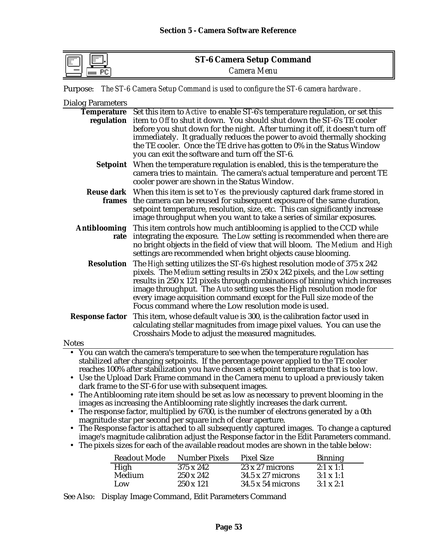| <b>FT</b><br>$\overline{}$<br>٠. | <b>ST-6 Camera Setup Command</b> |  |
|----------------------------------|----------------------------------|--|
| Þг<br>HIIII                      | Camera Menu                      |  |

Purpose: *The ST-6 Camera Setup Command is used to configure the ST-6 camera hardware .*

**Dialog Parameters**<br>Temperature Set this item to *Active* to enable ST-6's temperature regulation, or set this **regulation** item to *Off* to shut it down. You should shut down the ST-6's TE cooler before you shut down for the night. After turning it off, it doesn't turn off immediately. It gradually reduces the power to avoid thermally shocking the TE cooler. Once the TE drive has gotten to 0% in the Status Window you can exit the software and turn off the ST-6. **Setpoint** When the temperature regulation is enabled, this is the temperature the camera tries to maintain. The camera's actual temperature and percent TE cooler power are shown in the Status Window. **Reuse dark** When this item is set to *Yes* the previously captured dark frame stored in **frames** the camera can be reused for subsequent exposure of the same duration, setpoint temperature, resolution, size, etc. This can significantly increase image throughput when you want to take a series of similar exposures. **Antiblooming** This item controls how much antiblooming is applied to the CCD while **rate** integrating the exposure. The *Low* setting is recommended when there are no bright objects in the field of view that will bloom. The *Medium* and *High* settings are recommended when bright objects cause blooming. **Resolution** The *High* setting utilizes the ST-6's highest resolution mode of 375 x 242 pixels. The *Medium* setting results in 250 x 242 pixels, and the *Low* setting results in 250 x 121 pixels through combinations of binning which increases image throughput. The *Auto* setting uses the High resolution mode for every image acquisition command except for the Full size mode of the Focus command where the Low resolution mode is used. **Response factor** This item, whose default value is 300, is the calibration factor used in calculating stellar magnitudes from image pixel values. You can use the Crosshairs Mode to adjust the measured magnitudes. **Notes** • You can watch the camera's temperature to see when the temperature regulation has stabilized after changing setpoints. If the percentage power applied to the TE cooler reaches 100% after stabilization you have chosen a setpoint temperature that is too low. • Use the Upload Dark Frame command in the Camera menu to upload a previously taken dark frame to the ST-6 for use with subsequent images. • The Antiblooming rate item should be set as low as necessary to prevent blooming in the images as increasing the Antiblooming rate slightly increases the dark current.

- The response factor, multiplied by 6700, is the number of electrons generated by a 0th magnitude star per second per square inch of clear aperture.
- The Response factor is attached to all subsequently captured images. To change a captured image's magnitude calibration adjust the Response factor in the Edit Parameters command.
- The pixels sizes for each of the available readout modes are shown in the table below:

| <b>Readout Mode</b> | <b>Number Pixels</b> | <b>Pixel Size</b>        | <b>Binning</b>   |
|---------------------|----------------------|--------------------------|------------------|
| High                | 375 x 242            | $23 \times 27$ microns   | $2:1 \times 1:1$ |
| Medium              | $250 \times 242$     | $34.5 \times 27$ microns | $3:1 \times 1:1$ |
| Low                 | $250 \times 121$     | $34.5 \times 54$ microns | $3:1 \times 2:1$ |

See Also: Display Image Command, Edit Parameters Command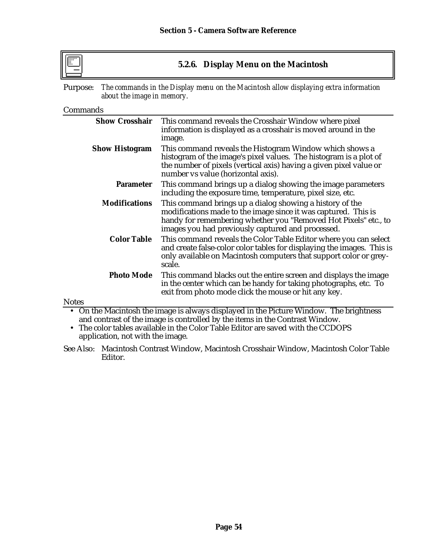

# **5.2.6. Display Menu on the Macintosh**

Purpose: *The commands in the Display menu on the Macintosh allow displaying extra information about the image in memory.*

### Commands

**Notes** 

| <b>Show Crosshair</b> | This command reveals the Crosshair Window where pixel<br>information is displayed as a crosshair is moved around in the<br>image.                                                                                                                  |
|-----------------------|----------------------------------------------------------------------------------------------------------------------------------------------------------------------------------------------------------------------------------------------------|
| <b>Show Histogram</b> | This command reveals the Histogram Window which shows a<br>histogram of the image's pixel values. The histogram is a plot of<br>the number of pixels (vertical axis) having a given pixel value or<br>number vs value (horizontal axis).           |
| <b>Parameter</b>      | This command brings up a dialog showing the image parameters<br>including the exposure time, temperature, pixel size, etc.                                                                                                                         |
| <b>Modifications</b>  | This command brings up a dialog showing a history of the<br>modifications made to the image since it was captured. This is<br>handy for remembering whether you "Removed Hot Pixels" etc., to<br>images you had previously captured and processed. |
| <b>Color Table</b>    | This command reveals the Color Table Editor where you can select<br>and create false-color color tables for displaying the images. This is<br>only available on Macintosh computers that support color or grey-<br>scale.                          |
| <b>Photo Mode</b>     | This command blacks out the entire screen and displays the image<br>in the center which can be handy for taking photographs, etc. To<br>exit from photo mode click the mouse or hit any key.                                                       |

• On the Macintosh the image is always displayed in the Picture Window. The brightness and contrast of the image is controlled by the items in the Contrast Window.

• The color tables available in the Color Table Editor are saved with the CCDOPS application, not with the image.

See Also: Macintosh Contrast Window, Macintosh Crosshair Window, Macintosh Color Table Editor.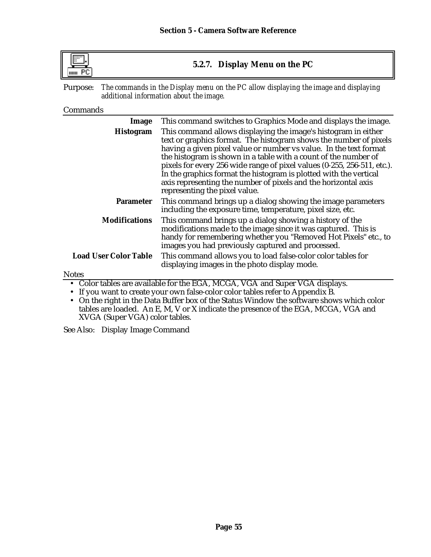**5.2.7. Display Menu on the PC**

Purpose: *The commands in the Display menu on the PC allow displaying the image and displaying additional information about the image.*

### Commands

| Image                        | This command switches to Graphics Mode and displays the image.                                                                                                                                                                                                                                                                                                                                                                                                                                                                                                                                                                                         |
|------------------------------|--------------------------------------------------------------------------------------------------------------------------------------------------------------------------------------------------------------------------------------------------------------------------------------------------------------------------------------------------------------------------------------------------------------------------------------------------------------------------------------------------------------------------------------------------------------------------------------------------------------------------------------------------------|
| Histogram                    | This command allows displaying the image's histogram in either<br>text or graphics format. The histogram shows the number of pixels<br>having a given pixel value or number vs value. In the text format<br>the histogram is shown in a table with a count of the number of<br>pixels for every 256 wide range of pixel values (0-255, 256-511, etc.).<br>In the graphics format the histogram is plotted with the vertical<br>axis representing the number of pixels and the horizontal axis<br>representing the pixel value.                                                                                                                         |
| <b>Parameter</b>             | This command brings up a dialog showing the image parameters<br>including the exposure time, temperature, pixel size, etc.                                                                                                                                                                                                                                                                                                                                                                                                                                                                                                                             |
| <b>Modifications</b>         | This command brings up a dialog showing a history of the<br>modifications made to the image since it was captured. This is<br>handy for remembering whether you "Removed Hot Pixels" etc., to<br>images you had previously captured and processed.                                                                                                                                                                                                                                                                                                                                                                                                     |
| <b>Load User Color Table</b> | This command allows you to load false-color color tables for<br>displaying images in the photo display mode.                                                                                                                                                                                                                                                                                                                                                                                                                                                                                                                                           |
| <b>Notes</b>                 |                                                                                                                                                                                                                                                                                                                                                                                                                                                                                                                                                                                                                                                        |
|                              | • Color tables are available for the EGA, MCGA, VGA and Super VGA displays.<br>• If you want to create your own false-color color tables refer to Appendix B.<br>$\mathbf{1} \cdot \mathbf{1} \cdot \mathbf{1} \cdot \mathbf{1} \cdot \mathbf{1} \cdot \mathbf{1} \cdot \mathbf{1} \cdot \mathbf{1} \cdot \mathbf{1} \cdot \mathbf{1} \cdot \mathbf{1} \cdot \mathbf{1} \cdot \mathbf{1} \cdot \mathbf{1} \cdot \mathbf{1} \cdot \mathbf{1} \cdot \mathbf{1} \cdot \mathbf{1} \cdot \mathbf{1} \cdot \mathbf{1} \cdot \mathbf{1} \cdot \mathbf{1} \cdot \mathbf{1} \cdot \mathbf{1} \cdot \mathbf{1} \cdot \mathbf{1} \cdot \mathbf{1} \cdot \mathbf{$ |

• On the right in the Data Buffer box of the Status Window the software shows which color tables are loaded. An E, M, V or X indicate the presence of the EGA, MCGA, VGA and XVGA (Super VGA) color tables.

See Also: Display Image Command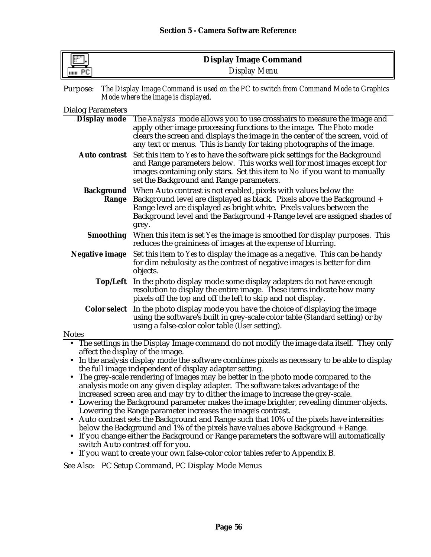| <b>IFT</b><br>║<br>-le- | <b>Display Image Command</b> |
|-------------------------|------------------------------|
| шш                      | Display Menu                 |

| Purpose: The Display Image Command is used on the PC to switch from Command Mode to Graphics |
|----------------------------------------------------------------------------------------------|
| Mode where the image is displayed.                                                           |

| <b>Dialog Parameters</b> |
|--------------------------|
|--------------------------|

| $P_{\text{muc}}$ and $P_{\text{muc}}$ |                                                                                                                                                                                                                                                                                                                          |
|---------------------------------------|--------------------------------------------------------------------------------------------------------------------------------------------------------------------------------------------------------------------------------------------------------------------------------------------------------------------------|
| Display mode                          | The Analysis mode allows you to use crosshairs to measure the image and<br>apply other image processing functions to the image. The Photo mode<br>clears the screen and displays the image in the center of the screen, void of<br>any text or menus. This is handy for taking photographs of the image.                 |
| <b>Auto contrast</b>                  | Set this item to Yes to have the software pick settings for the Background<br>and Range parameters below. This works well for most images except for<br>images containing only stars. Set this item to No if you want to manually<br>set the Background and Range parameters.                                            |
| Range                                 | <b>Background</b> When Auto contrast is not enabled, pixels with values below the<br>Background level are displayed as black. Pixels above the Background +<br>Range level are displayed as bright white. Pixels values between the<br>Background level and the Background + Range level are assigned shades of<br>grey. |
| <b>Smoothing</b>                      | When this item is set Yes the image is smoothed for display purposes. This<br>reduces the graininess of images at the expense of blurring.                                                                                                                                                                               |
| Negative image                        | Set this item to Yes to display the image as a negative. This can be handy<br>for dim nebulosity as the contrast of negative images is better for dim<br>objects.                                                                                                                                                        |
| Top/Left                              | In the photo display mode some display adapters do not have enough<br>resolution to display the entire image. These items indicate how many<br>pixels off the top and off the left to skip and not display.                                                                                                              |
|                                       | Color select In the photo display mode you have the choice of displaying the image<br>using the software's built in grey-scale color table (Standard setting) or by<br>using a false-color color table ( <i>User</i> setting).                                                                                           |
| <b>Notes</b>                          |                                                                                                                                                                                                                                                                                                                          |
|                                       | • The settings in the Display Image command do not modify the image data itself. They only<br>affect the display of the image.<br>. In the analysis display mode the software combines pivels as necessary to be able to display                                                                                         |

- In the analysis display mode the software combines pixels as necessary to be able to display the full image independent of display adapter setting.
- The grey-scale rendering of images may be better in the photo mode compared to the analysis mode on any given display adapter. The software takes advantage of the increased screen area and may try to dither the image to increase the grey-scale.
- Lowering the Background parameter makes the image brighter, revealing dimmer objects. Lowering the Range parameter increases the image's contrast.
- Auto contrast sets the Background and Range such that 10% of the pixels have intensities below the Background and 1% of the pixels have values above Background + Range.
- If you change either the Background or Range parameters the software will automatically switch Auto contrast off for you.
- If you want to create your own false-color color tables refer to Appendix B.

See Also: PC Setup Command, PC Display Mode Menus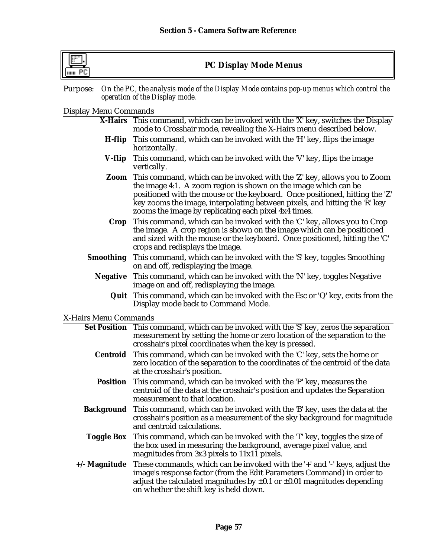# **PC Display Mode Menus**

Purpose: *On the PC, the analysis mode of the Display Mode contains pop-up menus which control the operation of the Display mode.*

# Display Menu Commands

|                       | X-Hairs This command, which can be invoked with the 'X' key, switches the Display<br>mode to Crosshair mode, revealing the X-Hairs menu described below.                                                                                                                                                                                                        |
|-----------------------|-----------------------------------------------------------------------------------------------------------------------------------------------------------------------------------------------------------------------------------------------------------------------------------------------------------------------------------------------------------------|
| H-flip                | This command, which can be invoked with the 'H' key, flips the image<br>horizontally.                                                                                                                                                                                                                                                                           |
| V-flip                | This command, which can be invoked with the 'V' key, flips the image<br>vertically.                                                                                                                                                                                                                                                                             |
| Zoom                  | This command, which can be invoked with the 'Z' key, allows you to Zoom<br>the image 4:1. A zoom region is shown on the image which can be<br>positioned with the mouse or the keyboard. Once positioned, hitting the 'Z'<br>key zooms the image, interpolating between pixels, and hitting the 'R' key<br>zooms the image by replicating each pixel 4x4 times. |
| Crop                  | This command, which can be invoked with the 'C' key, allows you to Crop<br>the image. A crop region is shown on the image which can be positioned<br>and sized with the mouse or the keyboard. Once positioned, hitting the 'C'<br>crops and redisplays the image.                                                                                              |
| <b>Smoothing</b>      | This command, which can be invoked with the 'S' key, toggles Smoothing<br>on and off, redisplaying the image.                                                                                                                                                                                                                                                   |
| <b>Negative</b>       | This command, which can be invoked with the 'N' key, toggles Negative<br>image on and off, redisplaying the image.                                                                                                                                                                                                                                              |
|                       | <b>Quit</b> This command, which can be invoked with the Esc or 'Q' key, exits from the<br>Display mode back to Command Mode.                                                                                                                                                                                                                                    |
| X-Hairs Menu Commands |                                                                                                                                                                                                                                                                                                                                                                 |
|                       | Set Position This command, which can be invoked with the 'S' key, zeros the separation<br>measurement by setting the home or zero location of the separation to the<br>crosshair's pixel coordinates when the key is pressed.                                                                                                                                   |
| Centroid              | This command, which can be invoked with the 'C' key, sets the home or<br>zero location of the separation to the coordinates of the centroid of the data<br>at the crosshair's position.                                                                                                                                                                         |
| <b>Position</b>       | This command, which can be invoked with the 'P' key, measures the<br>centroid of the data at the crosshair's position and updates the Separation<br>measurement to that location.                                                                                                                                                                               |
| <b>Background</b>     | This command, which can be invoked with the 'B' key, uses the data at the<br>crosshair's position as a measurement of the sky background for magnitude<br>and centroid calculations.                                                                                                                                                                            |
|                       | <b>Toggle Box</b> This command, which can be invoked with the 'T' key, toggles the size of<br>the box used in measuring the background, average pixel value, and<br>magnitudes from 3x3 pixels to 11x11 pixels.                                                                                                                                                 |
| $+/-$ Magnitude       | These commands, which can be invoked with the '+' and '-' keys, adjust the<br>image's response factor (from the Edit Parameters Command) in order to<br>adjust the calculated magnitudes by $\pm 0.1$ or $\pm 0.01$ magnitudes depending<br>on whether the shift key is held down.                                                                              |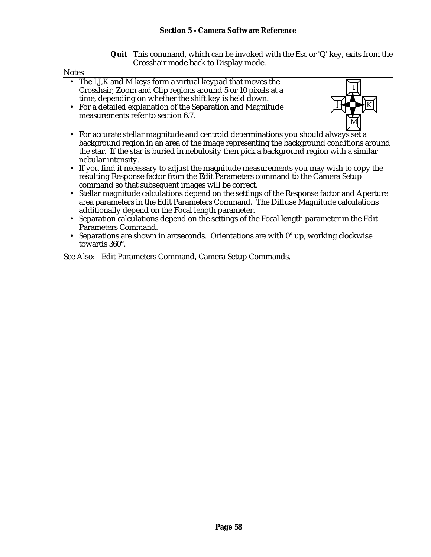**Quit** This command, which can be invoked with the Esc or 'Q' key, exits from the Crosshair mode back to Display mode.

#### Notes

- The I,J,K and M keys form a virtual keypad that moves the Crosshair, Zoom and Clip regions around 5 or 10 pixels at a time, depending on whether the shift key is held down.
- For a detailed explanation of the Separation and Magnitude measurements refer to section 6.7.



- For accurate stellar magnitude and centroid determinations you should always set a background region in an area of the image representing the background conditions around the star. If the star is buried in nebulosity then pick a background region with a similar nebular intensity.
- If you find it necessary to adjust the magnitude measurements you may wish to copy the resulting Response factor from the Edit Parameters command to the Camera Setup command so that subsequent images will be correct.
- Stellar magnitude calculations depend on the settings of the Response factor and Aperture area parameters in the Edit Parameters Command. The Diffuse Magnitude calculations additionally depend on the Focal length parameter.
- Separation calculations depend on the settings of the Focal length parameter in the Edit Parameters Command.
- Separations are shown in arcseconds. Orientations are with 0° up, working clockwise towards 360°.

See Also: Edit Parameters Command, Camera Setup Commands.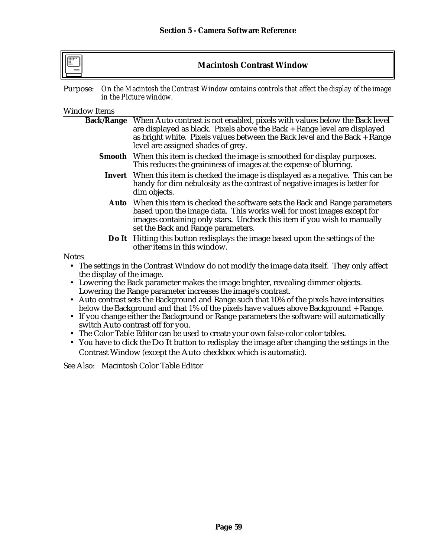**Macintosh Contrast Window**

Purpose: *On the Macintosh the Contrast Window contains controls that affect the display of the image in the Picture window.*

Window Items

| <b>Back/Range</b>                                                                                                                                                                                                                                                               | When Auto contrast is not enabled, pixels with values below the Back level                                                                               |  |  |
|---------------------------------------------------------------------------------------------------------------------------------------------------------------------------------------------------------------------------------------------------------------------------------|----------------------------------------------------------------------------------------------------------------------------------------------------------|--|--|
|                                                                                                                                                                                                                                                                                 | are displayed as black. Pixels above the Back + Range level are displayed<br>as bright white. Pixels values between the Back level and the Back + Range  |  |  |
|                                                                                                                                                                                                                                                                                 | level are assigned shades of grey.                                                                                                                       |  |  |
|                                                                                                                                                                                                                                                                                 | <b>Smooth</b> When this item is checked the image is smoothed for display purposes.<br>This reduces the graininess of images at the expense of blurring. |  |  |
| <b>Invert</b> When this item is checked the image is displayed as a negative. This can be<br>handy for dim nebulosity as the contrast of negative images is better for<br>dim objects.                                                                                          |                                                                                                                                                          |  |  |
| <b>Auto</b> When this item is checked the software sets the Back and Range parameters<br>based upon the image data. This works well for most images except for<br>images containing only stars. Uncheck this item if you wish to manually<br>set the Back and Range parameters. |                                                                                                                                                          |  |  |
|                                                                                                                                                                                                                                                                                 | <b>Do It</b> Hitting this button redisplays the image based upon the settings of the<br>other items in this window.                                      |  |  |
| <b>Notes</b>                                                                                                                                                                                                                                                                    |                                                                                                                                                          |  |  |
| • The settings in the Contrast Window do not modify the image data itself. They only affect                                                                                                                                                                                     |                                                                                                                                                          |  |  |
| the display of the image.                                                                                                                                                                                                                                                       |                                                                                                                                                          |  |  |
| Lowering the Back parameter makes the image brighter, revealing dimmer objects.                                                                                                                                                                                                 |                                                                                                                                                          |  |  |
| Lowering the Range parameter increases the image's contrast.                                                                                                                                                                                                                    |                                                                                                                                                          |  |  |
| Auto contrast sets the Background and Range such that 10% of the pixels have intensities<br>$\bullet$                                                                                                                                                                           |                                                                                                                                                          |  |  |
| below the Background and that 1% of the pixels have values above Background + Range.                                                                                                                                                                                            |                                                                                                                                                          |  |  |
|                                                                                                                                                                                                                                                                                 | If you change either the Background or Range parameters the software will automatically                                                                  |  |  |
|                                                                                                                                                                                                                                                                                 | switch Auto contrast off for you.                                                                                                                        |  |  |
|                                                                                                                                                                                                                                                                                 | • The Color Table Editor can be used to create your own false-color color tables.                                                                        |  |  |
|                                                                                                                                                                                                                                                                                 | • You have to click the Do It button to redisplay the image after changing the settings in the                                                           |  |  |

• You have to click the Do It button to redisplay the image after changing the settings in the Contrast Window (except the Auto checkbox which is automatic).

See Also: Macintosh Color Table Editor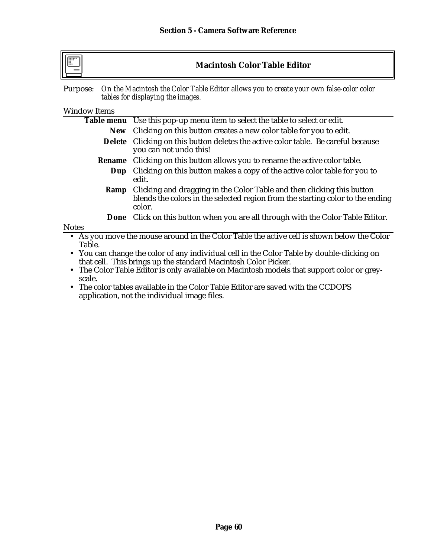**Macintosh Color Table Editor**

Purpose: *On the Macintosh the Color Table Editor allows you to create your own false-color color tables for displaying the images.*

### Window Items

|                | Table menu Use this pop-up menu item to select the table to select or edit.                                                                                                              |
|----------------|------------------------------------------------------------------------------------------------------------------------------------------------------------------------------------------|
|                | New Clicking on this button creates a new color table for you to edit.                                                                                                                   |
|                | <b>Delete</b> Clicking on this button deletes the active color table. Be careful because<br>you can not undo this!                                                                       |
|                | <b>Rename</b> Clicking on this button allows you to rename the active color table.                                                                                                       |
| Dup            | Clicking on this button makes a copy of the active color table for you to<br>edit.                                                                                                       |
| Ramp           | Clicking and dragging in the Color Table and then clicking this button<br>blends the colors in the selected region from the starting color to the ending<br>color.                       |
|                | <b>Done</b> Click on this button when you are all through with the Color Table Editor.                                                                                                   |
| <b>Notes</b>   |                                                                                                                                                                                          |
| Table.<br>$-1$ | • As you move the mouse around in the Color Table the active cell is shown below the Color<br>• You can change the color of any individual cell in the Color Table by double-clicking on |

that cell. This brings up the standard Macintosh Color Picker. • The Color Table Editor is only available on Macintosh models that support color or greyscale.

• The color tables available in the Color Table Editor are saved with the CCDOPS application, not the individual image files.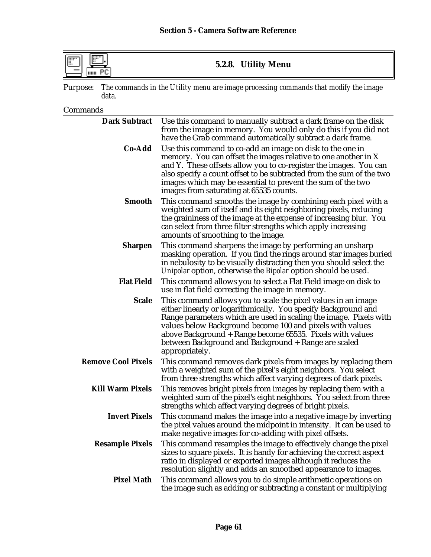**5.2.8. Utility Menu**

Purpose: *The commands in the Utility menu are image processing commands that modify the image data.*

Commands

| <b>Dark Subtract</b>      | Use this command to manually subtract a dark frame on the disk<br>from the image in memory. You would only do this if you did not<br>have the Grab command automatically subtract a dark frame.                                                                                                                                                                                                          |
|---------------------------|----------------------------------------------------------------------------------------------------------------------------------------------------------------------------------------------------------------------------------------------------------------------------------------------------------------------------------------------------------------------------------------------------------|
| Co-Add                    | Use this command to co-add an image on disk to the one in<br>memory. You can offset the images relative to one another in X<br>and Y. These offsets allow you to co-register the images. You can<br>also specify a count offset to be subtracted from the sum of the two<br>images which may be essential to prevent the sum of the two<br>images from saturating at 65535 counts.                       |
| <b>Smooth</b>             | This command smooths the image by combining each pixel with a<br>weighted sum of itself and its eight neighboring pixels, reducing<br>the graininess of the image at the expense of increasing blur. You<br>can select from three filter strengths which apply increasing<br>amounts of smoothing to the image.                                                                                          |
| <b>Sharpen</b>            | This command sharpens the image by performing an unsharp<br>masking operation. If you find the rings around star images buried<br>in nebulosity to be visually distracting then you should select the<br>Unipolar option, otherwise the Bipolar option should be used.                                                                                                                                   |
| <b>Flat Field</b>         | This command allows you to select a Flat Field image on disk to<br>use in flat field correcting the image in memory.                                                                                                                                                                                                                                                                                     |
| <b>Scale</b>              | This command allows you to scale the pixel values in an image<br>either linearly or logarithmically. You specify Background and<br>Range parameters which are used in scaling the image. Pixels with<br>values below Background become 100 and pixels with values<br>above Background + Range become 65535. Pixels with values<br>between Background and Background + Range are scaled<br>appropriately. |
| <b>Remove Cool Pixels</b> | This command removes dark pixels from images by replacing them<br>with a weighted sum of the pixel's eight neighbors. You select<br>from three strengths which affect varying degrees of dark pixels.                                                                                                                                                                                                    |
| <b>Kill Warm Pixels</b>   | This removes bright pixels from images by replacing them with a<br>weighted sum of the pixel's eight neighbors. You select from three<br>strengths which affect varying degrees of bright pixels.                                                                                                                                                                                                        |
| <b>Invert Pixels</b>      | This command makes the image into a negative image by inverting<br>the pixel values around the midpoint in intensity. It can be used to<br>make negative images for co-adding with pixel offsets.                                                                                                                                                                                                        |
| <b>Resample Pixels</b>    | This command resamples the image to effectively change the pixel<br>sizes to square pixels. It is handy for achieving the correct aspect<br>ratio in displayed or exported images although it reduces the<br>resolution slightly and adds an smoothed appearance to images.                                                                                                                              |
| <b>Pixel Math</b>         | This command allows you to do simple arithmetic operations on<br>the image such as adding or subtracting a constant or multiplying                                                                                                                                                                                                                                                                       |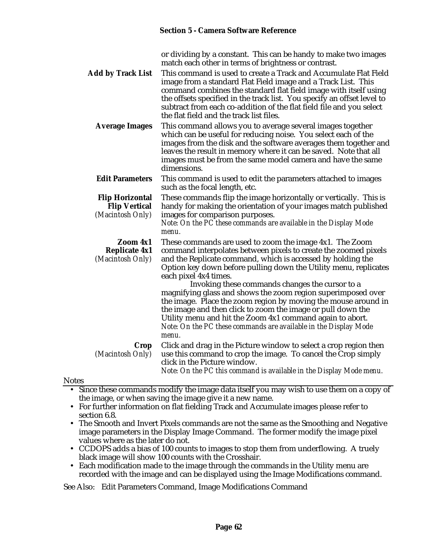| or dividing by a constant. This can be handy to make two images |
|-----------------------------------------------------------------|
| match each other in terms of brightness or contrast.            |

**Add by Track List** This command is used to create a Track and Accumulate Flat Field image from a standard Flat Field image and a Track List. This command combines the standard flat field image with itself using the offsets specified in the track list. You specify an offset level to subtract from each co-addition of the flat field file and you select the flat field and the track list files.

**Average Images** This command allows you to average several images together which can be useful for reducing noise. You select each of the images from the disk and the software averages them together and leaves the result in memory where it can be saved. Note that all images must be from the same model camera and have the same dimensions.

### **Edit Parameters** This command is used to edit the parameters attached to images such as the focal length, etc.

**Flip Horizontal** These commands flip the image horizontally or vertically. This is<br>**Flip Vertical** handy for making the orientation of your images match published handy for making the orientation of your images match published *(Macintosh Only)* images for comparison purposes.

*Note: On the PC these commands are available in the Display Mode menu.*

**Zoom 4x1** These commands are used to zoom the image 4x1. The Zoom **Replicate 4x1** command interpolates between pixels to create the zoomed pi **Replicate 4x1** command interpolates between pixels to create the zoomed pixels (*Macintosh Only*) and the Replicate command, which is accessed by holding the and the Replicate command, which is accessed by holding the Option key down before pulling down the Utility menu, replicates each pixel 4x4 times.

> Invoking these commands changes the cursor to a magnifying glass and shows the zoom region superimposed over the image. Place the zoom region by moving the mouse around in the image and then click to zoom the image or pull down the Utility menu and hit the Zoom 4x1 command again to abort. *Note: On the PC these commands are available in the Display Mode menu.*

**Crop** Click and drag in the Picture window to select a crop region then (*Macintosh Only*) use this command to crop the image. To cancel the Crop simply *(Macintosh Only)* use this command to crop the image. To cancel the Crop simply click in the Picture window.

*Note: On the PC this command is available in the Display Mode menu.*

### Notes

- Since these commands modify the image data itself you may wish to use them on a copy of the image, or when saving the image give it a new name.
- For further information on flat fielding Track and Accumulate images please refer to section 6.8.
- The Smooth and Invert Pixels commands are not the same as the Smoothing and Negative image parameters in the Display Image Command. The former modify the image pixel values where as the later do not.
- CCDOPS adds a bias of 100 counts to images to stop them from underflowing. A truely black image will show 100 counts with the Crosshair.
- Each modification made to the image through the commands in the Utility menu are recorded with the image and can be displayed using the Image Modifications command.

See Also: Edit Parameters Command, Image Modifications Command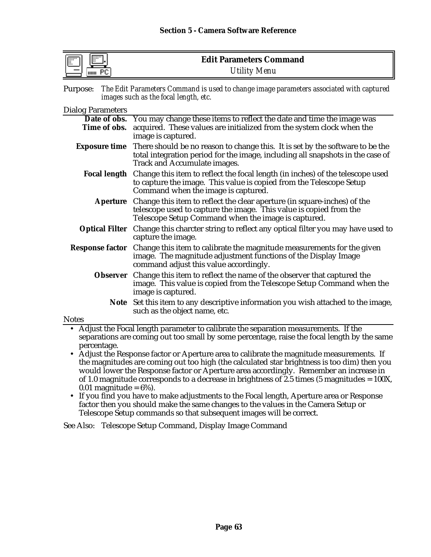| 信<br>F | <b>Edit Parameters Command</b> |
|--------|--------------------------------|
| HIIII  | <b>Utility Menu</b>            |

| Purpose: The Edit Parameters Command is used to change image parameters associated with captured |
|--------------------------------------------------------------------------------------------------|
| images such as the focal length, etc.                                                            |

#### Dialog Parameters

|              | Date of obs. You may change these items to reflect the date and time the image was                                                                                                                                   |  |
|--------------|----------------------------------------------------------------------------------------------------------------------------------------------------------------------------------------------------------------------|--|
| Time of obs. | acquired. These values are initialized from the system clock when the                                                                                                                                                |  |
|              | image is captured.                                                                                                                                                                                                   |  |
|              | <b>Exposure time</b> There should be no reason to change this. It is set by the software to be the<br>total integration period for the image, including all snapshots in the case of<br>Track and Accumulate images. |  |
|              | <b>Focal length</b> Change this item to reflect the focal length (in inches) of the telescope used<br>to capture the image. This value is copied from the Telescope Setup<br>Command when the image is captured.     |  |
|              | Aperture Change this item to reflect the clear aperture (in square-inches) of the<br>telescope used to capture the image. This value is copied from the<br>Telescope Setup Command when the image is captured.       |  |
|              | Optical Filter Change this charcter string to reflect any optical filter you may have used to<br>capture the image.                                                                                                  |  |
|              | <b>Response factor</b> Change this item to calibrate the magnitude measurements for the given<br>image. The magnitude adjustment functions of the Display Image<br>command adjust this value accordingly.            |  |
|              | Observer Change this item to reflect the name of the observer that captured the<br>image. This value is copied from the Telescope Setup Command when the<br>image is captured.                                       |  |
| Note         | Set this item to any descriptive information you wish attached to the image,<br>such as the object name, etc.                                                                                                        |  |
| <b>Notes</b> |                                                                                                                                                                                                                      |  |
|              | • Adjust the Focal length parameter to calibrate the separation measurements. If the                                                                                                                                 |  |

• Adjust the Focal length parameter to calibrate the separation measurements. If the separations are coming out too small by some percentage, raise the focal length by the same percentage.

- Adjust the Response factor or Aperture area to calibrate the magnitude measurements. If the magnitudes are coming out too high (the calculated star brightness is too dim) then you would lower the Response factor or Aperture area accordingly. Remember an increase in of 1.0 magnitude corresponds to a decrease in brightness of  $2.5$  times (5 magnitudes = 100X,  $0.01$  magnitude =  $6\%$ ).
- If you find you have to make adjustments to the Focal length, Aperture area or Response factor then you should make the same changes to the values in the Camera Setup or Telescope Setup commands so that subsequent images will be correct.

See Also: Telescope Setup Command, Display Image Command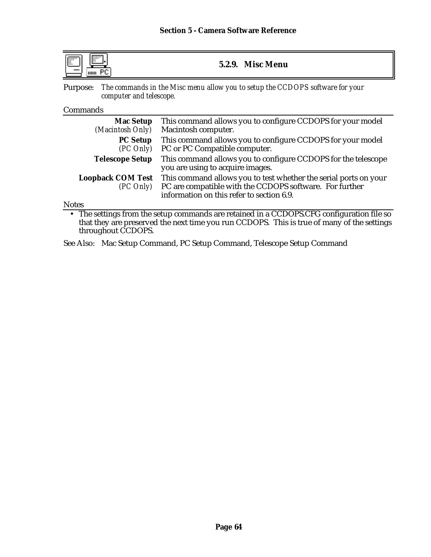| IFT<br>m<br>- 15<br><b>Misc Menu</b><br>5.2.9.<br>шш |
|------------------------------------------------------|
|------------------------------------------------------|

Purpose: *The commands in the Misc menu allow you to setup the CCDOPS software for your computer and telescope.*

#### Commands

| <b>Mac Setup</b>                           | This command allows you to configure CCDOPS for your model                                                                                                               |
|--------------------------------------------|--------------------------------------------------------------------------------------------------------------------------------------------------------------------------|
| (Macintosh Only)                           | Macintosh computer.                                                                                                                                                      |
| <b>PC Setup</b>                            | This command allows you to configure CCDOPS for your model                                                                                                               |
| $(PC \, Only)$                             | PC or PC Compatible computer.                                                                                                                                            |
| <b>Telescope Setup</b>                     | This command allows you to configure CCDOPS for the telescope<br>you are using to acquire images.                                                                        |
| <b>Loopback COM Test</b><br>$(PC \, Only)$ | This command allows you to test whether the serial ports on your<br>PC are compatible with the CCDOPS software. For further<br>information on this refer to section 6.9. |

**Notes** 

• The settings from the setup commands are retained in a CCDOPS.CFG configuration file so that they are preserved the next time you run CCDOPS. This is true of many of the settings throughout CCDOPS.

See Also: Mac Setup Command, PC Setup Command, Telescope Setup Command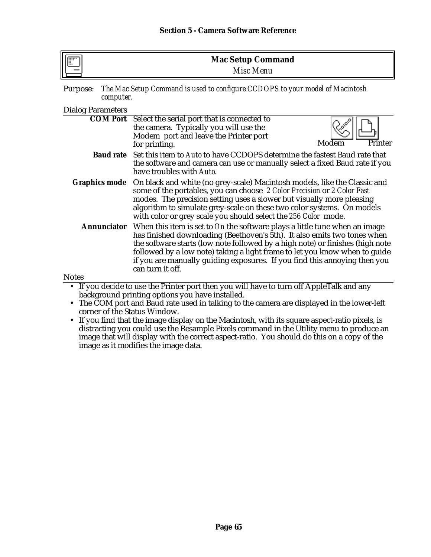| $\mathbb{F}$ | <b>Mac Setup Command</b> |
|--------------|--------------------------|
|              | Misc Menu                |

| Purpose: The Mac Setup Command is used to configure CCDOPS to your model of Macintosh |
|---------------------------------------------------------------------------------------|
| <i>computer.</i>                                                                      |

### Dialog Parameters

|                    | <b>COM Port</b> Select the serial port that is connected to                                                                                                                                                                                                                                                                                                                                                            |                  |
|--------------------|------------------------------------------------------------------------------------------------------------------------------------------------------------------------------------------------------------------------------------------------------------------------------------------------------------------------------------------------------------------------------------------------------------------------|------------------|
|                    | the camera. Typically you will use the                                                                                                                                                                                                                                                                                                                                                                                 |                  |
|                    | Modem port and leave the Printer port                                                                                                                                                                                                                                                                                                                                                                                  |                  |
|                    | for printing.                                                                                                                                                                                                                                                                                                                                                                                                          | Printer<br>Modem |
|                    | <b>Baud rate</b> Set this item to Auto to have CCDOPS determine the fastest Baud rate that<br>the software and camera can use or manually select a fixed Baud rate if you<br>have troubles with Auto.                                                                                                                                                                                                                  |                  |
|                    | <b>Graphics mode</b> On black and white (no grey-scale) Macintosh models, like the Classic and<br>some of the portables, you can choose 2 Color Precision or 2 Color Fast<br>modes. The precision setting uses a slower but visually more pleasing<br>algorithm to simulate grey-scale on these two color systems. On models<br>with color or grey scale you should select the 256 Color mode.                         |                  |
| <b>Annunciator</b> | When this item is set to On the software plays a little tune when an image<br>has finished downloading (Beethoven's 5th). It also emits two tones when<br>the software starts (low note followed by a high note) or finishes (high note<br>followed by a low note) taking a light frame to let you know when to guide<br>if you are manually guiding exposures. If you find this annoying then you<br>can turn it off. |                  |
| <b>Notes</b>       |                                                                                                                                                                                                                                                                                                                                                                                                                        |                  |
|                    | • If you decide to use the Printer port then you will have to turn off AppleTalk and any                                                                                                                                                                                                                                                                                                                               |                  |

- background printing options you have installed.
- The COM port and Baud rate used in talking to the camera are displayed in the lower-left corner of the Status Window.
- If you find that the image display on the Macintosh, with its square aspect-ratio pixels, is distracting you could use the Resample Pixels command in the Utility menu to produce an image that will display with the correct aspect-ratio. You should do this on a copy of the image as it modifies the image data.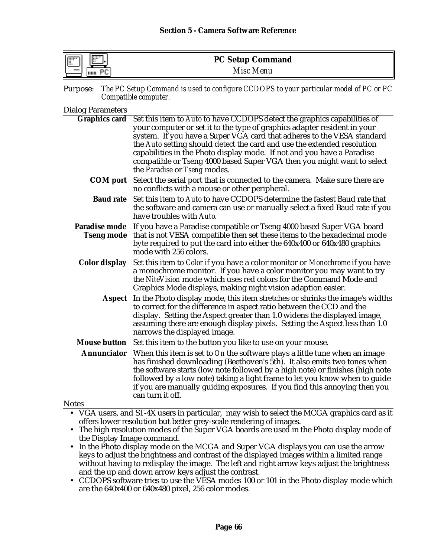| lli<br><b>Filling</b><br>11:: | <b>PC Setup Command</b> |  |
|-------------------------------|-------------------------|--|
| вr<br>шш                      | Misc Menu               |  |

| Purpose: The PC Setup Command is used to configure CCDOPS to your particular model of PC or PC |
|------------------------------------------------------------------------------------------------|
| Compatible computer.                                                                           |

#### Dialog Parameters

|                     | Graphics card Set this item to Auto to have CCDOPS detect the graphics capabilities of |
|---------------------|----------------------------------------------------------------------------------------|
|                     | your computer or set it to the type of graphics adapter resident in your               |
|                     | system. If you have a Super VGA card that adheres to the VESA standard                 |
|                     | the Auto setting should detect the card and use the extended resolution                |
|                     | capabilities in the Photo display mode. If not and you have a Paradise                 |
|                     | compatible or Tseng 4000 based Super VGA then you might want to select                 |
|                     | the <i>Paradise</i> or <i>Tseng</i> modes.                                             |
|                     |                                                                                        |
| <b>COM</b> port     | Select the serial port that is connected to the camera. Make sure there are            |
|                     | no conflicts with a mouse or other peripheral.                                         |
| <b>Baud rate</b>    | Set this item to Auto to have CCDOPS determine the fastest Baud rate that              |
|                     | the software and camera can use or manually select a fixed Baud rate if you            |
|                     | have troubles with Auto.                                                               |
| Paradise mode       | If you have a Paradise compatible or Tseng 4000 based Super VGA board                  |
| <b>Tseng mode</b>   | that is not VESA compatible then set these items to the hexadecimal mode               |
|                     | byte required to put the card into either the 640x400 or 640x480 graphics              |
|                     | mode with 256 colors.                                                                  |
|                     |                                                                                        |
| Color display       | Set this item to Color if you have a color monitor or Monochrome if you have           |
|                     | a monochrome monitor. If you have a color monitor you may want to try                  |
|                     | the NiteVision mode which uses red colors for the Command Mode and                     |
|                     | Graphics Mode displays, making night vision adaption easier.                           |
| <b>Aspect</b>       | In the Photo display mode, this item stretches or shrinks the image's widths           |
|                     | to correct for the difference in aspect ratio between the CCD and the                  |
|                     | display. Setting the Aspect greater than 1.0 widens the displayed image,               |
|                     | assuming there are enough display pixels. Setting the Aspect less than 1.0             |
|                     | narrows the displayed image.                                                           |
| <b>Mouse button</b> | Set this item to the button you like to use on your mouse.                             |
| <b>Annunciator</b>  | When this item is set to On the software plays a little tune when an image             |
|                     | has finished downloading (Beethoven's 5th). It also emits two tones when               |
|                     | the software starts (low note followed by a high note) or finishes (high note          |
|                     | followed by a low note) taking a light frame to let you know when to guide             |
|                     | if you are manually guiding exposures. If you find this annoying then you              |
|                     | can turn it off.                                                                       |
| ntes                |                                                                                        |

### Notes

- VGA users, and ST-4X users in particular, may wish to select the MCGA graphics card as it offers lower resolution but better grey-scale rendering of images.
- The high resolution modes of the Super VGA boards are used in the Photo display mode of the Display Image command.
- In the Photo display mode on the MCGA and Super VGA displays you can use the arrow keys to adjust the brightness and contrast of the displayed images within a limited range without having to redisplay the image. The left and right arrow keys adjust the brightness and the up and down arrow keys adjust the contrast.
- CCDOPS software tries to use the VESA modes 100 or 101 in the Photo display mode which are the 640x400 or 640x480 pixel, 256 color modes.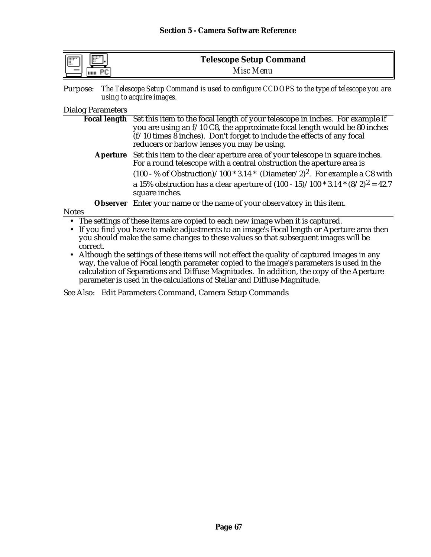| lli<br>F<br>. I. | <b>Telescope Setup Command</b> |  |
|------------------|--------------------------------|--|
| THILL            | Misc Menu                      |  |

Purpose: *The Telescope Setup Command is used to configure CCDOPS to the type of telescope you are using to acquire images.*

### Dialog Parameters

|                                                                                             | Focal length Set this item to the focal length of your telescope in inches. For example if           |  |
|---------------------------------------------------------------------------------------------|------------------------------------------------------------------------------------------------------|--|
|                                                                                             | you are using an f/10 C8, the approximate focal length would be 80 inches                            |  |
|                                                                                             | (f/10 times 8 inches). Don't forget to include the effects of any focal                              |  |
|                                                                                             | reducers or barlow lenses you may be using.                                                          |  |
|                                                                                             | Aperture Set this item to the clear aperture area of your telescope in square inches.                |  |
|                                                                                             | For a round telescope with a central obstruction the aperture area is                                |  |
|                                                                                             | $(100 - %$ of Obstruction)/100 $*$ 3.14 $*$ (Diameter/2) <sup>2</sup> . For example a C8 with        |  |
|                                                                                             | a 15% obstruction has a clear aperture of $(100 - 15)/100 * 3.14 * (8/2)^2 = 42.7$<br>square inches. |  |
|                                                                                             | <b>Observer</b> Enter your name or the name of your observatory in this item.                        |  |
| <b>Notes</b>                                                                                |                                                                                                      |  |
| • The settings of these items are copied to each new image when it is captured.             |                                                                                                      |  |
| • If you find you have to make adjustments to an image's Focal length or Aperture area then |                                                                                                      |  |

you should make the same changes to these values so that subsequent images will be correct.

• Although the settings of these items will not effect the quality of captured images in any way, the value of Focal length parameter copied to the image's parameters is used in the calculation of Separations and Diffuse Magnitudes. In addition, the copy of the Aperture parameter is used in the calculations of Stellar and Diffuse Magnitude.

See Also: Edit Parameters Command, Camera Setup Commands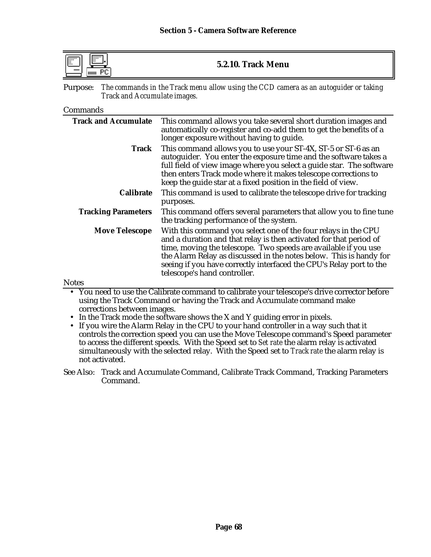| IF | 5.2.10. Track Menu |
|----|--------------------|
|----|--------------------|

Purpose: *The commands in the Track menu allow using the CCD camera as an autoguider or taking Track and Accumulate images.*

#### Commands

| <b>Track and Accumulate</b> | This command allows you take several short duration images and<br>automatically co-register and co-add them to get the benefits of a<br>longer exposure without having to guide.                                                                                                                                                                                                     |
|-----------------------------|--------------------------------------------------------------------------------------------------------------------------------------------------------------------------------------------------------------------------------------------------------------------------------------------------------------------------------------------------------------------------------------|
| <b>Track</b>                | This command allows you to use your ST-4X, ST-5 or ST-6 as an<br>autoguider. You enter the exposure time and the software takes a<br>full field of view image where you select a guide star. The software<br>then enters Track mode where it makes telescope corrections to<br>keep the guide star at a fixed position in the field of view.                                         |
| <b>Calibrate</b>            | This command is used to calibrate the telescope drive for tracking<br>purposes.                                                                                                                                                                                                                                                                                                      |
| <b>Tracking Parameters</b>  | This command offers several parameters that allow you to fine tune<br>the tracking performance of the system.                                                                                                                                                                                                                                                                        |
| <b>Move Telescope</b>       | With this command you select one of the four relays in the CPU<br>and a duration and that relay is then activated for that period of<br>time, moving the telescope. Two speeds are available if you use<br>the Alarm Relay as discussed in the notes below. This is handy for<br>seeing if you have correctly interfaced the CPU's Relay port to the<br>telescope's hand controller. |
| Notes                       |                                                                                                                                                                                                                                                                                                                                                                                      |

• You need to use the Calibrate command to calibrate your telescope's drive corrector before using the Track Command or having the Track and Accumulate command make corrections between images.

- In the Track mode the software shows the X and Y guiding error in pixels.
- If you wire the Alarm Relay in the CPU to your hand controller in a way such that it controls the correction speed you can use the Move Telescope command's Speed parameter to access the different speeds. With the Speed set to *Set rate* the alarm relay is activated simultaneously with the selected relay. With the Speed set to *Track rate* the alarm relay is not activated.

See Also: Track and Accumulate Command, Calibrate Track Command, Tracking Parameters Command.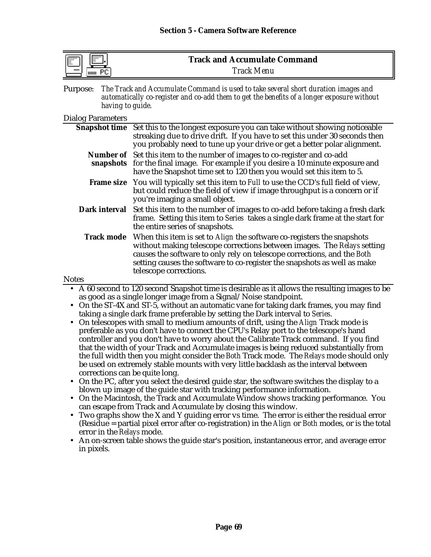| . <b></b><br><b>IFF</b><br>чш. | <b>Track and Accumulate Command</b> |
|--------------------------------|-------------------------------------|
| чин                            | <b>Track Menu</b>                   |

Purpose: *The Track and Accumulate Command is used to take several short duration images and automatically co-register and co-add them to get the benefits of a longer exposure without having to guide.*

#### Dialog Parameters

|       | Snapshot time Set this to the longest exposure you can take without showing noticeable<br>streaking due to drive drift. If you have to set this under 30 seconds then<br>you probably need to tune up your drive or get a better polar alignment.                                                                                                           |
|-------|-------------------------------------------------------------------------------------------------------------------------------------------------------------------------------------------------------------------------------------------------------------------------------------------------------------------------------------------------------------|
|       | Number of Set this item to the number of images to co-register and co-add<br>snapshots for the final image. For example if you desire a 10 minute exposure and<br>have the Snapshot time set to 120 then you would set this item to 5.                                                                                                                      |
|       | Frame size You will typically set this item to Full to use the CCD's full field of view,<br>but could reduce the field of view if image throughput is a concern or if<br>you're imaging a small object.                                                                                                                                                     |
|       | <b>Dark interval</b> Set this item to the number of images to co-add before taking a fresh dark<br>frame. Setting this item to Series takes a single dark frame at the start for<br>the entire series of snapshots.                                                                                                                                         |
|       | <b>Track mode</b> When this item is set to <i>Align</i> the software co-registers the snapshots<br>without making telescope corrections between images. The Relays setting<br>causes the software to only rely on telescope corrections, and the Both<br>setting causes the software to co-register the snapshots as well as make<br>telescope corrections. |
| Notes |                                                                                                                                                                                                                                                                                                                                                             |

- A 60 second to 120 second Snapshot time is desirable as it allows the resulting images to be as good as a single longer image from a Signal/Noise standpoint.
- On the ST-4X and ST-5, without an automatic vane for taking dark frames, you may find taking a single dark frame preferable by setting the Dark interval to *Series*.
- On telescopes with small to medium amounts of drift, using the *Align* Track mode is preferable as you don't have to connect the CPU's Relay port to the telescope's hand controller and you don't have to worry about the Calibrate Track command. If you find that the width of your Track and Accumulate images is being reduced substantially from the full width then you might consider the *Both* Track mode. The *Relays* mode should only be used on extremely stable mounts with very little backlash as the interval between corrections can be quite long.
- On the PC, after you select the desired guide star, the software switches the display to a blown up image of the guide star with tracking performance information.
- On the Macintosh, the Track and Accumulate Window shows tracking performance. You can escape from Track and Accumulate by closing this window.
- Two graphs show the X and Y guiding error vs time. The error is either the residual error (Residue = partial pixel error after co-registration) in the *Align* or *Both* modes, or is the total error in the *Relays* mode.
- An on-screen table shows the guide star's position, instantaneous error, and average error in pixels.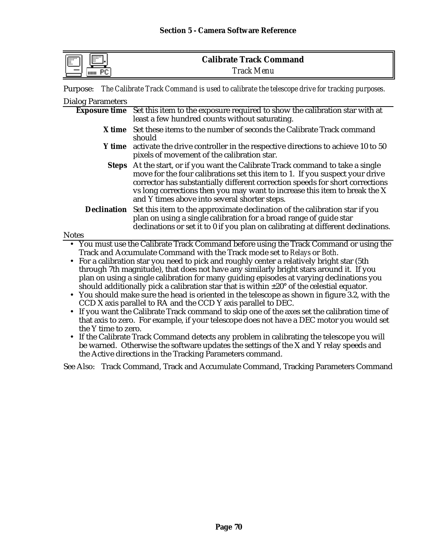| 1:1:1:1:1<br>信<br><br> | <b>Calibrate Track Command</b> |
|------------------------|--------------------------------|
| шш                     | <b>Track Menu</b>              |

Purpose: *The Calibrate Track Command is used to calibrate the telescope drive for tracking purposes.*

| <b>Dialog Parameters</b>         |                                                                                                                                                                                                                                                                                                                                                                                                                                                                                                                                                                                                                                                                                                                                                                                                                                                                                                                               |
|----------------------------------|-------------------------------------------------------------------------------------------------------------------------------------------------------------------------------------------------------------------------------------------------------------------------------------------------------------------------------------------------------------------------------------------------------------------------------------------------------------------------------------------------------------------------------------------------------------------------------------------------------------------------------------------------------------------------------------------------------------------------------------------------------------------------------------------------------------------------------------------------------------------------------------------------------------------------------|
| <b>Exposure time</b>             | Set this item to the exposure required to show the calibration star with at<br>least a few hundred counts without saturating.                                                                                                                                                                                                                                                                                                                                                                                                                                                                                                                                                                                                                                                                                                                                                                                                 |
|                                  | X time Set these items to the number of seconds the Calibrate Track command<br>should                                                                                                                                                                                                                                                                                                                                                                                                                                                                                                                                                                                                                                                                                                                                                                                                                                         |
|                                  | <b>Y</b> time activate the drive controller in the respective directions to achieve 10 to 50<br>pixels of movement of the calibration star.                                                                                                                                                                                                                                                                                                                                                                                                                                                                                                                                                                                                                                                                                                                                                                                   |
| <b>Steps</b>                     | At the start, or if you want the Calibrate Track command to take a single<br>move for the four calibrations set this item to 1. If you suspect your drive<br>corrector has substantially different correction speeds for short corrections<br>vs long corrections then you may want to increase this item to break the X<br>and Y times above into several shorter steps.                                                                                                                                                                                                                                                                                                                                                                                                                                                                                                                                                     |
| <b>Declination</b>               | Set this item to the approximate declination of the calibration star if you<br>plan on using a single calibration for a broad range of guide star<br>declinations or set it to 0 if you plan on calibrating at different declinations.                                                                                                                                                                                                                                                                                                                                                                                                                                                                                                                                                                                                                                                                                        |
| <b>Notes</b>                     |                                                                                                                                                                                                                                                                                                                                                                                                                                                                                                                                                                                                                                                                                                                                                                                                                                                                                                                               |
| $\bullet$<br>the Y time to zero. | • You must use the Calibrate Track Command before using the Track Command or using the<br>Track and Accumulate Command with the Track mode set to Relays or Both.<br>• For a calibration star you need to pick and roughly center a relatively bright star (5th<br>through 7th magnitude), that does not have any similarly bright stars around it. If you<br>plan on using a single calibration for many guiding episodes at varying declinations you<br>should additionally pick a calibration star that is within $\pm 20^{\circ}$ of the celestial equator.<br>• You should make sure the head is oriented in the telescope as shown in figure 3.2, with the<br>CCD X axis parallel to RA and the CCD Y axis parallel to DEC.<br>If you want the Calibrate Track command to skip one of the axes set the calibration time of<br>that axis to zero. For example, if your telescope does not have a DEC motor you would set |
|                                  | • If the Calibrate Track Command detects any problem in calibrating the telescope you will                                                                                                                                                                                                                                                                                                                                                                                                                                                                                                                                                                                                                                                                                                                                                                                                                                    |

be warned. Otherwise the software updates the settings of the X and Y relay speeds and the Active directions in the Tracking Parameters command.

See Also: Track Command, Track and Accumulate Command, Tracking Parameters Command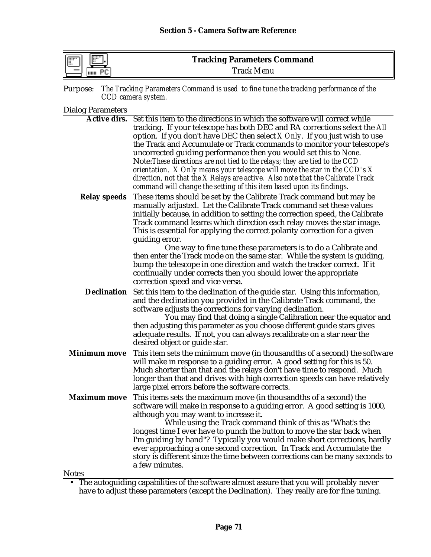| lli<br><b>FOUR</b><br> | <b>Tracking Parameters Command</b> |  |
|------------------------|------------------------------------|--|
| <b>THILL</b>           | <b>Track Menu</b>                  |  |

| Purpose: The Tracking Parameters Command is used to fine tune the tracking performance of the |  |
|-----------------------------------------------------------------------------------------------|--|
| CCD camera system.                                                                            |  |

Dialog Parameters

|                                     | <b>Active dirs.</b> Set this item to the directions in which the software will correct while<br>tracking. If your telescope has both DEC and RA corrections select the All<br>option. If you don't have DEC then select $X$ Only. If you just wish to use<br>the Track and Accumulate or Track commands to monitor your telescope's<br>uncorrected guiding performance then you would set this to None.<br>Note: These directions are not tied to the relays; they are tied to the CCD<br>orientation. $X$ Only means your telescope will move the star in the CCD's $X$<br>direction, not that the X Relays are active. Also note that the Calibrate Track<br>command will change the setting of this item based upon its findings. |
|-------------------------------------|--------------------------------------------------------------------------------------------------------------------------------------------------------------------------------------------------------------------------------------------------------------------------------------------------------------------------------------------------------------------------------------------------------------------------------------------------------------------------------------------------------------------------------------------------------------------------------------------------------------------------------------------------------------------------------------------------------------------------------------|
| <b>Relay speeds</b>                 | These items should be set by the Calibrate Track command but may be<br>manually adjusted. Let the Calibrate Track command set these values<br>initially because, in addition to setting the correction speed, the Calibrate<br>Track command learns which direction each relay moves the star image.<br>This is essential for applying the correct polarity correction for a given<br>guiding error.<br>One way to fine tune these parameters is to do a Calibrate and                                                                                                                                                                                                                                                               |
|                                     | then enter the Track mode on the same star. While the system is guiding,<br>bump the telescope in one direction and watch the tracker correct. If it<br>continually under corrects then you should lower the appropriate<br>correction speed and vice versa.                                                                                                                                                                                                                                                                                                                                                                                                                                                                         |
| <b>Declination</b>                  | Set this item to the declination of the guide star. Using this information,<br>and the declination you provided in the Calibrate Track command, the<br>software adjusts the corrections for varying declination.<br>You may find that doing a single Calibration near the equator and<br>then adjusting this parameter as you choose different guide stars gives<br>adequate results. If not, you can always recalibrate on a star near the<br>desired object or guide star.                                                                                                                                                                                                                                                         |
| <b>Minimum move</b>                 | This item sets the minimum move (in thousandths of a second) the software<br>will make in response to a guiding error. A good setting for this is 50.<br>Much shorter than that and the relays don't have time to respond. Much<br>longer than that and drives with high correction speeds can have relatively<br>large pixel errors before the software corrects.                                                                                                                                                                                                                                                                                                                                                                   |
| <b>Maximum move</b><br><b>Notes</b> | This items sets the maximum move (in thousandths of a second) the<br>software will make in response to a guiding error. A good setting is 1000,<br>although you may want to increase it.<br>While using the Track command think of this as "What's the<br>longest time I ever have to punch the button to move the star back when<br>I'm guiding by hand"? Typically you would make short corrections, hardly<br>ever approaching a one second correction. In Track and Accumulate the<br>story is different since the time between corrections can be many seconds to<br>a few minutes.                                                                                                                                             |
|                                     |                                                                                                                                                                                                                                                                                                                                                                                                                                                                                                                                                                                                                                                                                                                                      |

• The autoguiding capabilities of the software almost assure that you will probably never have to adjust these parameters (except the Declination). They really are for fine tuning.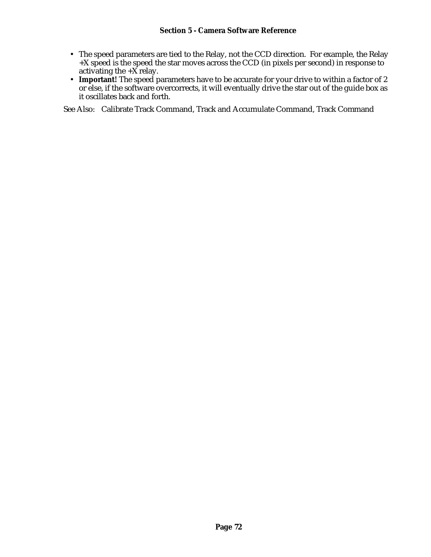#### **Section 5 - Camera Software Reference**

- The speed parameters are tied to the Relay, not the CCD direction. For example, the Relay  $+X$  speed is the speed the star moves across the CCD (in pixels per second) in response to activating the  $+\overrightarrow{X}$  relay.
- **Important!** The speed parameters have to be accurate for your drive to within a factor of 2 or else, if the software overcorrects, it will eventually drive the star out of the guide box as it oscillates back and forth.

See Also: Calibrate Track Command, Track and Accumulate Command, Track Command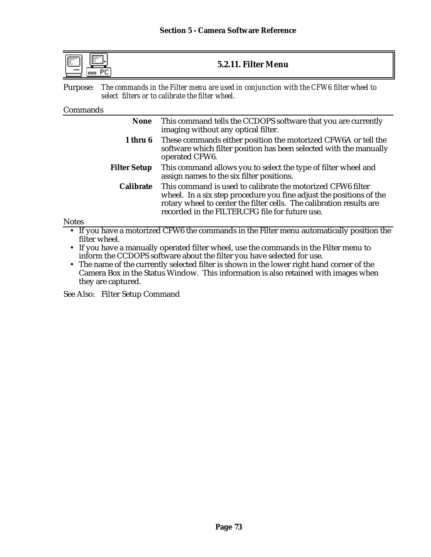| $\overline{1}$<br>$\mathbb{R}^n$<br>$\cdots$<br>5.2.11. Filter Menu |
|---------------------------------------------------------------------|
|---------------------------------------------------------------------|

Purpose: *The commands in the Filter menu are used in conjunction with the CFW6 filter wheel to select filters or to calibrate the filter wheel.*

#### Commands

**Notes** 

| <b>None</b>         | This command tells the CCDOPS software that you are currently<br>imaging without any optical filter.                                                                                                                                                          |
|---------------------|---------------------------------------------------------------------------------------------------------------------------------------------------------------------------------------------------------------------------------------------------------------|
| 1 thru 6            | These commands either position the motorized CFW6A or tell the<br>software which filter position has been selected with the manually<br>operated CFW6.                                                                                                        |
| <b>Filter Setup</b> | This command allows you to select the type of filter wheel and<br>assign names to the six filter positions.                                                                                                                                                   |
| <b>Calibrate</b>    | This command is used to calibrate the motorized CFW6 filter<br>wheel. In a six step procedure you fine adjust the positions of the<br>rotary wheel to center the filter cells. The calibration results are<br>recorded in the FILTER.CFG file for future use. |

• If you have a motorized CFW6 the commands in the Filter menu automatically position the filter wheel.

- If you have a manually operated filter wheel, use the commands in the Filter menu to inform the CCDOPS software about the filter you have selected for use.
- The name of the currently selected filter is shown in the lower right hand corner of the Camera Box in the Status Window. This information is also retained with images when they are captured.

See Also: Filter Setup Command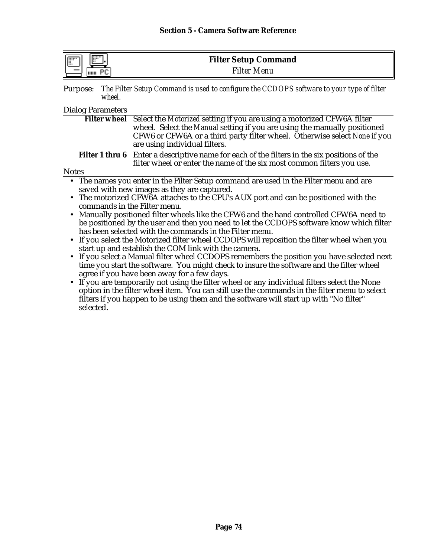| $\overline{$<br>順<br><br>٠. | <b>Filter Setup Command</b> |
|-----------------------------|-----------------------------|
| HIIII                       | <b>Filter Menu</b>          |

| Purpose: The Filter Setup Command is used to configure the CCDOPS software to your type of filter |
|---------------------------------------------------------------------------------------------------|
| wheel.                                                                                            |

#### Dialog Parameters

| Filter wheel Select the Motorized setting if you are using a motorized CFW6A filter                                                                                           |                                                                                       |  |  |
|-------------------------------------------------------------------------------------------------------------------------------------------------------------------------------|---------------------------------------------------------------------------------------|--|--|
|                                                                                                                                                                               | wheel. Select the Manual setting if you are using the manually positioned             |  |  |
|                                                                                                                                                                               | CFW6 or CFW6A or a third party filter wheel. Otherwise select None if you             |  |  |
|                                                                                                                                                                               | are using individual filters.                                                         |  |  |
| <b>Filter 1 thru 6</b> Enter a descriptive name for each of the filters in the six positions of the<br>filter wheel or enter the name of the six most common filters you use. |                                                                                       |  |  |
| <b>Notes</b>                                                                                                                                                                  |                                                                                       |  |  |
|                                                                                                                                                                               | • The names you enter in the Filter Setup command are used in the Filter menu and are |  |  |
| saved with new images as they are captured.                                                                                                                                   |                                                                                       |  |  |
|                                                                                                                                                                               | The meterized CEWCA etterhoe to the CDU's AUV next and can be negitianed with the     |  |  |

- The motorized CFW6A attaches to the CPU's AUX port and can be positioned with the commands in the Filter menu.
- Manually positioned filter wheels like the CFW6 and the hand controlled CFW6A need to be positioned by the user and then you need to let the CCDOPS software know which filter has been selected with the commands in the Filter menu.
- If you select the Motorized filter wheel CCDOPS will reposition the filter wheel when you start up and establish the COM link with the camera.
- If you select a Manual filter wheel CCDOPS remembers the position you have selected next time you start the software. You might check to insure the software and the filter wheel agree if you have been away for a few days.
- If you are temporarily not using the filter wheel or any individual filters select the None option in the filter wheel item. You can still use the commands in the filter menu to select filters if you happen to be using them and the software will start up with "No filter" selected.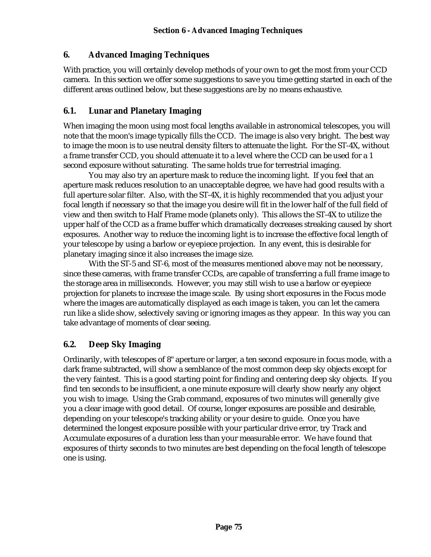# **6. Advanced Imaging Techniques**

With practice, you will certainly develop methods of your own to get the most from your CCD camera. In this section we offer some suggestions to save you time getting started in each of the different areas outlined below, but these suggestions are by no means exhaustive.

## **6.1. Lunar and Planetary Imaging**

When imaging the moon using most focal lengths available in astronomical telescopes, you will note that the moon's image typically fills the CCD. The image is also very bright. The best way to image the moon is to use neutral density filters to attenuate the light. For the ST-4X, without a frame transfer CCD, you should attenuate it to a level where the CCD can be used for a 1 second exposure without saturating. The same holds true for terrestrial imaging.

You may also try an aperture mask to reduce the incoming light. If you feel that an aperture mask reduces resolution to an unacceptable degree, we have had good results with a full aperture solar filter. Also, with the ST-4X, it is highly recommended that you adjust your focal length if necessary so that the image you desire will fit in the lower half of the full field of view and then switch to Half Frame mode (planets only). This allows the ST-4X to utilize the upper half of the CCD as a frame buffer which dramatically decreases streaking caused by short exposures. Another way to reduce the incoming light is to increase the effective focal length of your telescope by using a barlow or eyepiece projection. In any event, this is desirable for planetary imaging since it also increases the image size.

With the ST-5 and ST-6, most of the measures mentioned above may not be necessary, since these cameras, with frame transfer CCDs, are capable of transferring a full frame image to the storage area in milliseconds. However, you may still wish to use a barlow or eyepiece projection for planets to increase the image scale. By using short exposures in the Focus mode where the images are automatically displayed as each image is taken, you can let the camera run like a slide show, selectively saving or ignoring images as they appear. In this way you can take advantage of moments of clear seeing.

# **6.2. Deep Sky Imaging**

Ordinarily, with telescopes of 8" aperture or larger, a ten second exposure in focus mode, with a dark frame subtracted, will show a semblance of the most common deep sky objects except for the very faintest. This is a good starting point for finding and centering deep sky objects. If you find ten seconds to be insufficient, a one minute exposure will clearly show nearly any object you wish to image. Using the Grab command, exposures of two minutes will generally give you a clear image with good detail. Of course, longer exposures are possible and desirable, depending on your telescope's tracking ability or your desire to guide. Once you have determined the longest exposure possible with your particular drive error, try Track and Accumulate exposures of a duration less than your measurable error. We have found that exposures of thirty seconds to two minutes are best depending on the focal length of telescope one is using.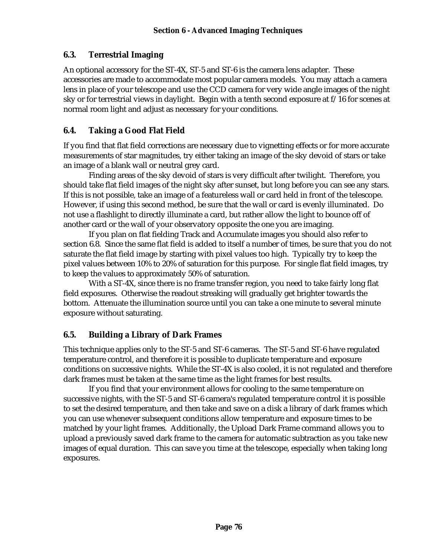# **6.3. Terrestrial Imaging**

An optional accessory for the ST-4X, ST-5 and ST-6 is the camera lens adapter. These accessories are made to accommodate most popular camera models. You may attach a camera lens in place of your telescope and use the CCD camera for very wide angle images of the night sky or for terrestrial views in daylight. Begin with a tenth second exposure at f/16 for scenes at normal room light and adjust as necessary for your conditions.

# **6.4. Taking a Good Flat Field**

If you find that flat field corrections are necessary due to vignetting effects or for more accurate measurements of star magnitudes, try either taking an image of the sky devoid of stars or take an image of a blank wall or neutral grey card.

Finding areas of the sky devoid of stars is very difficult after twilight. Therefore, you should take flat field images of the night sky after sunset, but long before you can see any stars. If this is not possible, take an image of a featureless wall or card held in front of the telescope. However, if using this second method, be sure that the wall or card is evenly illuminated. Do not use a flashlight to directly illuminate a card, but rather allow the light to bounce off of another card or the wall of your observatory opposite the one you are imaging.

If you plan on flat fielding Track and Accumulate images you should also refer to section 6.8. Since the same flat field is added to itself a number of times, be sure that you do not saturate the flat field image by starting with pixel values too high. Typically try to keep the pixel values between 10% to 20% of saturation for this purpose. For single flat field images, try to keep the values to approximately 50% of saturation.

With a ST-4X, since there is no frame transfer region, you need to take fairly long flat field exposures. Otherwise the readout streaking will gradually get brighter towards the bottom. Attenuate the illumination source until you can take a one minute to several minute exposure without saturating.

# **6.5. Building a Library of Dark Frames**

This technique applies only to the ST-5 and ST-6 cameras. The ST-5 and ST-6 have regulated temperature control, and therefore it is possible to duplicate temperature and exposure conditions on successive nights. While the ST-4X is also cooled, it is not regulated and therefore dark frames must be taken at the same time as the light frames for best results.

If you find that your environment allows for cooling to the same temperature on successive nights, with the ST-5 and ST-6 camera's regulated temperature control it is possible to set the desired temperature, and then take and save on a disk a library of dark frames which you can use whenever subsequent conditions allow temperature and exposure times to be matched by your light frames. Additionally, the Upload Dark Frame command allows you to upload a previously saved dark frame to the camera for automatic subtraction as you take new images of equal duration. This can save you time at the telescope, especially when taking long exposures.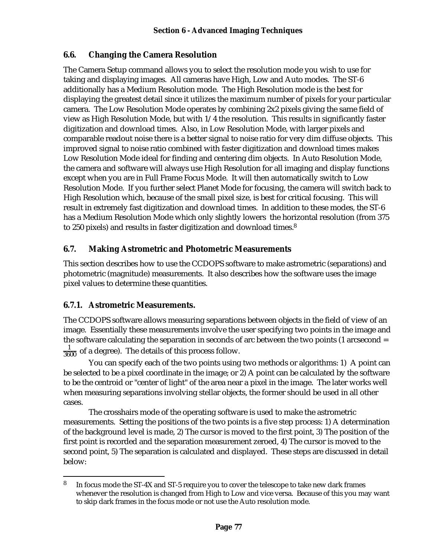# **6.6. Changing the Camera Resolution**

The Camera Setup command allows you to select the resolution mode you wish to use for taking and displaying images. All cameras have High, Low and Auto modes. The ST-6 additionally has a Medium Resolution mode. The High Resolution mode is the best for displaying the greatest detail since it utilizes the maximum number of pixels for your particular camera. The Low Resolution Mode operates by combining 2x2 pixels giving the same field of view as High Resolution Mode, but with 1/4 the resolution. This results in significantly faster digitization and download times. Also, in Low Resolution Mode, with larger pixels and comparable readout noise there is a better signal to noise ratio for very dim diffuse objects. This improved signal to noise ratio combined with faster digitization and download times makes Low Resolution Mode ideal for finding and centering dim objects. In Auto Resolution Mode, the camera and software will always use High Resolution for all imaging and display functions except when you are in Full Frame Focus Mode. It will then automatically switch to Low Resolution Mode. If you further select Planet Mode for focusing, the camera will switch back to High Resolution which, because of the small pixel size, is best for critical focusing. This will result in extremely fast digitization and download times. In addition to these modes, the ST-6 has a Medium Resolution Mode which only slightly lowers the horizontal resolution (from 375 to 250 pixels) and results in faster digitization and download times.<sup>8</sup>

## **6.7. Making Astrometric and Photometric Measurements**

This section describes how to use the CCDOPS software to make astrometric (separations) and photometric (magnitude) measurements. It also describes how the software uses the image pixel values to determine these quantities.

#### **6.7.1. Astrometric Measurements.**

The CCDOPS software allows measuring separations between objects in the field of view of an image. Essentially these measurements involve the user specifying two points in the image and the software calculating the separation in seconds of arc between the two points (1 arcsecond =  $\frac{1}{3600}$  of a degree). The details of this process follow.

You can specify each of the two points using two methods or algorithms: 1) A point can be selected to be a pixel coordinate in the image; or 2) A point can be calculated by the software to be the centroid or "center of light" of the area near a pixel in the image. The later works well when measuring separations involving stellar objects, the former should be used in all other cases.

The crosshairs mode of the operating software is used to make the astrometric measurements. Setting the positions of the two points is a five step process: 1) A determination of the background level is made, 2) The cursor is moved to the first point, 3) The position of the first point is recorded and the separation measurement zeroed, 4) The cursor is moved to the second point, 5) The separation is calculated and displayed. These steps are discussed in detail below:

<sup>1</sup> <sup>8</sup> In focus mode the ST-4X and ST-5 require you to cover the telescope to take new dark frames whenever the resolution is changed from High to Low and vice versa. Because of this you may want to skip dark frames in the focus mode or not use the Auto resolution mode.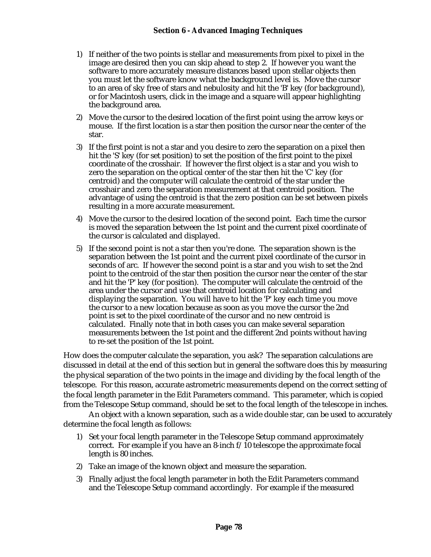- 1) If neither of the two points is stellar and measurements from pixel to pixel in the image are desired then you can skip ahead to step 2. If however you want the software to more accurately measure distances based upon stellar objects then you must let the software know what the background level is. Move the cursor to an area of sky free of stars and nebulosity and hit the 'B' key (for background), or for Macintosh users, click in the image and a square will appear highlighting the background area.
- 2) Move the cursor to the desired location of the first point using the arrow keys or mouse. If the first location is a star then position the cursor near the center of the star.
- 3) If the first point is not a star and you desire to zero the separation on a pixel then hit the 'S' key (for set position) to set the position of the first point to the pixel coordinate of the crosshair. If however the first object is a star and you wish to zero the separation on the optical center of the star then hit the 'C' key (for centroid) and the computer will calculate the centroid of the star under the crosshair and zero the separation measurement at that centroid position. The advantage of using the centroid is that the zero position can be set between pixels resulting in a more accurate measurement.
- 4) Move the cursor to the desired location of the second point. Each time the cursor is moved the separation between the 1st point and the current pixel coordinate of the cursor is calculated and displayed.
- 5) If the second point is not a star then you're done. The separation shown is the separation between the 1st point and the current pixel coordinate of the cursor in seconds of arc. If however the second point is a star and you wish to set the 2nd point to the centroid of the star then position the cursor near the center of the star and hit the 'P' key (for position). The computer will calculate the centroid of the area under the cursor and use that centroid location for calculating and displaying the separation. You will have to hit the 'P' key each time you move the cursor to a new location because as soon as you move the cursor the 2nd point is set to the pixel coordinate of the cursor and no new centroid is calculated. Finally note that in both cases you can make several separation measurements between the 1st point and the different 2nd points without having to re-set the position of the 1st point.

How does the computer calculate the separation, you ask? The separation calculations are discussed in detail at the end of this section but in general the software does this by measuring the physical separation of the two points in the image and dividing by the focal length of the telescope. For this reason, accurate astrometric measurements depend on the correct setting of the focal length parameter in the Edit Parameters command. This parameter, which is copied from the Telescope Setup command, should be set to the focal length of the telescope in inches.

An object with a known separation, such as a wide double star, can be used to accurately determine the focal length as follows:

- 1) Set your focal length parameter in the Telescope Setup command approximately correct. For example if you have an 8-inch f/10 telescope the approximate focal length is 80 inches.
- 2) Take an image of the known object and measure the separation.
- 3) Finally adjust the focal length parameter in both the Edit Parameters command and the Telescope Setup command accordingly. For example if the measured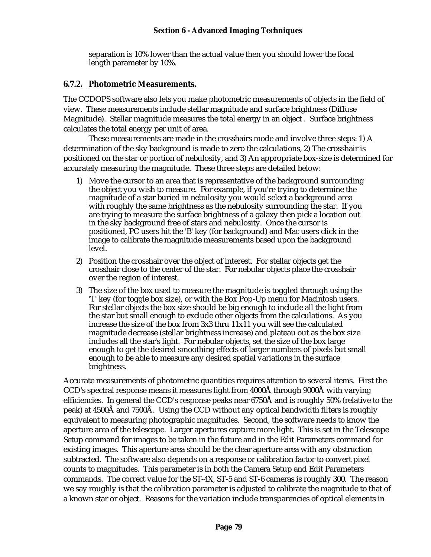separation is 10% lower than the actual value then you should lower the focal length parameter by 10%.

#### **6.7.2. Photometric Measurements.**

The CCDOPS software also lets you make photometric measurements of objects in the field of view. These measurements include stellar magnitude and surface brightness (Diffuse Magnitude). Stellar magnitude measures the total energy in an object . Surface brightness calculates the total energy per unit of area.

These measurements are made in the crosshairs mode and involve three steps: 1) A determination of the sky background is made to zero the calculations, 2) The crosshair is positioned on the star or portion of nebulosity, and 3) An appropriate box-size is determined for accurately measuring the magnitude. These three steps are detailed below:

- 1) Move the cursor to an area that is representative of the background surrounding the object you wish to measure. For example, if you're trying to determine the magnitude of a star buried in nebulosity you would select a background area with roughly the same brightness as the nebulosity surrounding the star. If you are trying to measure the surface brightness of a galaxy then pick a location out in the sky background free of stars and nebulosity. Once the cursor is positioned, PC users hit the 'B' key (for background) and Mac users click in the image to calibrate the magnitude measurements based upon the background level.
- 2) Position the crosshair over the object of interest. For stellar objects get the crosshair close to the center of the star. For nebular objects place the crosshair over the region of interest.
- 3) The size of the box used to measure the magnitude is toggled through using the 'T' key (for toggle box size), or with the Box Pop-Up menu for Macintosh users. For stellar objects the box size should be big enough to include all the light from the star but small enough to exclude other objects from the calculations. As you increase the size of the box from 3x3 thru 11x11 you will see the calculated magnitude decrease (stellar brightness increase) and plateau out as the box size includes all the star's light. For nebular objects, set the size of the box large enough to get the desired smoothing effects of larger numbers of pixels but small enough to be able to measure any desired spatial variations in the surface brightness.

Accurate measurements of photometric quantities requires attention to several items. First the CCD's spectral response means it measures light from 4000Å through 9000Å with varying efficiencies. In general the CCD's response peaks near 6750Å and is roughly 50% (relative to the peak) at 4500Å and 7500Å. Using the CCD without any optical bandwidth filters is roughly equivalent to measuring photographic magnitudes. Second, the software needs to know the aperture area of the telescope. Larger apertures capture more light. This is set in the Telescope Setup command for images to be taken in the future and in the Edit Parameters command for existing images. This aperture area should be the clear aperture area with any obstruction subtracted. The software also depends on a response or calibration factor to convert pixel counts to magnitudes. This parameter is in both the Camera Setup and Edit Parameters commands. The correct value for the ST-4X, ST-5 and ST-6 cameras is roughly 300. The reason we say roughly is that the calibration parameter is adjusted to calibrate the magnitude to that of a known star or object. Reasons for the variation include transparencies of optical elements in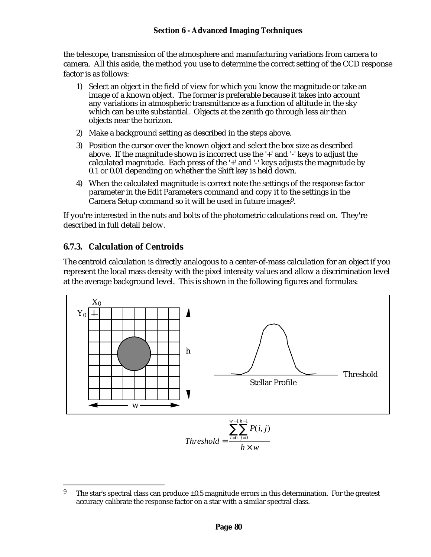the telescope, transmission of the atmosphere and manufacturing variations from camera to camera. All this aside, the method you use to determine the correct setting of the CCD response factor is as follows:

- 1) Select an object in the field of view for which you know the magnitude or take an image of a known object. The former is preferable because it takes into account any variations in atmospheric transmittance as a function of altitude in the sky which can be uite substantial. Objects at the zenith go through less air than objects near the horizon.
- 2) Make a background setting as described in the steps above.
- 3) Position the cursor over the known object and select the box size as described above. If the magnitude shown is incorrect use the '+' and '-' keys to adjust the calculated magnitude. Each press of the '+' and '-' keys adjusts the magnitude by 0.1 or 0.01 depending on whether the Shift key is held down.
- 4) When the calculated magnitude is correct note the settings of the response factor parameter in the Edit Parameters command and copy it to the settings in the Camera Setup command so it will be used in future images<sup>9</sup>.

If you're interested in the nuts and bolts of the photometric calculations read on. They're described in full detail below.

# **6.7.3. Calculation of Centroids**

The centroid calculation is directly analogous to a center-of-mass calculation for an object if you represent the local mass density with the pixel intensity values and allow a discrimination level at the average background level. This is shown in the following figures and formulas:



 $\bf{9}$ The star's spectral class can produce  $\pm 0.5$  magnitude errors in this determination. For the greatest accuracy calibrate the response factor on a star with a similar spectral class.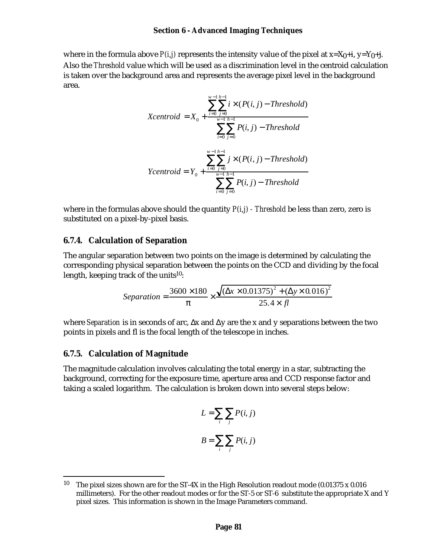where in the formula above  $P(i, j)$  represents the intensity value of the pixel at  $x=X_0+i$ ,  $y=Y_0+i$ . Also the *Threshold* value which will be used as a discrimination level in the centroid calculation is taken over the background area and represents the average pixel level in the background area.

$$
Xcentroid = X_0 + \frac{\sum_{i=0}^{w-1} \sum_{j=0}^{h-1} i \times (P(i, j) - Threshold)}{\sum_{i=0}^{w-1} \sum_{j=0}^{h-1} P(i, j) - Threshold}
$$

$$
Ycentroid = Y_0 + \frac{\sum_{i=0}^{w-1} \sum_{j=0}^{h-1} j \times (P(i, j) - Threshold)}{\sum_{i=0}^{w-1} \sum_{j=0}^{h-1} P(i, j) - Threshold}
$$

where in the formulas above should the quantity *P(i,j) - Threshold* be less than zero, zero is substituted on a pixel-by-pixel basis.

#### **6.7.4. Calculation of Separation**

The angular separation between two points on the image is determined by calculating the corresponding physical separation between the points on the CCD and dividing by the focal length, keeping track of the units<sup>10</sup>:

$$
Separation = \frac{3600 \times 180}{\pi} \times \frac{\sqrt{(\Delta x \times 0.01375)^2 + (\Delta y \times 0.016)^2}}{25.4 \times fl}
$$

where *Separation* is in seconds of arc, ∆x and ∆y are the x and y separations between the two points in pixels and fl is the focal length of the telescope in inches.

#### **6.7.5. Calculation of Magnitude**

The magnitude calculation involves calculating the total energy in a star, subtracting the background, correcting for the exposure time, aperture area and CCD response factor and taking a scaled logarithm. The calculation is broken down into several steps below:

$$
L = \sum_{i} \sum_{j} P(i, j)
$$

$$
B = \sum_{i} \sum_{j} P(i, j)
$$

<sup>1</sup> <sup>10</sup> The pixel sizes shown are for the ST-4X in the High Resolution readout mode (0.01375 x 0.016) millimeters). For the other readout modes or for the ST-5 or ST-6 substitute the appropriate X and Y pixel sizes. This information is shown in the Image Parameters command.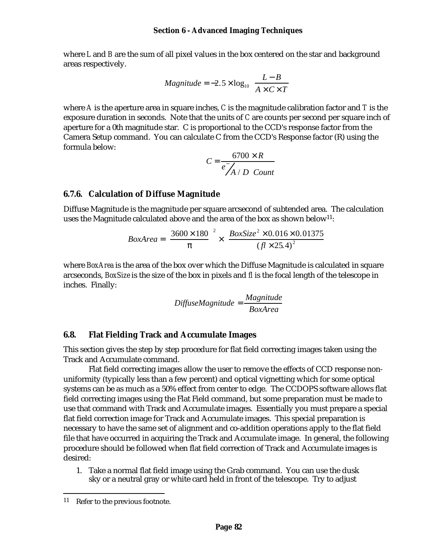where *L* and *B* are the sum of all pixel values in the box centered on the star and background areas respectively.

$$
Magnitude = -2.5 \times \log_{10} \left( \frac{L - B}{A \times C \times T} \right)
$$

where *A* is the aperture area in square inches, *C* is the magnitude calibration factor and *T* is the exposure duration in seconds. Note that the units of *C* are counts per second per square inch of aperture for a 0th magnitude star. C is proportional to the CCD's response factor from the Camera Setup command. You can calculate C from the CCD's Response factor (R) using the formula below:

$$
C = \frac{6700 \times R}{e \overline{A} / D \quad Count}
$$

## **6.7.6. Calculation of Diffuse Magnitude**

Diffuse Magnitude is the magnitude per square arcsecond of subtended area. The calculation uses the Magnitude calculated above and the area of the box as shown below<sup>11</sup>:

$$
BoxArea = \left(\frac{3600 \times 180}{\pi}\right)^2 \times \left(\frac{BoxSize^2 \times 0.016 \times 0.01375}{(fl \times 25.4)^2}\right)
$$

where *BoxArea* is the area of the box over which the Diffuse Magnitude is calculated in square arcseconds, *BoxSize* is the size of the box in pixels and *fl* is the focal length of the telescope in inches. Finally:

$$
Diff use Magnitude = \frac{Magnitude}{BoxArea}
$$

#### **6.8. Flat Fielding Track and Accumulate Images**

This section gives the step by step procedure for flat field correcting images taken using the Track and Accumulate command.

Flat field correcting images allow the user to remove the effects of CCD response nonuniformity (typically less than a few percent) and optical vignetting which for some optical systems can be as much as a 50% effect from center to edge. The CCDOPS software allows flat field correcting images using the Flat Field command, but some preparation must be made to use that command with Track and Accumulate images. Essentially you must prepare a special flat field correction image for Track and Accumulate images. This special preparation is necessary to have the same set of alignment and co-addition operations apply to the flat field file that have occurred in acquiring the Track and Accumulate image. In general, the following procedure should be followed when flat field correction of Track and Accumulate images is desired:

1. Take a normal flat field image using the Grab command. You can use the dusk sky or a neutral gray or white card held in front of the telescope. Try to adjust

<sup>1</sup> <sup>11</sup> Refer to the previous footnote.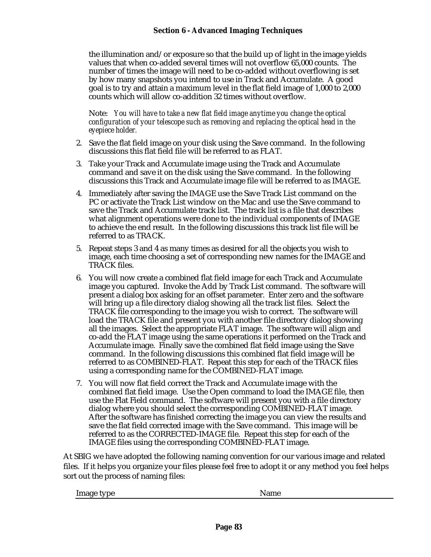the illumination and/or exposure so that the build up of light in the image yields values that when co-added several times will not overflow 65,000 counts. The number of times the image will need to be co-added without overflowing is set by how many snapshots you intend to use in Track and Accumulate. A good goal is to try and attain a maximum level in the flat field image of 1,000 to 2,000 counts which will allow co-addition 32 times without overflow.

Note: *You will have to take a new flat field image anytime you change the optical configuration of your telescope such as removing and replacing the optical head in the eyepiece holder.*

- 2. Save the flat field image on your disk using the Save command. In the following discussions this flat field file will be referred to as FLAT.
- 3. Take your Track and Accumulate image using the Track and Accumulate command and save it on the disk using the Save command. In the following discussions this Track and Accumulate image file will be referred to as IMAGE.
- 4. Immediately after saving the IMAGE use the Save Track List command on the PC or activate the Track List window on the Mac and use the Save command to save the Track and Accumulate track list. The track list is a file that describes what alignment operations were done to the individual components of IMAGE to achieve the end result. In the following discussions this track list file will be referred to as TRACK.
- 5. Repeat steps 3 and 4 as many times as desired for all the objects you wish to image, each time choosing a set of corresponding new names for the IMAGE and TRACK files.
- 6. You will now create a combined flat field image for each Track and Accumulate image you captured. Invoke the Add by Track List command. The software will present a dialog box asking for an offset parameter. Enter zero and the software will bring up a file directory dialog showing all the track list files. Select the TRACK file corresponding to the image you wish to correct. The software will load the TRACK file and present you with another file directory dialog showing all the images. Select the appropriate FLAT image. The software will align and co-add the FLAT image using the same operations it performed on the Track and Accumulate image. Finally save the combined flat field image using the Save command. In the following discussions this combined flat field image will be referred to as COMBINED-FLAT. Repeat this step for each of the TRACK files using a corresponding name for the COMBINED-FLAT image.
- 7. You will now flat field correct the Track and Accumulate image with the combined flat field image. Use the Open command to load the IMAGE file, then use the Flat Field command. The software will present you with a file directory dialog where you should select the corresponding COMBINED-FLAT image. After the software has finished correcting the image you can view the results and save the flat field corrected image with the Save command. This image will be referred to as the CORRECTED-IMAGE file. Repeat this step for each of the IMAGE files using the corresponding COMBINED-FLAT image.

At SBIG we have adopted the following naming convention for our various image and related files. If it helps you organize your files please feel free to adopt it or any method you feel helps sort out the process of naming files:

Image type Name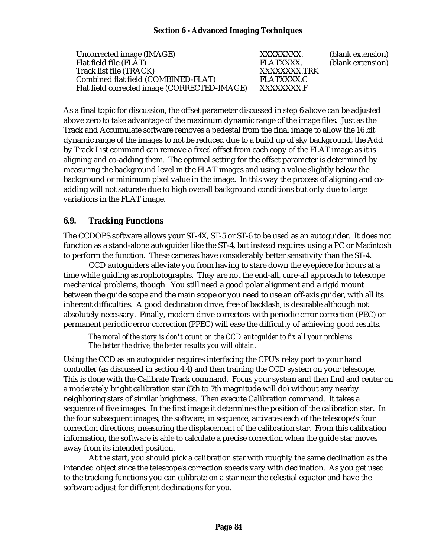Uncorrected image (IMAGE) XXXXXXXX. (blank extension) Flat field file (FLAT) FLATXXXX. (blank extension) Track list file (TRACK) Combined flat field (COMBINED-FLAT) FLATXXXX.C<br>Flat field corrected image (CORRECTED-IMAGE) XXXXXXXX.F Flat field corrected image (CORRECTED-IMAGE)

As a final topic for discussion, the offset parameter discussed in step 6 above can be adjusted above zero to take advantage of the maximum dynamic range of the image files. Just as the Track and Accumulate software removes a pedestal from the final image to allow the 16 bit dynamic range of the images to not be reduced due to a build up of sky background, the Add by Track List command can remove a fixed offset from each copy of the FLAT image as it is aligning and co-adding them. The optimal setting for the offset parameter is determined by measuring the background level in the FLAT images and using a value slightly below the background or minimum pixel value in the image. In this way the process of aligning and coadding will not saturate due to high overall background conditions but only due to large variations in the FLAT image.

#### **6.9. Tracking Functions**

The CCDOPS software allows your ST-4X, ST-5 or ST-6 to be used as an autoguider. It does not function as a stand-alone autoguider like the ST-4, but instead requires using a PC or Macintosh to perform the function. These cameras have considerably better sensitivity than the ST-4.

CCD autoguiders alleviate you from having to stare down the eyepiece for hours at a time while guiding astrophotographs. They are not the end-all, cure-all approach to telescope mechanical problems, though. You still need a good polar alignment and a rigid mount between the guide scope and the main scope or you need to use an off-axis guider, with all its inherent difficulties. A good declination drive, free of backlash, is desirable although not absolutely necessary. Finally, modern drive correctors with periodic error correction (PEC) or permanent periodic error correction (PPEC) will ease the difficulty of achieving good results.

*The moral of the story is don't count on the CCD autoguider to fix all your problems. The better the drive, the better results you will obtain.*

Using the CCD as an autoguider requires interfacing the CPU's relay port to your hand controller (as discussed in section 4.4) and then training the CCD system on your telescope. This is done with the Calibrate Track command. Focus your system and then find and center on a moderately bright calibration star (5th to 7th magnitude will do) without any nearby neighboring stars of similar brightness. Then execute Calibration command. It takes a sequence of five images. In the first image it determines the position of the calibration star. In the four subsequent images, the software, in sequence, activates each of the telescope's four correction directions, measuring the displacement of the calibration star. From this calibration information, the software is able to calculate a precise correction when the guide star moves away from its intended position.

At the start, you should pick a calibration star with roughly the same declination as the intended object since the telescope's correction speeds vary with declination. As you get used to the tracking functions you can calibrate on a star near the celestial equator and have the software adjust for different declinations for you.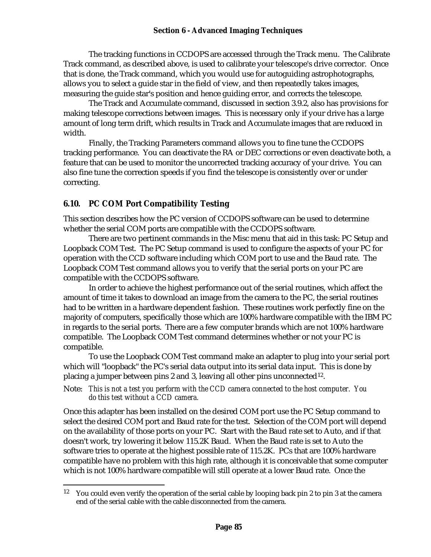The tracking functions in CCDOPS are accessed through the Track menu. The Calibrate Track command, as described above, is used to calibrate your telescope's drive corrector. Once that is done, the Track command, which you would use for autoguiding astrophotographs, allows you to select a guide star in the field of view, and then repeatedly takes images, measuring the guide star's position and hence guiding error, and corrects the telescope.

The Track and Accumulate command, discussed in section 3.9.2, also has provisions for making telescope corrections between images. This is necessary only if your drive has a large amount of long term drift, which results in Track and Accumulate images that are reduced in width.

Finally, the Tracking Parameters command allows you to fine tune the CCDOPS tracking performance. You can deactivate the RA or DEC corrections or even deactivate both, a feature that can be used to monitor the uncorrected tracking accuracy of your drive. You can also fine tune the correction speeds if you find the telescope is consistently over or under correcting.

#### **6.10. PC COM Port Compatibility Testing**

1

This section describes how the PC version of CCDOPS software can be used to determine whether the serial COM ports are compatible with the CCDOPS software.

There are two pertinent commands in the Misc menu that aid in this task: PC Setup and Loopback COM Test. The PC Setup command is used to configure the aspects of your PC for operation with the CCD software including which COM port to use and the Baud rate. The Loopback COM Test command allows you to verify that the serial ports on your PC are compatible with the CCDOPS software.

In order to achieve the highest performance out of the serial routines, which affect the amount of time it takes to download an image from the camera to the PC, the serial routines had to be written in a hardware dependent fashion. These routines work perfectly fine on the majority of computers, specifically those which are 100% hardware compatible with the IBM PC in regards to the serial ports. There are a few computer brands which are not 100% hardware compatible. The Loopback COM Test command determines whether or not your PC is compatible.

To use the Loopback COM Test command make an adapter to plug into your serial port which will "loopback" the PC's serial data output into its serial data input. This is done by placing a jumper between pins 2 and 3, leaving all other pins unconnected<sup>12</sup>.

Note: *This is not a test you perform with the CCD camera connected to the host computer. You do this test without a CCD camera.*

Once this adapter has been installed on the desired COM port use the PC Setup command to select the desired COM port and Baud rate for the test. Selection of the COM port will depend on the availability of those ports on your PC. Start with the Baud rate set to Auto, and if that doesn't work, try lowering it below 115.2K Baud. When the Baud rate is set to Auto the software tries to operate at the highest possible rate of 115.2K. PCs that are 100% hardware compatible have no problem with this high rate, although it is conceivable that some computer which is not 100% hardware compatible will still operate at a lower Baud rate. Once the

<sup>&</sup>lt;sup>12</sup> You could even verify the operation of the serial cable by looping back pin 2 to pin 3 at the camera end of the serial cable with the cable disconnected from the camera.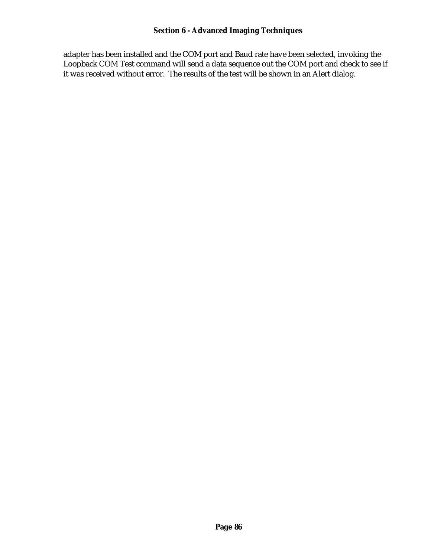adapter has been installed and the COM port and Baud rate have been selected, invoking the Loopback COM Test command will send a data sequence out the COM port and check to see if it was received without error. The results of the test will be shown in an Alert dialog.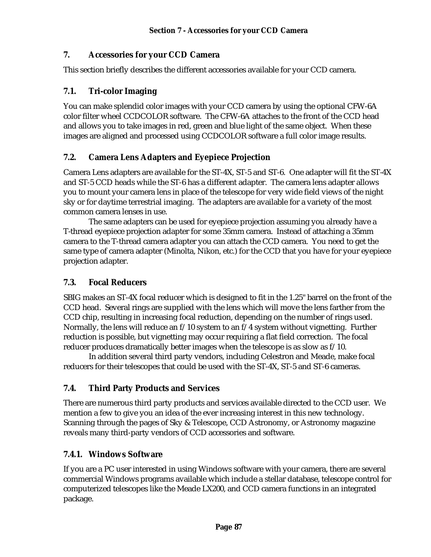## **7. Accessories for your CCD Camera**

This section briefly describes the different accessories available for your CCD camera.

## **7.1. Tri-color Imaging**

You can make splendid color images with your CCD camera by using the optional CFW-6A color filter wheel CCDCOLOR software. The CFW-6A attaches to the front of the CCD head and allows you to take images in red, green and blue light of the same object. When these images are aligned and processed using CCDCOLOR software a full color image results.

## **7.2. Camera Lens Adapters and Eyepiece Projection**

Camera Lens adapters are available for the ST-4X, ST-5 and ST-6. One adapter will fit the ST-4X and ST-5 CCD heads while the ST-6 has a different adapter. The camera lens adapter allows you to mount your camera lens in place of the telescope for very wide field views of the night sky or for daytime terrestrial imaging. The adapters are available for a variety of the most common camera lenses in use.

The same adapters can be used for eyepiece projection assuming you already have a T-thread eyepiece projection adapter for some 35mm camera. Instead of attaching a 35mm camera to the T-thread camera adapter you can attach the CCD camera. You need to get the same type of camera adapter (Minolta, Nikon, etc.) for the CCD that you have for your eyepiece projection adapter.

## **7.3. Focal Reducers**

SBIG makes an ST-4X focal reducer which is designed to fit in the 1.25" barrel on the front of the CCD head. Several rings are supplied with the lens which will move the lens farther from the CCD chip, resulting in increasing focal reduction, depending on the number of rings used. Normally, the lens will reduce an  $f/10$  system to an  $f/4$  system without vignetting. Further reduction is possible, but vignetting may occur requiring a flat field correction. The focal reducer produces dramatically better images when the telescope is as slow as f/10.

In addition several third party vendors, including Celestron and Meade, make focal reducers for their telescopes that could be used with the ST-4X, ST-5 and ST-6 cameras.

# **7.4. Third Party Products and Services**

There are numerous third party products and services available directed to the CCD user. We mention a few to give you an idea of the ever increasing interest in this new technology. Scanning through the pages of Sky & Telescope, CCD Astronomy, or Astronomy magazine reveals many third-party vendors of CCD accessories and software.

#### **7.4.1. Windows Software**

If you are a PC user interested in using Windows software with your camera, there are several commercial Windows programs available which include a stellar database, telescope control for computerized telescopes like the Meade LX200, and CCD camera functions in an integrated package.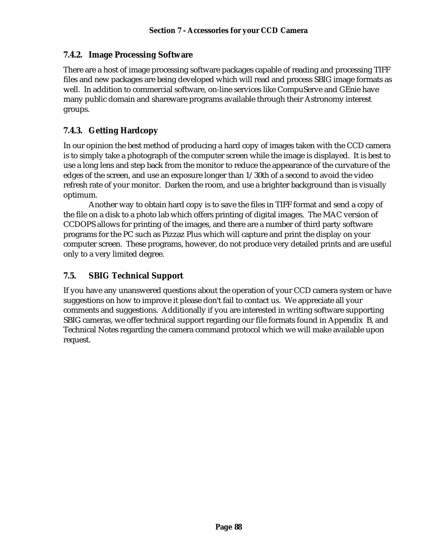# **7.4.2. Image Processing Software**

There are a host of image processing software packages capable of reading and processing TIFF files and new packages are being developed which will read and process SBIG image formats as well. In addition to commercial software, on-line services like CompuServe and GEnie have many public domain and shareware programs available through their Astronomy interest groups.

# **7.4.3. Getting Hardcopy**

In our opinion the best method of producing a hard copy of images taken with the CCD camera is to simply take a photograph of the computer screen while the image is displayed. It is best to use a long lens and step back from the monitor to reduce the appearance of the curvature of the edges of the screen, and use an exposure longer than 1/30th of a second to avoid the video refresh rate of your monitor. Darken the room, and use a brighter background than is visually optimum.

Another way to obtain hard copy is to save the files in TIFF format and send a copy of the file on a disk to a photo lab which offers printing of digital images. The MAC version of CCDOPS allows for printing of the images, and there are a number of third party software programs for the PC such as Pizzaz Plus which will capture and print the display on your computer screen. These programs, however, do not produce very detailed prints and are useful only to a very limited degree.

# **7.5. SBIG Technical Support**

If you have any unanswered questions about the operation of your CCD camera system or have suggestions on how to improve it please don't fail to contact us. We appreciate all your comments and suggestions. Additionally if you are interested in writing software supporting SBIG cameras, we offer technical support regarding our file formats found in Appendix B, and Technical Notes regarding the camera command protocol which we will make available upon request.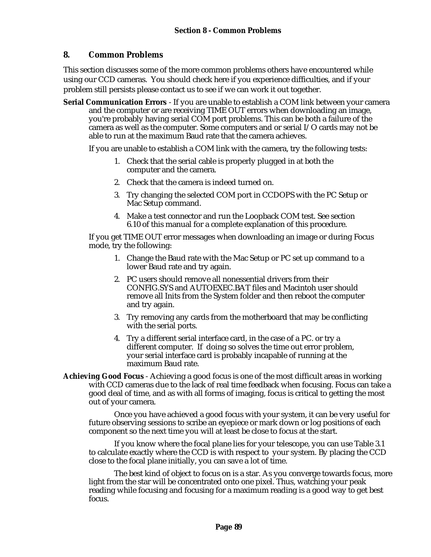## **8. Common Problems**

This section discusses some of the more common problems others have encountered while using our CCD cameras. You should check here if you experience difficulties, and if your problem still persists please contact us to see if we can work it out together.

**Serial Communication Errors** - If you are unable to establish a COM link between your camera and the computer or are receiving TIME OUT errors when downloading an image, you're probably having serial COM port problems. This can be both a failure of the camera as well as the computer. Some computers and or serial I/O cards may not be able to run at the maximum Baud rate that the camera achieves.

If you are unable to establish a COM link with the camera, try the following tests:

- 1. Check that the serial cable is properly plugged in at both the computer and the camera.
- 2. Check that the camera is indeed turned on.
- 3. Try changing the selected COM port in CCDOPS with the PC Setup or Mac Setup command.
- 4. Make a test connector and run the Loopback COM test. See section 6.10 of this manual for a complete explanation of this procedure.

If you get TIME OUT error messages when downloading an image or during Focus mode, try the following:

- 1. Change the Baud rate with the Mac Setup or PC set up command to a lower Baud rate and try again.
- 2. PC users should remove all nonessential drivers from their CONFIG.SYS and AUTOEXEC.BAT files and Macintoh user should remove all Inits from the System folder and then reboot the computer and try again.
- 3. Try removing any cards from the motherboard that may be conflicting with the serial ports.
- 4. Try a different serial interface card, in the case of a PC. or try a different computer. If doing so solves the time out error problem, your serial interface card is probably incapable of running at the maximum Baud rate.
- **Achieving Good Focus** Achieving a good focus is one of the most difficult areas in working with CCD cameras due to the lack of real time feedback when focusing. Focus can take a good deal of time, and as with all forms of imaging, focus is critical to getting the most out of your camera.

Once you have achieved a good focus with your system, it can be very useful for future observing sessions to scribe an eyepiece or mark down or log positions of each component so the next time you will at least be close to focus at the start.

If you know where the focal plane lies for your telescope, you can use Table 3.1 to calculate exactly where the CCD is with respect to your system. By placing the CCD close to the focal plane initially, you can save a lot of time.

The best kind of object to focus on is a star. As you converge towards focus, more light from the star will be concentrated onto one pixel. Thus, watching your peak reading while focusing and focusing for a maximum reading is a good way to get best focus.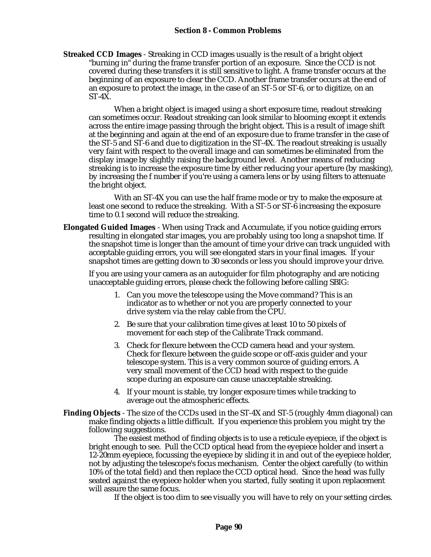**Streaked CCD Images** - Streaking in CCD images usually is the result of a bright object "burning in" during the frame transfer portion of an exposure. Since the CCD is not covered during these transfers it is still sensitive to light. A frame transfer occurs at the beginning of an exposure to clear the CCD. Another frame transfer occurs at the end of an exposure to protect the image, in the case of an ST-5 or ST-6, or to digitize, on an ST-4X.

When a bright object is imaged using a short exposure time, readout streaking can sometimes occur. Readout streaking can look similar to blooming except it extends across the entire image passing through the bright object. This is a result of image shift at the beginning and again at the end of an exposure due to frame transfer in the case of the ST-5 and ST-6 and due to digitization in the ST-4X. The readout streaking is usually very faint with respect to the overall image and can sometimes be eliminated from the display image by slightly raising the background level. Another means of reducing streaking is to increase the exposure time by either reducing your aperture (by masking), by increasing the f number if you're using a camera lens or by using filters to attenuate the bright object.

With an ST-4X you can use the half frame mode or try to make the exposure at least one second to reduce the streaking. With a ST-5 or ST-6 increasing the exposure time to 0.1 second will reduce the streaking.

**Elongated Guided Images** - When using Track and Accumulate, if you notice guiding errors resulting in elongated star images, you are probably using too long a snapshot time. If the snapshot time is longer than the amount of time your drive can track unguided with acceptable guiding errors, you will see elongated stars in your final images. If your snapshot times are getting down to 30 seconds or less you should improve your drive.

If you are using your camera as an autoguider for film photography and are noticing unacceptable guiding errors, please check the following before calling SBIG:

- 1. Can you move the telescope using the Move command? This is an indicator as to whether or not you are properly connected to your drive system via the relay cable from the CPU.
- 2. Be sure that your calibration time gives at least 10 to 50 pixels of movement for each step of the Calibrate Track command.
- 3. Check for flexure between the CCD camera head and your system. Check for flexure between the guide scope or off-axis guider and your telescope system. This is a very common source of guiding errors. A very small movement of the CCD head with respect to the guide scope during an exposure can cause unacceptable streaking.
- 4. If your mount is stable, try longer exposure times while tracking to average out the atmospheric effects.
- **Finding Objects** The size of the CCDs used in the ST-4X and ST-5 (roughly 4mm diagonal) can make finding objects a little difficult. If you experience this problem you might try the following suggestions.

The easiest method of finding objects is to use a reticule eyepiece, if the object is bright enough to see. Pull the CCD optical head from the eyepiece holder and insert a 12-20mm eyepiece, focussing the eyepiece by sliding it in and out of the eyepiece holder, not by adjusting the telescope's focus mechanism. Center the object carefully (to within 10% of the total field) and then replace the CCD optical head. Since the head was fully seated against the eyepiece holder when you started, fully seating it upon replacement will assure the same focus.

If the object is too dim to see visually you will have to rely on your setting circles.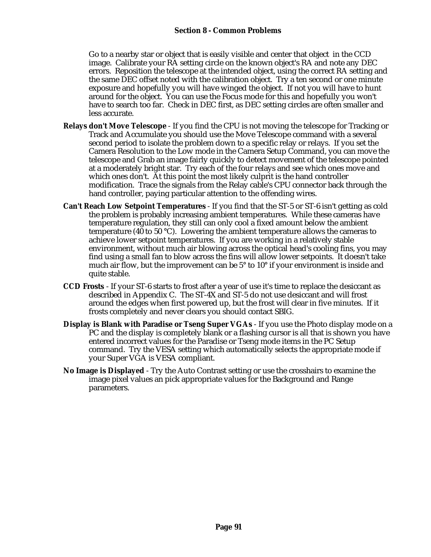Go to a nearby star or object that is easily visible and center that object in the CCD image. Calibrate your RA setting circle on the known object's RA and note any DEC errors. Reposition the telescope at the intended object, using the correct RA setting and the same DEC offset noted with the calibration object. Try a ten second or one minute exposure and hopefully you will have winged the object. If not you will have to hunt around for the object. You can use the Focus mode for this and hopefully you won't have to search too far. Check in DEC first, as DEC setting circles are often smaller and less accurate.

- **Relays don't Move Telescope** If you find the CPU is not moving the telescope for Tracking or Track and Accumulate you should use the Move Telescope command with a several second period to isolate the problem down to a specific relay or relays. If you set the Camera Resolution to the Low mode in the Camera Setup Command, you can move the telescope and Grab an image fairly quickly to detect movement of the telescope pointed at a moderately bright star. Try each of the four relays and see which ones move and which ones don't. At this point the most likely culprit is the hand controller modification. Trace the signals from the Relay cable's CPU connector back through the hand controller, paying particular attention to the offending wires.
- **Can't Reach Low Setpoint Temperatures** If you find that the ST-5 or ST-6 isn't getting as cold the problem is probably increasing ambient temperatures. While these cameras have temperature regulation, they still can only cool a fixed amount below the ambient temperature (40 to 50 °C). Lowering the ambient temperature allows the cameras to achieve lower setpoint temperatures. If you are working in a relatively stable environment, without much air blowing across the optical head's cooling fins, you may find using a small fan to blow across the fins will allow lower setpoints. It doesn't take much air flow, but the improvement can be 5° to 10° if your environment is inside and quite stable.
- **CCD Frosts** If your ST-6 starts to frost after a year of use it's time to replace the desiccant as described in Appendix C. The ST-4X and ST-5 do not use desiccant and will frost around the edges when first powered up, but the frost will clear in five minutes. If it frosts completely and never clears you should contact SBIG.
- **Display is Blank with Paradise or Tseng Super VGAs** If you use the Photo display mode on a PC and the display is completely blank or a flashing cursor is all that is shown you have entered incorrect values for the Paradise or Tseng mode items in the PC Setup command. Try the VESA setting which automatically selects the appropriate mode if your Super VGA is VESA compliant.
- **No Image is Displayed** Try the Auto Contrast setting or use the crosshairs to examine the image pixel values an pick appropriate values for the Background and Range parameters.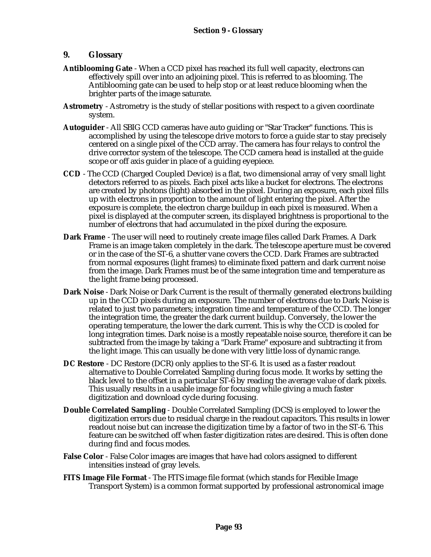#### **9. Glossary**

- **Antiblooming Gate** When a CCD pixel has reached its full well capacity, electrons can effectively spill over into an adjoining pixel. This is referred to as blooming. The Antiblooming gate can be used to help stop or at least reduce blooming when the brighter parts of the image saturate.
- **Astrometry** Astrometry is the study of stellar positions with respect to a given coordinate system.
- **Autoguider** All SBIG CCD cameras have auto guiding or "Star Tracker" functions. This is accomplished by using the telescope drive motors to force a guide star to stay precisely centered on a single pixel of the CCD array. The camera has four relays to control the drive corrector system of the telescope. The CCD camera head is installed at the guide scope or off axis guider in place of a guiding eyepiece.
- **CCD** The CCD (Charged Coupled Device) is a flat, two dimensional array of very small light detectors referred to as pixels. Each pixel acts like a bucket for electrons. The electrons are created by photons (light) absorbed in the pixel. During an exposure, each pixel fills up with electrons in proportion to the amount of light entering the pixel. After the exposure is complete, the electron charge buildup in each pixel is measured. When a pixel is displayed at the computer screen, its displayed brightness is proportional to the number of electrons that had accumulated in the pixel during the exposure.
- **Dark Frame** The user will need to routinely create image files called Dark Frames. A Dark Frame is an image taken completely in the dark. The telescope aperture must be covered or in the case of the ST-6, a shutter vane covers the CCD. Dark Frames are subtracted from normal exposures (light frames) to eliminate fixed pattern and dark current noise from the image. Dark Frames must be of the same integration time and temperature as the light frame being processed.
- **Dark Noise**  Dark Noise or Dark Current is the result of thermally generated electrons building up in the CCD pixels during an exposure. The number of electrons due to Dark Noise is related to just two parameters; integration time and temperature of the CCD. The longer the integration time, the greater the dark current buildup. Conversely, the lower the operating temperature, the lower the dark current. This is why the CCD is cooled for long integration times. Dark noise is a mostly repeatable noise source, therefore it can be subtracted from the image by taking a "Dark Frame" exposure and subtracting it from the light image. This can usually be done with very little loss of dynamic range.
- **DC Restore** DC Restore (DCR) only applies to the ST-6. It is used as a faster readout alternative to Double Correlated Sampling during focus mode. It works by setting the black level to the offset in a particular ST-6 by reading the average value of dark pixels. This usually results in a usable image for focusing while giving a much faster digitization and download cycle during focusing.
- **Double Correlated Sampling** Double Correlated Sampling (DCS) is employed to lower the digitization errors due to residual charge in the readout capacitors. This results in lower readout noise but can increase the digitization time by a factor of two in the ST-6. This feature can be switched off when faster digitization rates are desired. This is often done during find and focus modes.
- **False Color** False Color images are images that have had colors assigned to different intensities instead of gray levels.
- **FITS Image File Format** The FITS image file format (which stands for Flexible Image Transport System) is a common format supported by professional astronomical image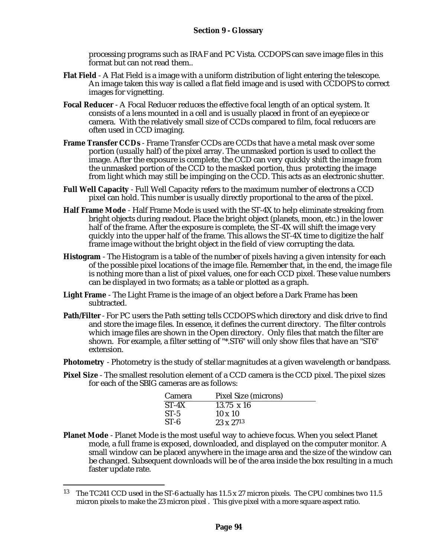processing programs such as IRAF and PC Vista. CCDOPS can save image files in this format but can not read them..

- **Flat Field** A Flat Field is a image with a uniform distribution of light entering the telescope. An image taken this way is called a flat field image and is used with CCDOPS to correct images for vignetting.
- **Focal Reducer** A Focal Reducer reduces the effective focal length of an optical system. It consists of a lens mounted in a cell and is usually placed in front of an eyepiece or camera. With the relatively small size of CCDs compared to film, focal reducers are often used in CCD imaging.
- **Frame Transfer CCDs** Frame Transfer CCDs are CCDs that have a metal mask over some portion (usually half) of the pixel array. The unmasked portion is used to collect the image. After the exposure is complete, the CCD can very quickly shift the image from the unmasked portion of the CCD to the masked portion, thus protecting the image from light which may still be impinging on the CCD. This acts as an electronic shutter.
- **Full Well Capacity** Full Well Capacity refers to the maximum number of electrons a CCD pixel can hold. This number is usually directly proportional to the area of the pixel.
- **Half Frame Mode** Half Frame Mode is used with the ST-4X to help eliminate streaking from bright objects during readout. Place the bright object (planets, moon, etc.) in the lower half of the frame. After the exposure is complete, the ST-4X will shift the image very quickly into the upper half of the frame. This allows the ST-4X time to digitize the half frame image without the bright object in the field of view corrupting the data.
- **Histogram** The Histogram is a table of the number of pixels having a given intensity for each of the possible pixel locations of the image file. Remember that, in the end, the image file is nothing more than a list of pixel values, one for each CCD pixel. These value numbers can be displayed in two formats; as a table or plotted as a graph.
- **Light Frame** The Light Frame is the image of an object before a Dark Frame has been subtracted.
- **Path/Filter**  For PC users the Path setting tells CCDOPS which directory and disk drive to find and store the image files. In essence, it defines the current directory. The filter controls which image files are shown in the Open directory. Only files that match the filter are shown. For example, a filter setting of "\*.ST6" will only show files that have an "ST6" extension.
- **Photometry** Photometry is the study of stellar magnitudes at a given wavelength or bandpass.
- **Pixel Size** The smallest resolution element of a CCD camera is the CCD pixel. The pixel sizes for each of the SBIG cameras are as follows:

| <b>Camera</b> | Pixel Size (microns) |
|---------------|----------------------|
| $ST-4X$       | $13.75 \times 16$    |
| $ST-5$        | $10 \times 10$       |
| $ST-6$        | $23 \times 27^{13}$  |

**Planet Mode** - Planet Mode is the most useful way to achieve focus. When you select Planet mode, a full frame is exposed, downloaded, and displayed on the computer monitor. A small window can be placed anywhere in the image area and the size of the window can be changed. Subsequent downloads will be of the area inside the box resulting in a much faster update rate.

1

<sup>13</sup> The TC241 CCD used in the ST-6 actually has 11.5 x 27 micron pixels. The CPU combines two 11.5 micron pixels to make the 23 micron pixel . This give pixel with a more square aspect ratio.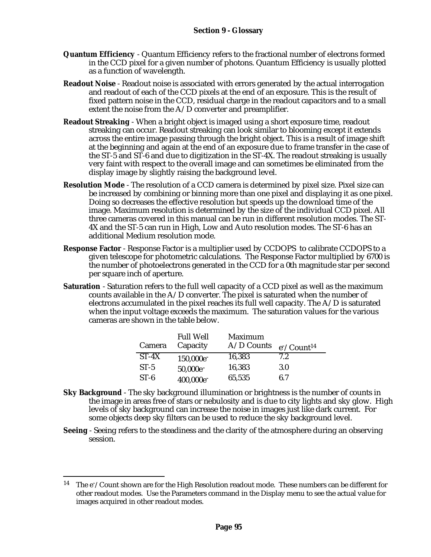- **Quantum Efficiency** Quantum Efficiency refers to the fractional number of electrons formed in the CCD pixel for a given number of photons. Quantum Efficiency is usually plotted as a function of wavelength.
- **Readout Noise** Readout noise is associated with errors generated by the actual interrogation and readout of each of the CCD pixels at the end of an exposure. This is the result of fixed pattern noise in the CCD, residual charge in the readout capacitors and to a small extent the noise from the A/D converter and preamplifier.
- **Readout Streaking** When a bright object is imaged using a short exposure time, readout streaking can occur. Readout streaking can look similar to blooming except it extends across the entire image passing through the bright object. This is a result of image shift at the beginning and again at the end of an exposure due to frame transfer in the case of the ST-5 and ST-6 and due to digitization in the ST-4X. The readout streaking is usually very faint with respect to the overall image and can sometimes be eliminated from the display image by slightly raising the background level.
- **Resolution Mode** The resolution of a CCD camera is determined by pixel size. Pixel size can be increased by combining or binning more than one pixel and displaying it as one pixel. Doing so decreases the effective resolution but speeds up the download time of the image. Maximum resolution is determined by the size of the individual CCD pixel. All three cameras covered in this manual can be run in different resolution modes. The ST-4X and the ST-5 can run in High, Low and Auto resolution modes. The ST-6 has an additional Medium resolution mode.
- **Response Factor** Response Factor is a multiplier used by CCDOPS to calibrate CCDOPS to a given telescope for photometric calculations. The Response Factor multiplied by 6700 is the number of photoelectrons generated in the CCD for a 0th magnitude star per second per square inch of aperture.
- **Saturation** Saturation refers to the full well capacity of a CCD pixel as well as the maximum counts available in the A/D converter. The pixel is saturated when the number of electrons accumulated in the pixel reaches its full well capacity. The  $A/D$  is saturated when the input voltage exceeds the maximum. The saturation values for the various cameras are shown in the table below.

| Camera  | <b>Full Well</b><br>Capacity | Maximum<br>$A/D$ Counts | $e^{-}/Count^{14}$ |
|---------|------------------------------|-------------------------|--------------------|
| $ST-4X$ | 150,000e <sup>-</sup>        | 16,383                  | 7.2                |
| $ST-5$  | 50,000e <sup>-</sup>         | 16,383                  | 3.0                |
| $ST-6$  | 400,000e <sup>-</sup>        | 65,535                  | 6.7                |

- **Sky Background** The sky background illumination or brightness is the number of counts in the image in areas free of stars or nebulosity and is due to city lights and sky glow. High levels of sky background can increase the noise in images just like dark current. For some objects deep sky filters can be used to reduce the sky background level.
- **Seeing** Seeing refers to the steadiness and the clarity of the atmosphere during an observing session.

1

<sup>&</sup>lt;sup>14</sup> The e<sup>-</sup>/Count shown are for the High Resolution readout mode. These numbers can be different for other readout modes. Use the Parameters command in the Display menu to see the actual value for images acquired in other readout modes.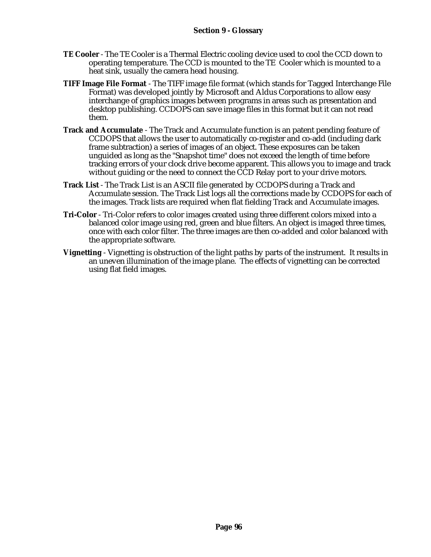- **TE Cooler**  The TE Cooler is a Thermal Electric cooling device used to cool the CCD down to operating temperature. The CCD is mounted to the TE Cooler which is mounted to a heat sink, usually the camera head housing.
- **TIFF Image File Format** The TIFF image file format (which stands for Tagged Interchange File Format) was developed jointly by Microsoft and Aldus Corporations to allow easy interchange of graphics images between programs in areas such as presentation and desktop publishing. CCDOPS can save image files in this format but it can not read them.
- **Track and Accumulate** The Track and Accumulate function is an patent pending feature of CCDOPS that allows the user to automatically co-register and co-add (including dark frame subtraction) a series of images of an object. These exposures can be taken unguided as long as the "Snapshot time" does not exceed the length of time before tracking errors of your clock drive become apparent. This allows you to image and track without guiding or the need to connect the CCD Relay port to your drive motors.
- **Track List** The Track List is an ASCII file generated by CCDOPS during a Track and Accumulate session. The Track List logs all the corrections made by CCDOPS for each of the images. Track lists are required when flat fielding Track and Accumulate images.
- **Tri-Color** Tri-Color refers to color images created using three different colors mixed into a balanced color image using red, green and blue filters. An object is imaged three times, once with each color filter. The three images are then co-added and color balanced with the appropriate software.
- **Vignetting** Vignetting is obstruction of the light paths by parts of the instrument. It results in an uneven illumination of the image plane. The effects of vignetting can be corrected using flat field images.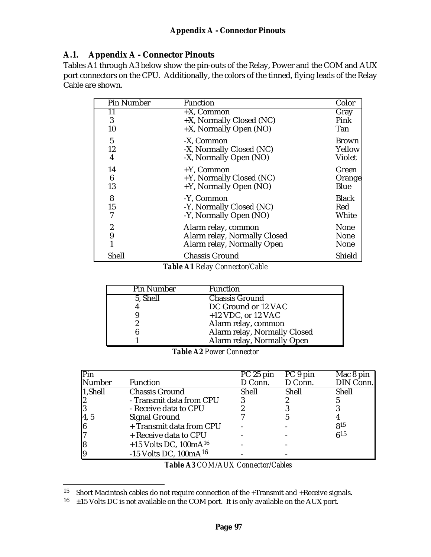# **A.1. Appendix A - Connector Pinouts**

Tables A1 through A3 below show the pin-outs of the Relay, Power and the COM and AUX port connectors on the CPU. Additionally, the colors of the tinned, flying leads of the Relay Cable are shown.

| <b>Pin Number</b> | <b>Function</b>              | Color         |
|-------------------|------------------------------|---------------|
| 11                | $+X$ , Common                | Gray          |
| 3                 | +X, Normally Closed (NC)     | Pink          |
| 10                | +X, Normally Open (NO)       | Tan           |
| 5                 | -X, Common                   | Brown         |
| 12                | -X, Normally Closed (NC)     | Yellow        |
| 4                 | -X, Normally Open (NO)       | <b>Violet</b> |
| 14                | $+Y$ , Common                | Green         |
| 6                 | +Y, Normally Closed (NC)     | Orange        |
| 13                | +Y, Normally Open (NO)       | Blue          |
| 8                 | -Y, Common                   | <b>Black</b>  |
| 15                | -Y, Normally Closed (NC)     | Red           |
| 7                 | -Y, Normally Open (NO)       | White         |
| $\boldsymbol{2}$  | Alarm relay, common          | None          |
| 9                 | Alarm relay, Normally Closed | None          |
| 1                 | Alarm relay, Normally Open   | None          |
| Shell             | <b>Chassis Ground</b>        | Shield        |

*Table A1 Relay Connector/Cable*

| <b>Pin Number</b> | <b>Function</b>              |
|-------------------|------------------------------|
| 5, Shell          | <b>Chassis Ground</b>        |
|                   | DC Ground or 12 VAC          |
|                   | $+12$ VDC, or 12 VAC         |
|                   | Alarm relay, common          |
|                   | Alarm relay, Normally Closed |
|                   | Alarm relay, Normally Open   |

*Table A2 Power Connector*

| Pin           |                                     | PC 25 pin | PC 9 pin | Mac 8 pin |
|---------------|-------------------------------------|-----------|----------|-----------|
| <b>Number</b> | Function                            | D Conn.   | D Conn.  | DIN Conn. |
| 1,Shell       | <b>Chassis Ground</b>               | Shell     | Shell    | Shell     |
| 12            | - Transmit data from CPU            |           |          |           |
| l3            | - Receive data to CPU               |           |          |           |
| 4, 5          | Signal Ground                       |           |          |           |
| 6             | + Transmit data from CPU            |           |          | 815       |
| 17            | + Receive data to CPU               |           |          | 615       |
| 18            | $+15$ Volts DC, 100mA <sup>16</sup> |           |          |           |
|               | $-15$ Volts DC, $100mA^{16}$        |           |          |           |

*Table A3 COM/AUX Connector/Cables*

1

<sup>&</sup>lt;sup>15</sup> Short Macintosh cables do not require connection of the  $+$ Transmit and  $+$ Receive signals.

 $16 +15$  Volts DC is not available on the COM port. It is only available on the AUX port.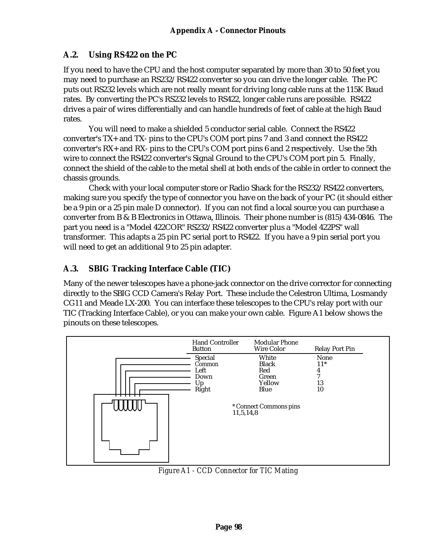# **A.2. Using RS422 on the PC**

If you need to have the CPU and the host computer separated by more than 30 to 50 feet you may need to purchase an RS232/RS422 converter so you can drive the longer cable. The PC puts out RS232 levels which are not really meant for driving long cable runs at the 115K Baud rates. By converting the PC's RS232 levels to RS422, longer cable runs are possible. RS422 drives a pair of wires differentially and can handle hundreds of feet of cable at the high Baud rates.

You will need to make a shielded 5 conductor serial cable. Connect the RS422 converter's TX+ and TX- pins to the CPU's COM port pins 7 and 3 and connect the RS422 converter's RX+ and RX- pins to the CPU's COM port pins 6 and 2 respectively. Use the 5th wire to connect the RS422 converter's Signal Ground to the CPU's COM port pin 5. Finally, connect the shield of the cable to the metal shell at both ends of the cable in order to connect the chassis grounds.

Check with your local computer store or Radio Shack for the RS232/RS422 converters, making sure you specify the type of connector you have on the back of your PC (it should either be a 9 pin or a 25 pin male D connector). If you can not find a local source you can purchase a converter from B & B Electronics in Ottawa, Illinois. Their phone number is (815) 434-0846. The part you need is a "Model 422COR" RS232/RS422 converter plus a "Model 422PS" wall transformer. This adapts a 25 pin PC serial port to RS422. If you have a 9 pin serial port you will need to get an additional 9 to 25 pin adapter.

# **A.3. SBIG Tracking Interface Cable (TIC)**

Many of the newer telescopes have a phone-jack connector on the drive corrector for connecting directly to the SBIG CCD Camera's Relay Port. These include the Celestron Ultima, Losmandy CG11 and Meade LX-200. You can interface these telescopes to the CPU's relay port with our TIC (Tracking Interface Cable), or you can make your own cable. Figure A1 below shows the pinouts on these telescopes.



*Figure A1 - CCD Connector for TIC Mating*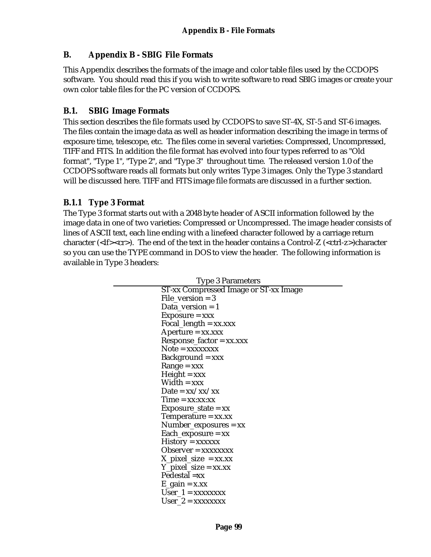## **B. Appendix B - SBIG File Formats**

This Appendix describes the formats of the image and color table files used by the CCDOPS software. You should read this if you wish to write software to read SBIG images or create your own color table files for the PC version of CCDOPS.

#### **B.1. SBIG Image Formats**

This section describes the file formats used by CCDOPS to save ST-4X, ST-5 and ST-6 images. The files contain the image data as well as header information describing the image in terms of exposure time, telescope, etc. The files come in several varieties: Compressed, Uncompressed, TIFF and FITS. In addition the file format has evolved into four types referred to as "Old format", "Type 1", "Type 2", and "Type 3" throughout time. The released version 1.0 of the CCDOPS software reads all formats but only writes Type 3 images. Only the Type 3 standard will be discussed here. TIFF and FITS image file formats are discussed in a further section.

#### **B.1.1 Type 3 Format**

The Type 3 format starts out with a 2048 byte header of ASCII information followed by the image data in one of two varieties: Compressed or Uncompressed. The image header consists of lines of ASCII text, each line ending with a linefeed character followed by a carriage return character (<lf><cr>). The end of the text in the header contains a Control-Z (<ctrl-z>)character so you can use the TYPE command in DOS to view the header. The following information is available in Type 3 headers:

| Type 3 Parameters                     |  |  |
|---------------------------------------|--|--|
| ST-xx Compressed Image or ST-xx Image |  |  |
| $File\_version = 3$                   |  |  |
| Data_version = $1$                    |  |  |
| $Exposure = xxx$                      |  |  |
| Focal_length = $xx$ . $xxx$           |  |  |
| $A$ perture = xx.xxx                  |  |  |
| $Respose\_factor = xx.xxx$            |  |  |
| $Note = XXXXXX$                       |  |  |
| $Background = xxx$                    |  |  |
| $Range = xxx$                         |  |  |
| $Height = xxx$                        |  |  |
| $Width = xxx$                         |  |  |
| Date = $xx/xx/xx$                     |  |  |
| $Time = xx:xx:xx$                     |  |  |
| $Exposure\_state = xx$                |  |  |
| Temperature $= xx.xx$                 |  |  |
| $Number_{exposures} = xx$             |  |  |
| $Each\_exposure = xx$                 |  |  |
| $History = XXXXXX$                    |  |  |
| $Observe = xxxxxxx$                   |  |  |
| $X$ <sub>pixel_size</sub> = xx.xx     |  |  |
| $Y$ _pixel_size = xx.xx               |  |  |
| $Pedestal = xx$                       |  |  |
| $E_{gain} = x.xx$                     |  |  |
| $User_1 = XXXXXX$                     |  |  |
| $User_2 = XXXXXX$                     |  |  |
|                                       |  |  |

Type 3 Parameters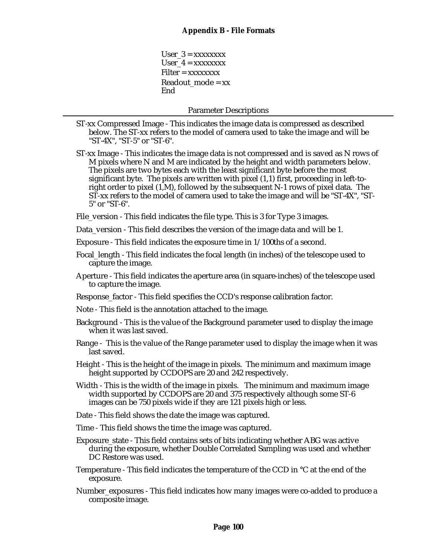$User_3 = XXXXXXX$ User  $4 =$  xxxxxxxx  $Filter = **xxxxxxx**$ Readout  $mode = xx$ **End** 

Parameter Descriptions

- ST-xx Compressed Image This indicates the image data is compressed as described below. The ST-xx refers to the model of camera used to take the image and will be "ST-4X", "ST-5" or "ST-6".
- ST-xx Image This indicates the image data is not compressed and is saved as N rows of M pixels where N and M are indicated by the height and width parameters below. The pixels are two bytes each with the least significant byte before the most significant byte. The pixels are written with pixel (1,1) first, proceeding in left-toright order to pixel (1,M), followed by the subsequent N-1 rows of pixel data. The ST-xx refers to the model of camera used to take the image and will be "ST-4X", "ST-5" or "ST-6".
- File\_version This field indicates the file type. This is 3 for Type 3 images.
- Data version This field describes the version of the image data and will be 1.
- Exposure This field indicates the exposure time in 1/100ths of a second.
- Focal\_length This field indicates the focal length (in inches) of the telescope used to capture the image.
- Aperture This field indicates the aperture area (in square-inches) of the telescope used to capture the image.
- Response\_factor This field specifies the CCD's response calibration factor.
- Note This field is the annotation attached to the image.
- Background This is the value of the Background parameter used to display the image when it was last saved.
- Range This is the value of the Range parameter used to display the image when it was last saved.
- Height This is the height of the image in pixels. The minimum and maximum image height supported by CCDOPS are 20 and 242 respectively.
- Width This is the width of the image in pixels. The minimum and maximum image width supported by CCDOPS are 20 and 375 respectively although some ST-6 images can be 750 pixels wide if they are 121 pixels high or less.
- Date This field shows the date the image was captured.
- Time This field shows the time the image was captured.
- Exposure\_state This field contains sets of bits indicating whether ABG was active during the exposure, whether Double Correlated Sampling was used and whether DC Restore was used.
- Temperature This field indicates the temperature of the CCD in °C at the end of the exposure.
- Number\_exposures This field indicates how many images were co-added to produce a composite image.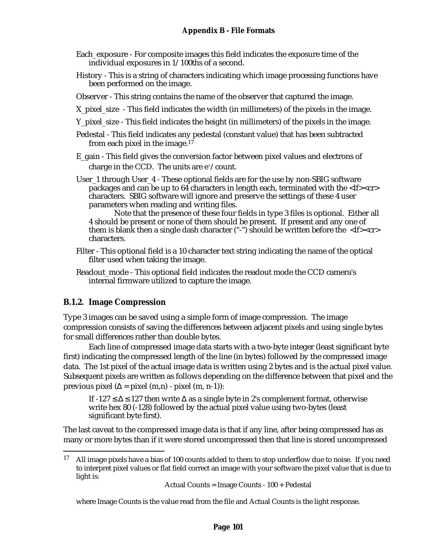- Each\_exposure For composite images this field indicates the exposure time of the individual exposures in 1/100ths of a second.
- History This is a string of characters indicating which image processing functions have been performed on the image.
- Observer This string contains the name of the observer that captured the image.
- X pixel size This field indicates the width (in millimeters) of the pixels in the image.
- Y pixel size This field indicates the height (in millimeters) of the pixels in the image.
- Pedestal This field indicates any pedestal (constant value) that has been subtracted from each pixel in the image.<sup>17</sup>
- E\_gain This field gives the conversion factor between pixel values and electrons of charge in the CCD. The units are  $e^-$ /count.
- User 1 through User 4 These optional fields are for the use by non-SBIG software packages and can be up to 64 characters in length each, terminated with the  $\langle$ If> $\langle$ cr> characters. SBIG software will ignore and preserve the settings of these 4 user parameters when reading and writing files.

Note that the presence of these four fields in type 3 files is optional. Either all 4 should be present or none of them should be present. If present and any one of them is blank then a single dash character  $("")$  should be written before the  $\langle$ lf> $\langle$ cr $\rangle$ characters.

- Filter This optional field is a 10 character text string indicating the name of the optical filter used when taking the image.
- Readout\_mode This optional field indicates the readout mode the CCD camera's internal firmware utilized to capture the image.

#### **B.1.2. Image Compression**

1

Type 3 images can be saved using a simple form of image compression. The image compression consists of saving the differences between adjacent pixels and using single bytes for small differences rather than double bytes.

Each line of compressed image data starts with a two-byte integer (least significant byte first) indicating the compressed length of the line (in bytes) followed by the compressed image data. The 1st pixel of the actual image data is written using 2 bytes and is the actual pixel value. Subsequent pixels are written as follows depending on the difference between that pixel and the previous pixel ( $\Delta$  = pixel (m,n) - pixel (m, n-1)):

If  $-127 \le \Delta \le 127$  then write  $\Delta$  as a single byte in 2's complement format, otherwise write hex 80 (-128) followed by the actual pixel value using two-bytes (least significant byte first).

The last caveat to the compressed image data is that if any line, after being compressed has as many or more bytes than if it were stored uncompressed then that line is stored uncompressed

Actual Counts = Image Counts - 100 + Pedestal

where Image Counts is the value read from the file and Actual Counts is the light response.

<sup>&</sup>lt;sup>17</sup> All image pixels have a bias of 100 counts added to them to stop underflow due to noise. If you need to interpret pixel values or flat field correct an image with your software the pixel value that is due to light is: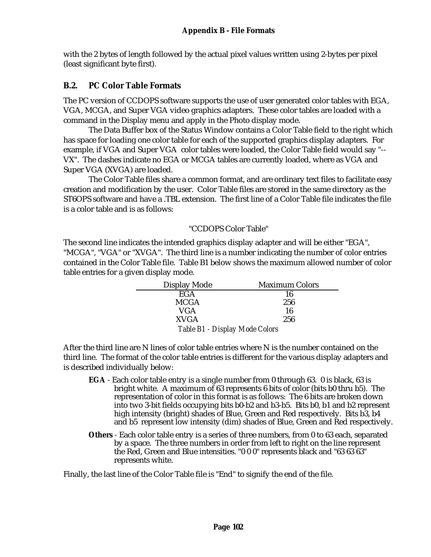with the 2 bytes of length followed by the actual pixel values written using 2-bytes per pixel (least significant byte first).

## **B.2. PC Color Table Formats**

The PC version of CCDOPS software supports the use of user generated color tables with EGA, VGA, MCGA, and Super VGA video graphics adapters. These color tables are loaded with a command in the Display menu and apply in the Photo display mode.

The Data Buffer box of the Status Window contains a Color Table field to the right which has space for loading one color table for each of the supported graphics display adapters. For example, if VGA and Super VGA color tables were loaded, the Color Table field would say "-- VX". The dashes indicate no EGA or MCGA tables are currently loaded, where as VGA and Super VGA (XVGA) are loaded.

The Color Table files share a common format, and are ordinary text files to facilitate easy creation and modification by the user. Color Table files are stored in the same directory as the ST6OPS software and have a .TBL extension. The first line of a Color Table file indicates the file is a color table and is as follows:

#### "CCDOPS Color Table"

The second line indicates the intended graphics display adapter and will be either "EGA", "MCGA", "VGA" or "XVGA". The third line is a number indicating the number of color entries contained in the Color Table file. Table B1 below shows the maximum allowed number of color table entries for a given display mode.

| Display Mode                   | <b>Maximum Colors</b> |  |  |  |
|--------------------------------|-----------------------|--|--|--|
| <b>EGA</b>                     | 16                    |  |  |  |
| <b>MCGA</b>                    | 256                   |  |  |  |
| VGA                            | 16                    |  |  |  |
| <b>XVGA</b>                    | 256                   |  |  |  |
| Table B1 - Display Mode Colors |                       |  |  |  |

After the third line are N lines of color table entries where N is the number contained on the third line. The format of the color table entries is different for the various display adapters and is described individually below:

- **EGA** Each color table entry is a single number from 0 through 63. 0 is black, 63 is bright white. A maximum of 63 represents 6 bits of color (bits b0 thru b5). The representation of color in this format is as follows: The 6 bits are broken down into two 3-bit fields occupying bits b0-b2 and b3-b5. Bits b0, b1 and b2 represent high intensity (bright) shades of Blue, Green and Red respectively. Bits b3, b4 and b5 represent low intensity (dim) shades of Blue, Green and Red respectively.
- **Others** Each color table entry is a series of three numbers, from 0 to 63 each, separated by a space. The three numbers in order from left to right on the line represent the Red, Green and Blue intensities. "0 0 0" represents black and "63 63 63" represents white.

Finally, the last line of the Color Table file is "End" to signify the end of the file.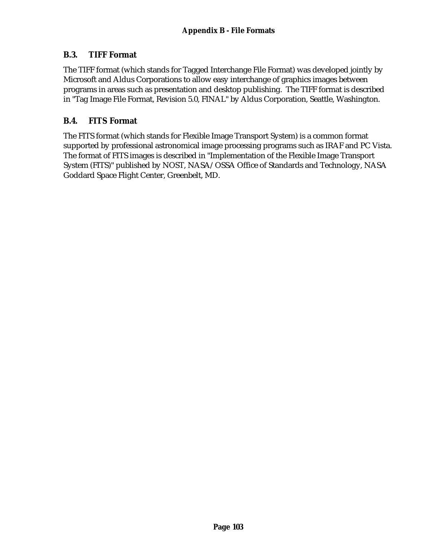## **B.3. TIFF Format**

The TIFF format (which stands for Tagged Interchange File Format) was developed jointly by Microsoft and Aldus Corporations to allow easy interchange of graphics images between programs in areas such as presentation and desktop publishing. The TIFF format is described in "Tag Image File Format, Revision 5.0, FINAL" by Aldus Corporation, Seattle, Washington.

## **B.4. FITS Format**

The FITS format (which stands for Flexible Image Transport System) is a common format supported by professional astronomical image processing programs such as IRAF and PC Vista. The format of FITS images is described in "Implementation of the Flexible Image Transport System (FITS)" published by NOST, NASA/OSSA Office of Standards and Technology, NASA Goddard Space Flight Center, Greenbelt, MD.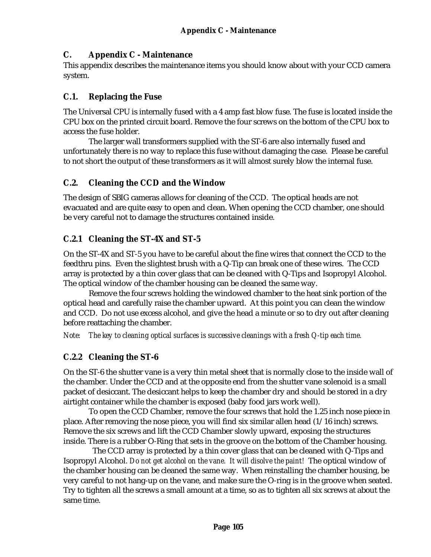## **C. Appendix C - Maintenance**

This appendix describes the maintenance items you should know about with your CCD camera system.

## **C.1. Replacing the Fuse**

The Universal CPU is internally fused with a 4 amp fast blow fuse. The fuse is located inside the CPU box on the printed circuit board. Remove the four screws on the bottom of the CPU box to access the fuse holder.

The larger wall transformers supplied with the ST-6 are also internally fused and unfortunately there is no way to replace this fuse without damaging the case. Please be careful to not short the output of these transformers as it will almost surely blow the internal fuse.

## **C.2. Cleaning the CCD and the Window**

The design of SBIG cameras allows for cleaning of the CCD. The optical heads are not evacuated and are quite easy to open and clean. When opening the CCD chamber, one should be very careful not to damage the structures contained inside.

# **C.2.1 Cleaning the ST-4X and ST-5**

On the ST-4X and ST-5 you have to be careful about the fine wires that connect the CCD to the feedthru pins. Even the slightest brush with a Q-Tip can break one of these wires. The CCD array is protected by a thin cover glass that can be cleaned with Q-Tips and Isopropyl Alcohol. The optical window of the chamber housing can be cleaned the same way.

Remove the four screws holding the windowed chamber to the heat sink portion of the optical head and carefully raise the chamber upward. At this point you can clean the window and CCD. Do not use excess alcohol, and give the head a minute or so to dry out after cleaning before reattaching the chamber.

*Note: The key to cleaning optical surfaces is successive cleanings with a fresh Q-tip each time.*

#### **C.2.2 Cleaning the ST-6**

On the ST-6 the shutter vane is a very thin metal sheet that is normally close to the inside wall of the chamber. Under the CCD and at the opposite end from the shutter vane solenoid is a small packet of desiccant. The desiccant helps to keep the chamber dry and should be stored in a dry airtight container while the chamber is exposed (baby food jars work well).

To open the CCD Chamber, remove the four screws that hold the 1.25 inch nose piece in place. After removing the nose piece, you will find six similar allen head (1/16 inch) screws. Remove the six screws and lift the CCD Chamber slowly upward, exposing the structures inside. There is a rubber O-Ring that sets in the groove on the bottom of the Chamber housing.

 The CCD array is protected by a thin cover glass that can be cleaned with Q-Tips and Isopropyl Alcohol. *Do not get alcohol on the vane. It will disolve the paint!* The optical window of the chamber housing can be cleaned the same way. When reinstalling the chamber housing, be very careful to not hang-up on the vane, and make sure the O-ring is in the groove when seated. Try to tighten all the screws a small amount at a time, so as to tighten all six screws at about the same time.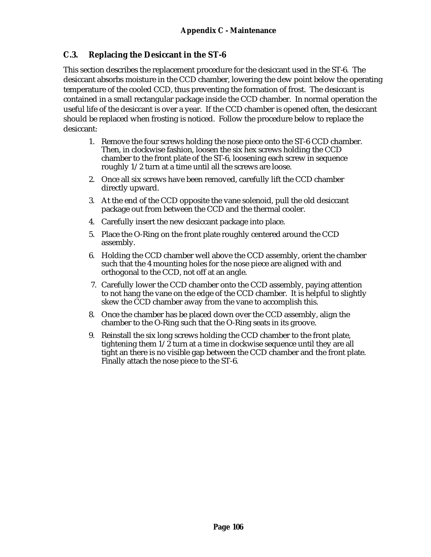## **C.3. Replacing the Desiccant in the ST-6**

This section describes the replacement procedure for the desiccant used in the ST-6. The desiccant absorbs moisture in the CCD chamber, lowering the dew point below the operating temperature of the cooled CCD, thus preventing the formation of frost. The desiccant is contained in a small rectangular package inside the CCD chamber. In normal operation the useful life of the desiccant is over a year. If the CCD chamber is opened often, the desiccant should be replaced when frosting is noticed. Follow the procedure below to replace the desiccant:

- 1. Remove the four screws holding the nose piece onto the ST-6 CCD chamber. Then, in clockwise fashion, loosen the six hex screws holding the CCD chamber to the front plate of the ST-6, loosening each screw in sequence roughly 1/2 turn at a time until all the screws are loose.
- 2. Once all six screws have been removed, carefully lift the CCD chamber directly upward.
- 3. At the end of the CCD opposite the vane solenoid, pull the old desiccant package out from between the CCD and the thermal cooler.
- 4. Carefully insert the new desiccant package into place.
- 5. Place the O-Ring on the front plate roughly centered around the CCD assembly.
- 6. Holding the CCD chamber well above the CCD assembly, orient the chamber such that the 4 mounting holes for the nose piece are aligned with and orthogonal to the CCD, not off at an angle.
- 7. Carefully lower the CCD chamber onto the CCD assembly, paying attention to not hang the vane on the edge of the CCD chamber. It is helpful to slightly skew the CCD chamber away from the vane to accomplish this.
- 8. Once the chamber has be placed down over the CCD assembly, align the chamber to the O-Ring such that the O-Ring seats in its groove.
- 9. Reinstall the six long screws holding the CCD chamber to the front plate, tightening them  $1/\overline{2}$  turn at a time in clockwise sequence until they are all tight an there is no visible gap between the CCD chamber and the front plate. Finally attach the nose piece to the ST-6.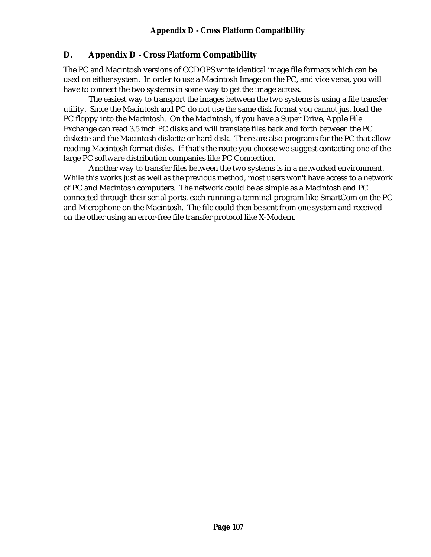# **D. Appendix D - Cross Platform Compatibility**

The PC and Macintosh versions of CCDOPS write identical image file formats which can be used on either system. In order to use a Macintosh Image on the PC, and vice versa, you will have to connect the two systems in some way to get the image across.

The easiest way to transport the images between the two systems is using a file transfer utility. Since the Macintosh and PC do not use the same disk format you cannot just load the PC floppy into the Macintosh. On the Macintosh, if you have a Super Drive, Apple File Exchange can read 3.5 inch PC disks and will translate files back and forth between the PC diskette and the Macintosh diskette or hard disk. There are also programs for the PC that allow reading Macintosh format disks. If that's the route you choose we suggest contacting one of the large PC software distribution companies like PC Connection.

Another way to transfer files between the two systems is in a networked environment. While this works just as well as the previous method, most users won't have access to a network of PC and Macintosh computers. The network could be as simple as a Macintosh and PC connected through their serial ports, each running a terminal program like SmartCom on the PC and Microphone on the Macintosh. The file could then be sent from one system and received on the other using an error-free file transfer protocol like X-Modem.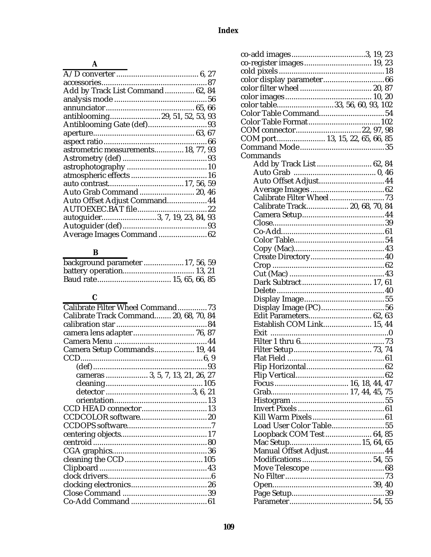### **A**

| Add by Track List Command 62, 84    |  |
|-------------------------------------|--|
|                                     |  |
|                                     |  |
| antiblooming29, 51, 52, 53, 93      |  |
|                                     |  |
|                                     |  |
|                                     |  |
| astrometric measurements 18, 77, 93 |  |
|                                     |  |
|                                     |  |
|                                     |  |
|                                     |  |
| Auto Grab Command 20, 46            |  |
| Auto Offset Adjust Command 44       |  |
|                                     |  |
| autoguider3, 7, 19, 23, 84, 93      |  |
|                                     |  |
| Average Images Command 62           |  |
|                                     |  |

### **B**

| background parameter  17, 56, 59 |  |
|----------------------------------|--|
|                                  |  |
|                                  |  |

### **C**

| Calibrate Filter Wheel Command73       |  |
|----------------------------------------|--|
| Calibrate Track Command 20, 68, 70, 84 |  |
|                                        |  |
|                                        |  |
|                                        |  |
| Camera Setup Commands 19, 44           |  |
|                                        |  |
|                                        |  |
| cameras  3, 5, 7, 13, 21, 26, 27       |  |
|                                        |  |
|                                        |  |
|                                        |  |
|                                        |  |
|                                        |  |
|                                        |  |
|                                        |  |
|                                        |  |
|                                        |  |
|                                        |  |
|                                        |  |
|                                        |  |
|                                        |  |
|                                        |  |
|                                        |  |
|                                        |  |

| co-register images 19, 23       |
|---------------------------------|
|                                 |
|                                 |
|                                 |
|                                 |
| color table33, 56, 60, 93, 102  |
| Color Table Command 54          |
|                                 |
| COM connector22, 97, 98         |
| COM port 13, 15, 22, 65, 66, 85 |
|                                 |
| Commands                        |
| Add by Track List  62, 84       |
|                                 |
|                                 |
| Auto Offset Adjust 44           |
|                                 |
|                                 |
| Calibrate Track 20, 68, 70, 84  |
|                                 |
|                                 |
|                                 |
|                                 |
|                                 |
|                                 |
|                                 |
|                                 |
| Dark Subtract 17, 61            |
|                                 |
|                                 |
|                                 |
| Edit Parameters 62, 63          |
| Establish COM Link 15, 44       |
|                                 |
|                                 |
|                                 |
|                                 |
|                                 |
|                                 |
|                                 |
|                                 |
|                                 |
|                                 |
|                                 |
|                                 |
| Load User Color Table55         |
| Loopback COM Test 64, 85        |
| Mac Setup 15, 64, 65            |
| Manual Offset Adjust 44         |
|                                 |
|                                 |
|                                 |
|                                 |
|                                 |
|                                 |
|                                 |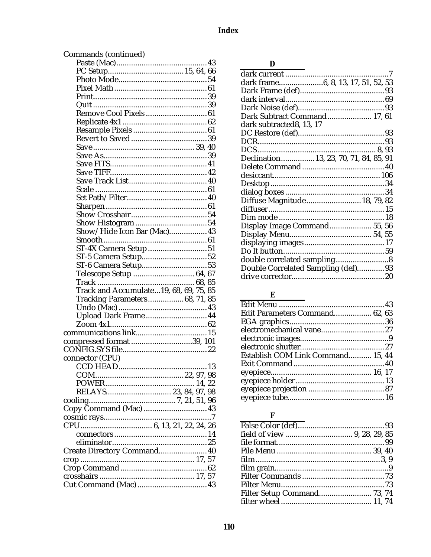| Commands (continued)                   |
|----------------------------------------|
|                                        |
|                                        |
|                                        |
|                                        |
|                                        |
|                                        |
| Remove Cool Pixels 61                  |
|                                        |
|                                        |
|                                        |
|                                        |
|                                        |
|                                        |
|                                        |
|                                        |
|                                        |
|                                        |
|                                        |
|                                        |
|                                        |
|                                        |
| Show/Hide Icon Bar (Mac) 43            |
|                                        |
|                                        |
|                                        |
|                                        |
| Telescope Setup  64, 67                |
|                                        |
|                                        |
|                                        |
| Track and Accumulate19, 68, 69, 75, 85 |
| <b>Tracking Parameters 68, 71, 85</b>  |
|                                        |
| Upload Dark Frame 44                   |
|                                        |
|                                        |
| compressed format 39, 101              |
|                                        |
| connector (CPU)                        |
| .13                                    |
|                                        |
|                                        |
|                                        |
| RELAYS 23, 84, 97, 98                  |
|                                        |
|                                        |
|                                        |
|                                        |
|                                        |
|                                        |
| Create Directory Command 40            |
|                                        |
|                                        |
|                                        |

|  | ۰,<br>۰, |
|--|----------|

|                                        | $\cdot$ .7 |
|----------------------------------------|------------|
| dark frame6, 8, 13, 17, 51, 52, 53     |            |
|                                        |            |
|                                        |            |
|                                        |            |
| Dark Subtract Command 17, 61           |            |
| dark subtracted8, 13, 17               |            |
|                                        |            |
|                                        |            |
|                                        |            |
| Declination 13, 23, 70, 71, 84, 85, 91 |            |
|                                        |            |
|                                        |            |
|                                        |            |
|                                        |            |
| Diffuse Magnitude 18, 79, 82           |            |
|                                        |            |
|                                        |            |
| Display Image Command 55, 56           |            |
|                                        |            |
|                                        |            |
|                                        |            |
|                                        |            |
| Double Correlated Sampling (def) 93    |            |
|                                        |            |

#### $\mathbf{E}$

| Edit Parameters Command 62, 63    |  |
|-----------------------------------|--|
|                                   |  |
|                                   |  |
|                                   |  |
|                                   |  |
| Establish COM Link Command 15, 44 |  |
|                                   |  |
|                                   |  |
|                                   |  |
|                                   |  |
|                                   |  |
|                                   |  |

### $\mathbf F$

| Filter Setup Command 73, 74 |  |
|-----------------------------|--|
|                             |  |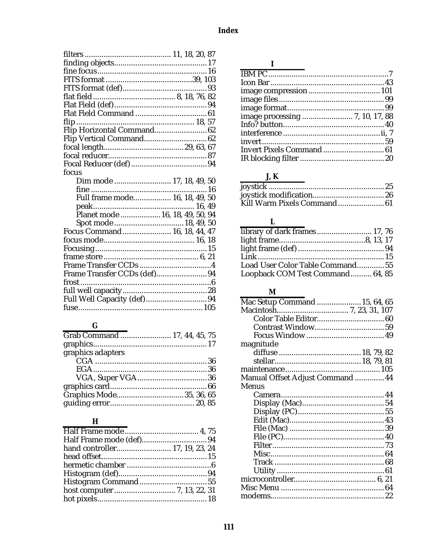| Flip Horizontal Command 62      |  |
|---------------------------------|--|
| Flip Vertical Command 62        |  |
|                                 |  |
|                                 |  |
|                                 |  |
| focus                           |  |
| Dim mode  17, 18, 49, 50        |  |
|                                 |  |
| Full frame mode 16, 18, 49, 50  |  |
|                                 |  |
| Planet mode  16, 18, 49, 50, 94 |  |
| Spot mode  18, 49, 50           |  |
| Focus Command 16, 18, 44, 47    |  |
|                                 |  |
|                                 |  |
|                                 |  |
|                                 |  |
| Frame Transfer CCDs (def)94     |  |
|                                 |  |
|                                 |  |
|                                 |  |
|                                 |  |

 $\overline{G}$ 

| Grab Command  17, 44, 45, 75 |  |
|------------------------------|--|
|                              |  |
| graphics adapters            |  |
|                              |  |
|                              |  |
|                              |  |
|                              |  |
|                              |  |
|                              |  |
|                              |  |

## $\mathbf{H}$

| hand controller 17, 19, 23, 24 |
|--------------------------------|
|                                |
|                                |
|                                |
|                                |
|                                |
|                                |
|                                |

#### $\mathbf{I}$

## $J, K$

## $\overline{\mathbf{L}}$

| library of dark frames 17, 76    |  |
|----------------------------------|--|
|                                  |  |
|                                  |  |
|                                  |  |
| Load User Color Table Command 55 |  |
| Loopback COM Test Command 64, 85 |  |

#### $\mathbf{M}$

| Mac Setup Command  15, 64, 65    |  |
|----------------------------------|--|
|                                  |  |
|                                  |  |
|                                  |  |
|                                  |  |
| magnitude                        |  |
|                                  |  |
|                                  |  |
|                                  |  |
| Manual Offset Adjust Command  44 |  |
| Menus                            |  |
|                                  |  |
|                                  |  |
|                                  |  |
|                                  |  |
|                                  |  |
|                                  |  |
|                                  |  |
|                                  |  |
|                                  |  |
|                                  |  |
|                                  |  |
|                                  |  |
|                                  |  |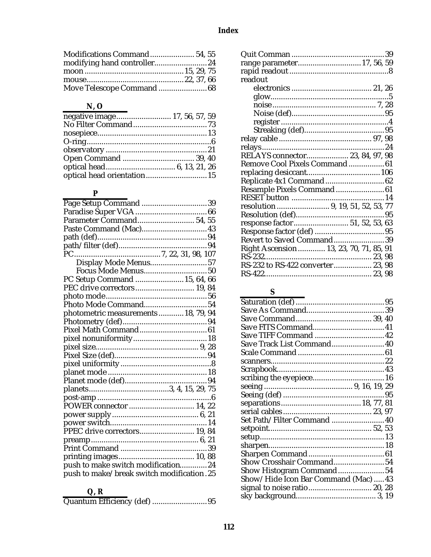#### **Index**

# **N, O**

| negative image 17, 56, 57, 59 |  |
|-------------------------------|--|
|                               |  |
|                               |  |
|                               |  |
|                               |  |
|                               |  |
|                               |  |
| optical head orientation 15   |  |

#### **P**

| Paste Command (Mac) 43                    |  |
|-------------------------------------------|--|
|                                           |  |
|                                           |  |
|                                           |  |
| Display Mode Menus57                      |  |
|                                           |  |
| PC Setup Command  15, 64, 66              |  |
| PEC drive correctors 19, 84               |  |
|                                           |  |
| Photo Mode Command54                      |  |
| photometric measurements  18, 79, 94      |  |
|                                           |  |
|                                           |  |
|                                           |  |
|                                           |  |
|                                           |  |
|                                           |  |
|                                           |  |
|                                           |  |
|                                           |  |
|                                           |  |
| POWER connector  14, 22                   |  |
|                                           |  |
|                                           |  |
| PPEC drive correctors 19, 84              |  |
|                                           |  |
|                                           |  |
|                                           |  |
| push to make switch modification24        |  |
| push to make/break switch modification.25 |  |
|                                           |  |

# **Q, R**

|--|--|--|

| range parameter 17, 56, 59             |  |
|----------------------------------------|--|
|                                        |  |
| readout                                |  |
|                                        |  |
|                                        |  |
|                                        |  |
|                                        |  |
|                                        |  |
|                                        |  |
|                                        |  |
|                                        |  |
| RELAYS connector 23, 84, 97, 98        |  |
| Remove Cool Pixels Command 61          |  |
|                                        |  |
|                                        |  |
| Resample Pixels Command 61             |  |
|                                        |  |
|                                        |  |
|                                        |  |
| response factor 51, 52, 53, 63         |  |
|                                        |  |
| Revert to Saved Command39              |  |
| Right Ascension 13, 23, 70, 71, 85, 91 |  |
|                                        |  |
| RS-232 to RS-422 converter 23, 98      |  |
|                                        |  |
|                                        |  |

# **S**

| Save TIFF Command  42                |  |  |
|--------------------------------------|--|--|
| Save Track List Command 40           |  |  |
|                                      |  |  |
|                                      |  |  |
|                                      |  |  |
|                                      |  |  |
|                                      |  |  |
|                                      |  |  |
|                                      |  |  |
|                                      |  |  |
| Set Path/Filter Command  40          |  |  |
|                                      |  |  |
|                                      |  |  |
|                                      |  |  |
|                                      |  |  |
| Show Crosshair Command54             |  |  |
| Show Histogram Command54             |  |  |
| Show/Hide Icon Bar Command (Mac)  43 |  |  |
| signal to noise ratio 20, 28         |  |  |
|                                      |  |  |
|                                      |  |  |